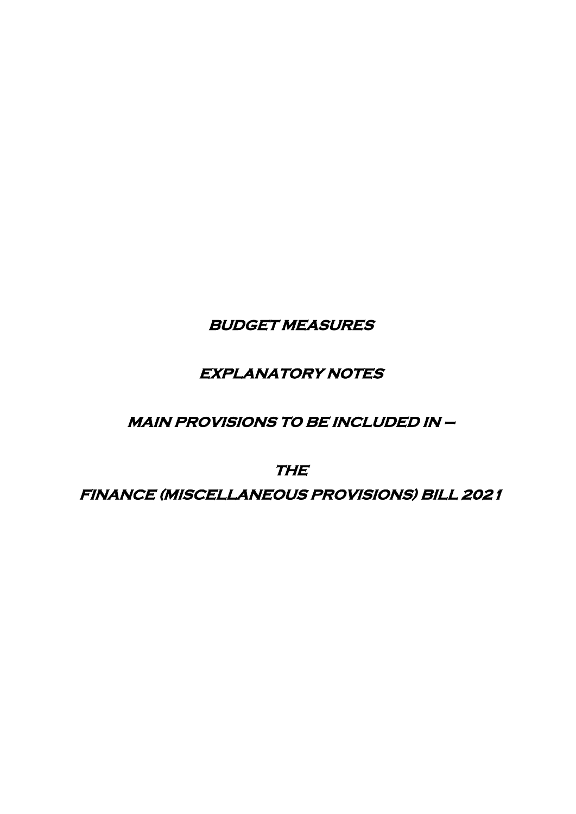**BUDGET MEASURES** 

# **EXPLANATORY NOTES**

## **MAIN PROVISIONS TO BE INCLUDED IN –**

**THE** 

**FINANCE (MISCELLANEOUS PROVISIONS) BILL 2021**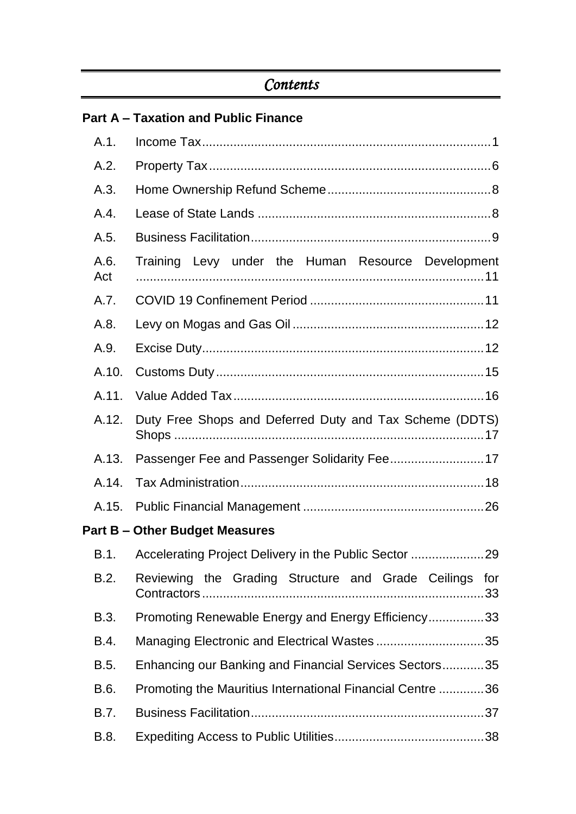# *Contents*

|  |  | <b>Part A – Taxation and Public Finance</b> |  |  |  |
|--|--|---------------------------------------------|--|--|--|
|--|--|---------------------------------------------|--|--|--|

| A.1.        |                                                           |
|-------------|-----------------------------------------------------------|
| A.2.        |                                                           |
| A.3.        |                                                           |
| A.4.        |                                                           |
| A.5.        |                                                           |
| A.6.<br>Act | Training Levy under the Human Resource Development        |
| A.7.        |                                                           |
| A.8.        |                                                           |
| A.9.        |                                                           |
| A.10.       |                                                           |
| A.11.       |                                                           |
| A.12.       | Duty Free Shops and Deferred Duty and Tax Scheme (DDTS)   |
| A.13.       |                                                           |
| A.14.       |                                                           |
| A.15.       |                                                           |
|             | <b>Part B - Other Budget Measures</b>                     |
| B.1.        |                                                           |
| B.2.        | Reviewing the Grading Structure and Grade Ceilings for    |
| B.3.        | Promoting Renewable Energy and Energy Efficiency33        |
| B.4.        |                                                           |
| B.5.        | Enhancing our Banking and Financial Services Sectors35    |
| B.6.        | Promoting the Mauritius International Financial Centre 36 |
| B.7.        |                                                           |
| B.8.        |                                                           |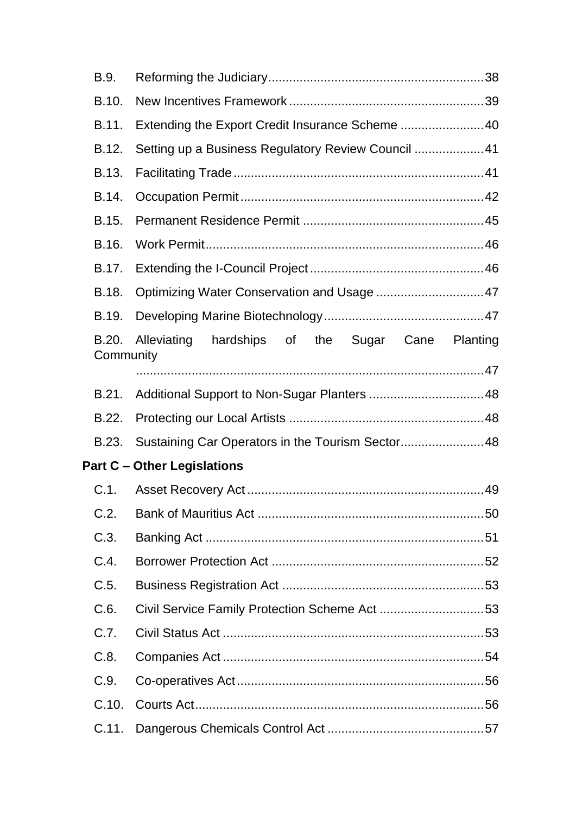| B.9.               |                                                    |  |  |
|--------------------|----------------------------------------------------|--|--|
| B.10.              |                                                    |  |  |
| B.11.              | Extending the Export Credit Insurance Scheme 40    |  |  |
| B.12.              | Setting up a Business Regulatory Review Council 41 |  |  |
| B.13.              |                                                    |  |  |
| B.14.              |                                                    |  |  |
| B.15.              |                                                    |  |  |
| B.16.              |                                                    |  |  |
| B.17.              |                                                    |  |  |
| B.18.              |                                                    |  |  |
| B.19.              |                                                    |  |  |
| B.20.<br>Community | Alleviating hardships of the Sugar Cane Planting   |  |  |
|                    |                                                    |  |  |
| B.21.              |                                                    |  |  |
| B.22.              |                                                    |  |  |
| B.23.              | Sustaining Car Operators in the Tourism Sector 48  |  |  |
|                    | <b>Part C - Other Legislations</b>                 |  |  |
| C.1.               |                                                    |  |  |
| C.2.               |                                                    |  |  |
| C.3.               |                                                    |  |  |
| C.4.               |                                                    |  |  |
| C.5.               |                                                    |  |  |
| C.6.               |                                                    |  |  |
| C.7.               |                                                    |  |  |
| C.8.               |                                                    |  |  |
| C.9.               |                                                    |  |  |
| C.10.              |                                                    |  |  |
| C.11.              |                                                    |  |  |
|                    |                                                    |  |  |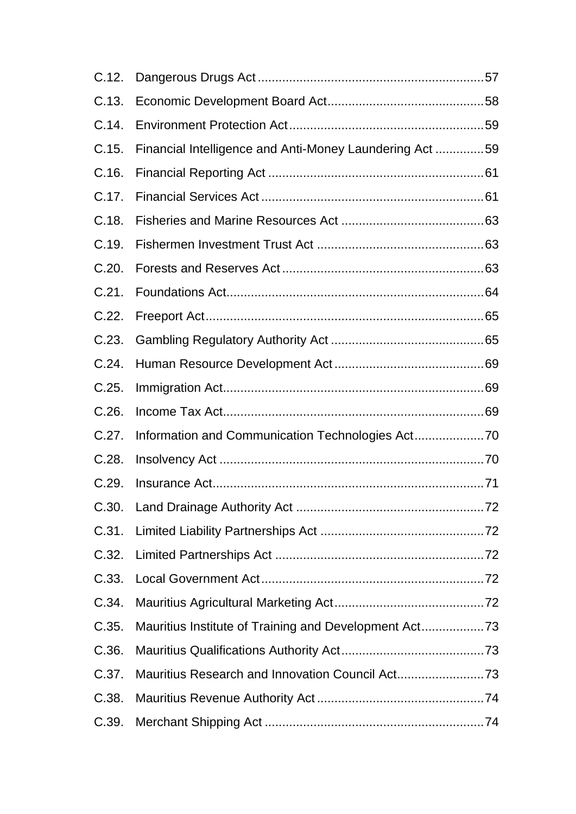| C.12. |                                                         |  |
|-------|---------------------------------------------------------|--|
| C.13. |                                                         |  |
| C.14. |                                                         |  |
| C.15. | Financial Intelligence and Anti-Money Laundering Act 59 |  |
| C.16. |                                                         |  |
| C.17. |                                                         |  |
| C.18. |                                                         |  |
| C.19. |                                                         |  |
| C.20. |                                                         |  |
| C.21. |                                                         |  |
| C.22. |                                                         |  |
| C.23. |                                                         |  |
| C.24. |                                                         |  |
| C.25. |                                                         |  |
| C.26. |                                                         |  |
| C.27. |                                                         |  |
| C.28. |                                                         |  |
| C.29. |                                                         |  |
| C.30. |                                                         |  |
| C.31. |                                                         |  |
| C.32. |                                                         |  |
| C.33. |                                                         |  |
| C.34. |                                                         |  |
| C.35. | Mauritius Institute of Training and Development Act73   |  |
| C.36. |                                                         |  |
| C.37. | Mauritius Research and Innovation Council Act73         |  |
| C.38. |                                                         |  |
| C.39. |                                                         |  |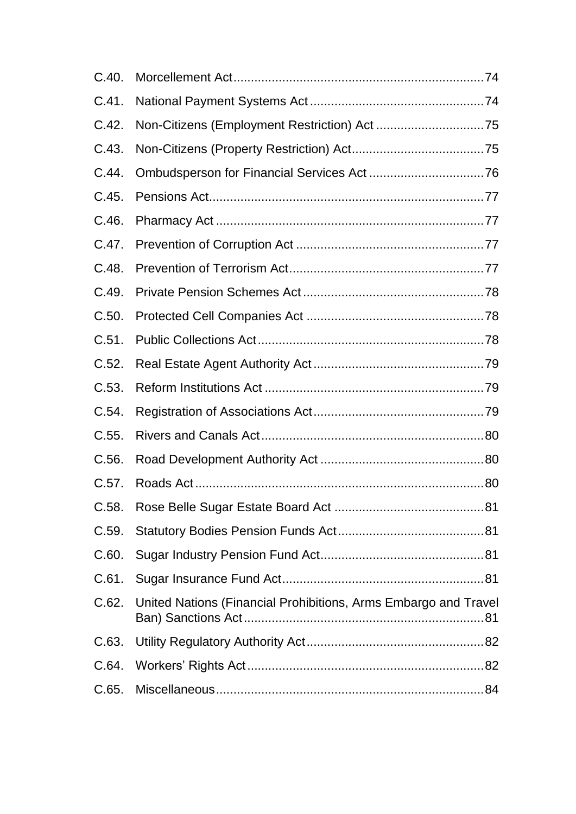| C.40. |                                                                 |  |
|-------|-----------------------------------------------------------------|--|
| C.41. |                                                                 |  |
| C.42. |                                                                 |  |
| C.43. |                                                                 |  |
| C.44. |                                                                 |  |
| C.45. |                                                                 |  |
| C.46. |                                                                 |  |
| C.47. |                                                                 |  |
| C.48. |                                                                 |  |
| C.49. |                                                                 |  |
| C.50. |                                                                 |  |
| C.51. |                                                                 |  |
| C.52. |                                                                 |  |
| C.53. |                                                                 |  |
| C.54. |                                                                 |  |
| C.55. |                                                                 |  |
| C.56. |                                                                 |  |
| C.57. |                                                                 |  |
| C.58. |                                                                 |  |
| C.59. |                                                                 |  |
| C.60. |                                                                 |  |
| C.61. |                                                                 |  |
| C.62. | United Nations (Financial Prohibitions, Arms Embargo and Travel |  |
| C.63. |                                                                 |  |
| C.64. |                                                                 |  |
| C.65. |                                                                 |  |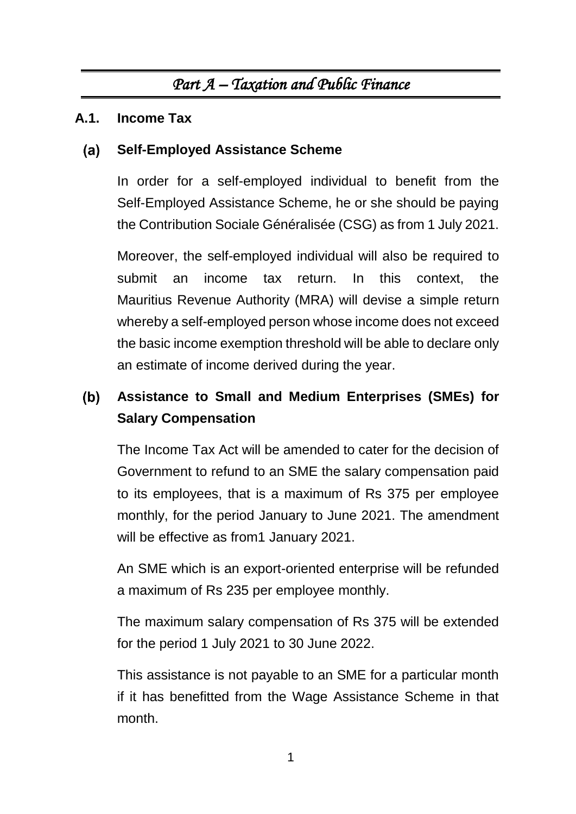# *Part A – Taxation and Public Finance*

## <span id="page-5-1"></span><span id="page-5-0"></span>**A.1. Income Tax**

### $(a)$ **Self-Employed Assistance Scheme**

In order for a self-employed individual to benefit from the Self-Employed Assistance Scheme, he or she should be paying the Contribution Sociale Généralisée (CSG) as from 1 July 2021.

Moreover, the self-employed individual will also be required to submit an income tax return. In this context, the Mauritius Revenue Authority (MRA) will devise a simple return whereby a self-employed person whose income does not exceed the basic income exemption threshold will be able to declare only an estimate of income derived during the year.

### $(b)$ **Assistance to Small and Medium Enterprises (SMEs) for Salary Compensation**

The Income Tax Act will be amended to cater for the decision of Government to refund to an SME the salary compensation paid to its employees, that is a maximum of Rs 375 per employee monthly, for the period January to June 2021. The amendment will be effective as from1 January 2021.

An SME which is an export-oriented enterprise will be refunded a maximum of Rs 235 per employee monthly.

The maximum salary compensation of Rs 375 will be extended for the period 1 July 2021 to 30 June 2022.

This assistance is not payable to an SME for a particular month if it has benefitted from the Wage Assistance Scheme in that month.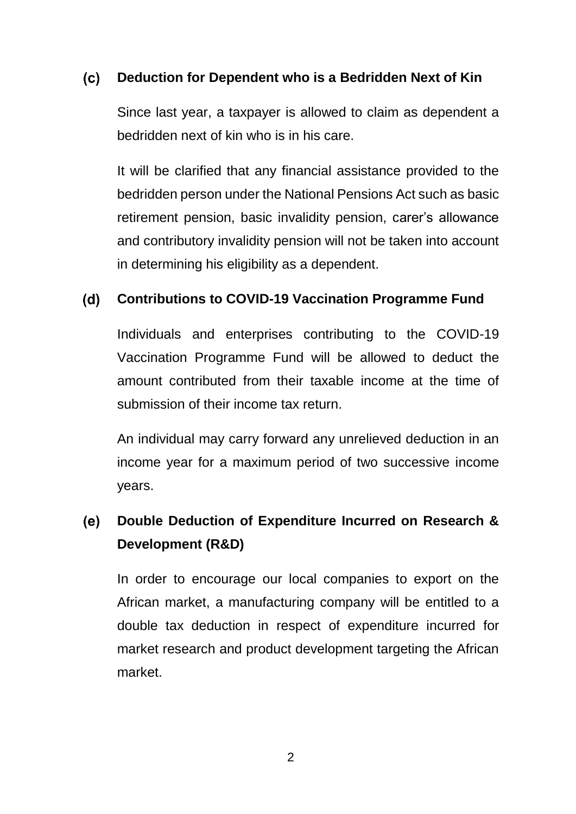### $(c)$ **Deduction for Dependent who is a Bedridden Next of Kin**

Since last year, a taxpayer is allowed to claim as dependent a bedridden next of kin who is in his care.

It will be clarified that any financial assistance provided to the bedridden person under the National Pensions Act such as basic retirement pension, basic invalidity pension, carer's allowance and contributory invalidity pension will not be taken into account in determining his eligibility as a dependent.

### $(d)$ **Contributions to COVID-19 Vaccination Programme Fund**

Individuals and enterprises contributing to the COVID-19 Vaccination Programme Fund will be allowed to deduct the amount contributed from their taxable income at the time of submission of their income tax return.

An individual may carry forward any unrelieved deduction in an income year for a maximum period of two successive income years.

### $(e)$ **Double Deduction of Expenditure Incurred on Research & Development (R&D)**

In order to encourage our local companies to export on the African market, a manufacturing company will be entitled to a double tax deduction in respect of expenditure incurred for market research and product development targeting the African market.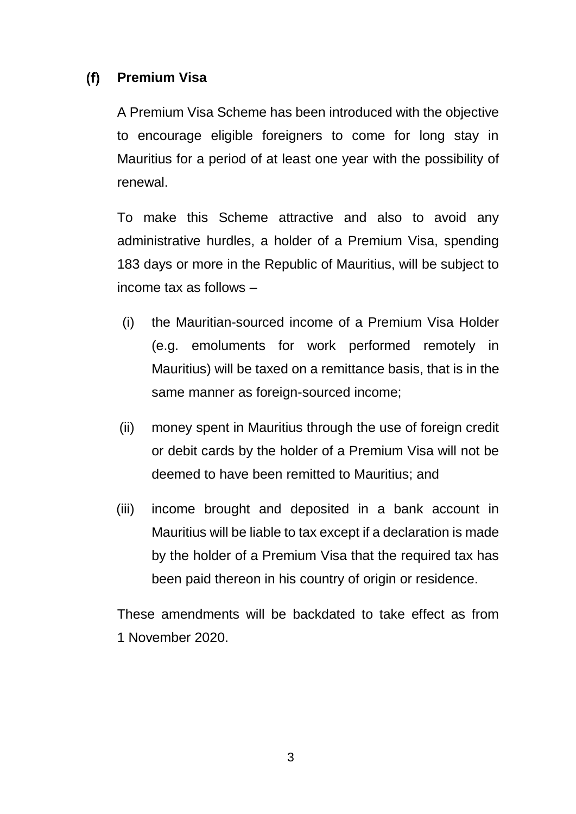### $(f)$ **Premium Visa**

A Premium Visa Scheme has been introduced with the objective to encourage eligible foreigners to come for long stay in Mauritius for a period of at least one year with the possibility of renewal.

To make this Scheme attractive and also to avoid any administrative hurdles, a holder of a Premium Visa, spending 183 days or more in the Republic of Mauritius, will be subject to income tax as follows –

- (i) the Mauritian-sourced income of a Premium Visa Holder (e.g. emoluments for work performed remotely in Mauritius) will be taxed on a remittance basis, that is in the same manner as foreign-sourced income;
- (ii) money spent in Mauritius through the use of foreign credit or debit cards by the holder of a Premium Visa will not be deemed to have been remitted to Mauritius; and
- (iii) income brought and deposited in a bank account in Mauritius will be liable to tax except if a declaration is made by the holder of a Premium Visa that the required tax has been paid thereon in his country of origin or residence.

These amendments will be backdated to take effect as from 1 November 2020.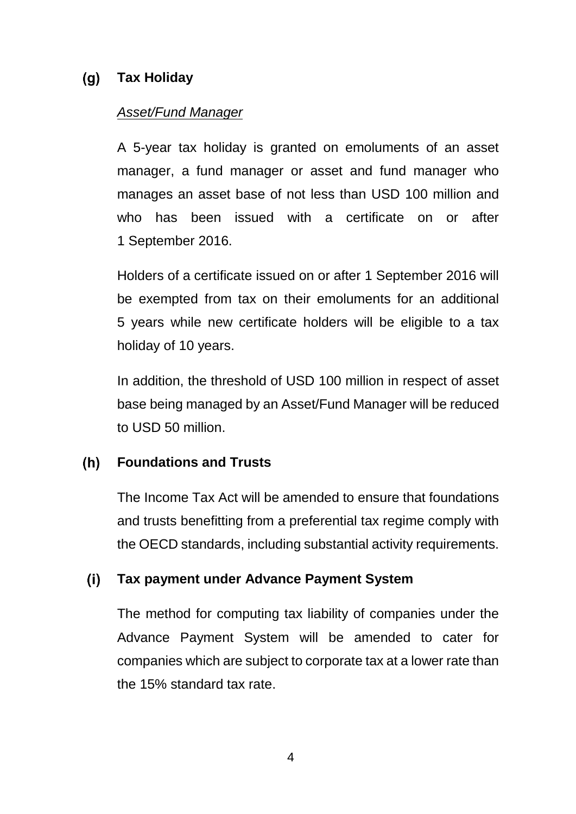### **Tax Holiday**  $(q)$

## *Asset/Fund Manager*

A 5-year tax holiday is granted on emoluments of an asset manager, a fund manager or asset and fund manager who manages an asset base of not less than USD 100 million and who has been issued with a certificate on or after 1 September 2016.

Holders of a certificate issued on or after 1 September 2016 will be exempted from tax on their emoluments for an additional 5 years while new certificate holders will be eligible to a tax holiday of 10 years.

In addition, the threshold of USD 100 million in respect of asset base being managed by an Asset/Fund Manager will be reduced to USD 50 million.

### $(h)$ **Foundations and Trusts**

The Income Tax Act will be amended to ensure that foundations and trusts benefitting from a preferential tax regime comply with the OECD standards, including substantial activity requirements.

### $(i)$ **Tax payment under Advance Payment System**

The method for computing tax liability of companies under the Advance Payment System will be amended to cater for companies which are subject to corporate tax at a lower rate than the 15% standard tax rate.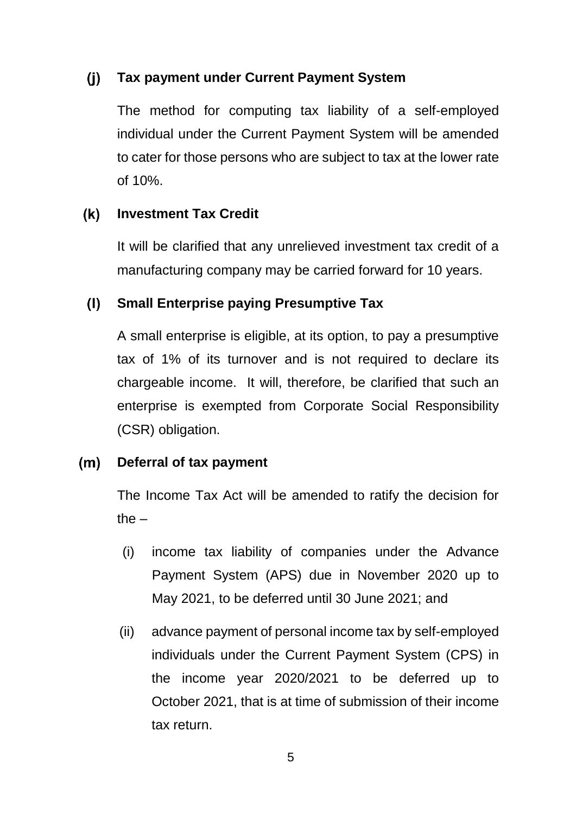### $(i)$ **Tax payment under Current Payment System**

The method for computing tax liability of a self-employed individual under the Current Payment System will be amended to cater for those persons who are subject to tax at the lower rate of 10%.

### $(k)$ **Investment Tax Credit**

It will be clarified that any unrelieved investment tax credit of a manufacturing company may be carried forward for 10 years.

### $(1)$ **Small Enterprise paying Presumptive Tax**

A small enterprise is eligible, at its option, to pay a presumptive tax of 1% of its turnover and is not required to declare its chargeable income. It will, therefore, be clarified that such an enterprise is exempted from Corporate Social Responsibility (CSR) obligation.

### $(m)$ **Deferral of tax payment**

The Income Tax Act will be amended to ratify the decision for the  $-$ 

- (i) income tax liability of companies under the Advance Payment System (APS) due in November 2020 up to May 2021, to be deferred until 30 June 2021; and
- (ii) advance payment of personal income tax by self-employed individuals under the Current Payment System (CPS) in the income year 2020/2021 to be deferred up to October 2021, that is at time of submission of their income tax return.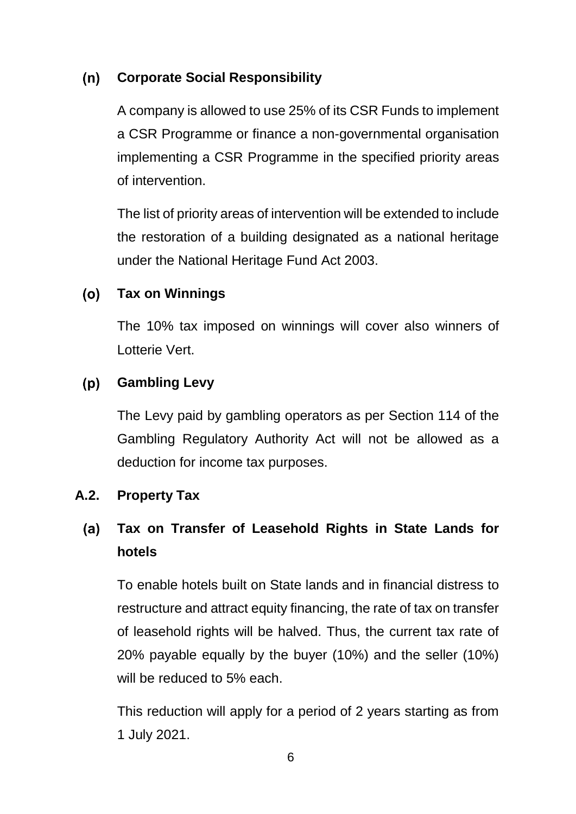### $(n)$ **Corporate Social Responsibility**

A company is allowed to use 25% of its CSR Funds to implement a CSR Programme or finance a non-governmental organisation implementing a CSR Programme in the specified priority areas of intervention.

The list of priority areas of intervention will be extended to include the restoration of a building designated as a national heritage under the National Heritage Fund Act 2003.

### $(o)$ **Tax on Winnings**

The 10% tax imposed on winnings will cover also winners of Lotterie Vert.

### $(p)$ **Gambling Levy**

The Levy paid by gambling operators as per Section 114 of the Gambling Regulatory Authority Act will not be allowed as a deduction for income tax purposes.

## <span id="page-10-0"></span>**A.2. Property Tax**

### $(a)$ **Tax on Transfer of Leasehold Rights in State Lands for hotels**

To enable hotels built on State lands and in financial distress to restructure and attract equity financing, the rate of tax on transfer of leasehold rights will be halved. Thus, the current tax rate of 20% payable equally by the buyer (10%) and the seller (10%) will be reduced to 5% each.

This reduction will apply for a period of 2 years starting as from 1 July 2021.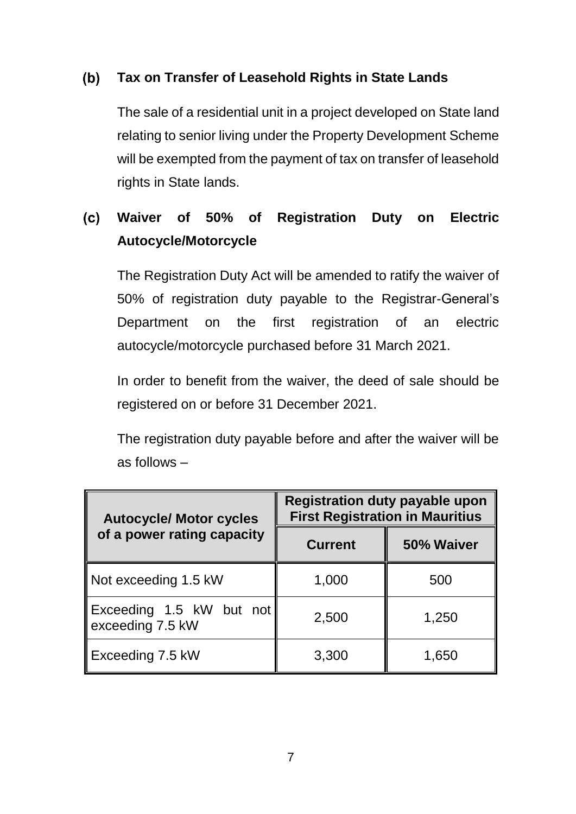### $(b)$ **Tax on Transfer of Leasehold Rights in State Lands**

The sale of a residential unit in a project developed on State land relating to senior living under the Property Development Scheme will be exempted from the payment of tax on transfer of leasehold rights in State lands.

### **Waiver of 50% of Registration Duty on Electric**   $(c)$ **Autocycle/Motorcycle**

The Registration Duty Act will be amended to ratify the waiver of 50% of registration duty payable to the Registrar-General's Department on the first registration of an electric autocycle/motorcycle purchased before 31 March 2021.

In order to benefit from the waiver, the deed of sale should be registered on or before 31 December 2021.

The registration duty payable before and after the waiver will be as follows –

| <b>Autocycle/ Motor cycles</b>               | <b>Registration duty payable upon</b><br><b>First Registration in Mauritius</b> |            |  |
|----------------------------------------------|---------------------------------------------------------------------------------|------------|--|
| of a power rating capacity                   | <b>Current</b>                                                                  | 50% Waiver |  |
| Not exceeding 1.5 kW                         | 1,000                                                                           | 500        |  |
| Exceeding 1.5 kW but not<br>exceeding 7.5 kW | 2,500                                                                           | 1,250      |  |
| Exceeding 7.5 kW                             | 3,300                                                                           | 1,650      |  |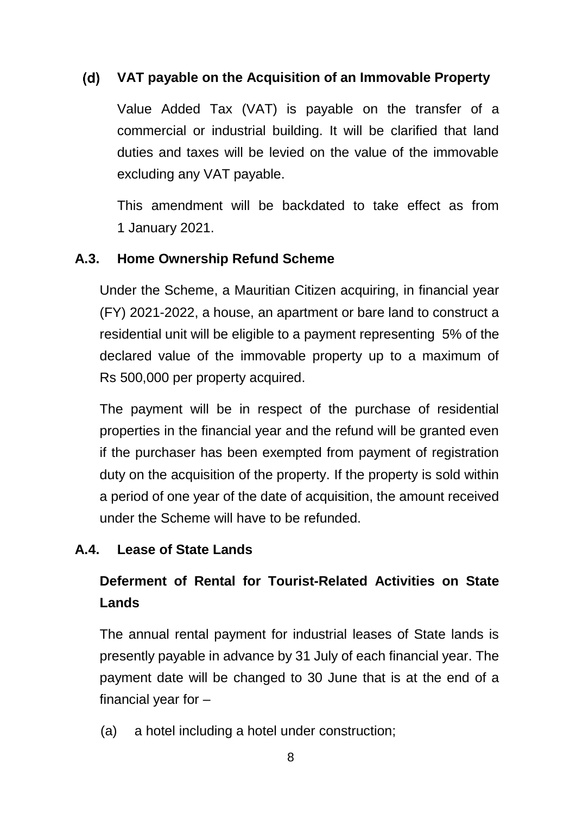### $(d)$ **VAT payable on the Acquisition of an Immovable Property**

Value Added Tax (VAT) is payable on the transfer of a commercial or industrial building. It will be clarified that land duties and taxes will be levied on the value of the immovable excluding any VAT payable.

This amendment will be backdated to take effect as from 1 January 2021.

## <span id="page-12-0"></span>**A.3. Home Ownership Refund Scheme**

Under the Scheme, a Mauritian Citizen acquiring, in financial year (FY) 2021-2022, a house, an apartment or bare land to construct a residential unit will be eligible to a payment representing 5% of the declared value of the immovable property up to a maximum of Rs 500,000 per property acquired.

The payment will be in respect of the purchase of residential properties in the financial year and the refund will be granted even if the purchaser has been exempted from payment of registration duty on the acquisition of the property. If the property is sold within a period of one year of the date of acquisition, the amount received under the Scheme will have to be refunded.

## <span id="page-12-1"></span>**A.4. Lease of State Lands**

# **Deferment of Rental for Tourist-Related Activities on State Lands**

The annual rental payment for industrial leases of State lands is presently payable in advance by 31 July of each financial year. The payment date will be changed to 30 June that is at the end of a financial year for –

(a) a hotel including a hotel under construction;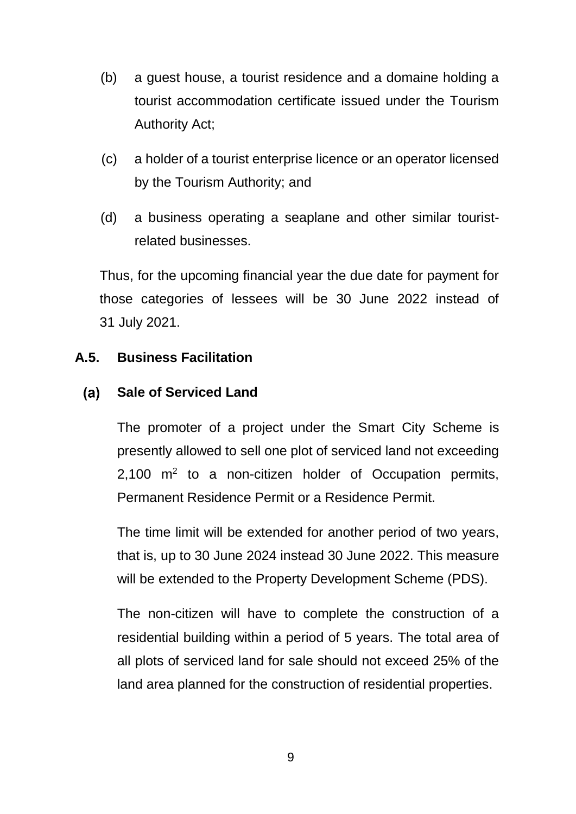- (b) a guest house, a tourist residence and a domaine holding a tourist accommodation certificate issued under the Tourism Authority Act;
- (c) a holder of a tourist enterprise licence or an operator licensed by the Tourism Authority; and
- (d) a business operating a seaplane and other similar touristrelated businesses.

Thus, for the upcoming financial year the due date for payment for those categories of lessees will be 30 June 2022 instead of 31 July 2021.

## <span id="page-13-0"></span>**A.5. Business Facilitation**

### $(a)$ **Sale of Serviced Land**

The promoter of a project under the Smart City Scheme is presently allowed to sell one plot of serviced land not exceeding 2,100  $m^2$  to a non-citizen holder of Occupation permits, Permanent Residence Permit or a Residence Permit.

The time limit will be extended for another period of two years, that is, up to 30 June 2024 instead 30 June 2022. This measure will be extended to the Property Development Scheme (PDS).

The non-citizen will have to complete the construction of a residential building within a period of 5 years. The total area of all plots of serviced land for sale should not exceed 25% of the land area planned for the construction of residential properties.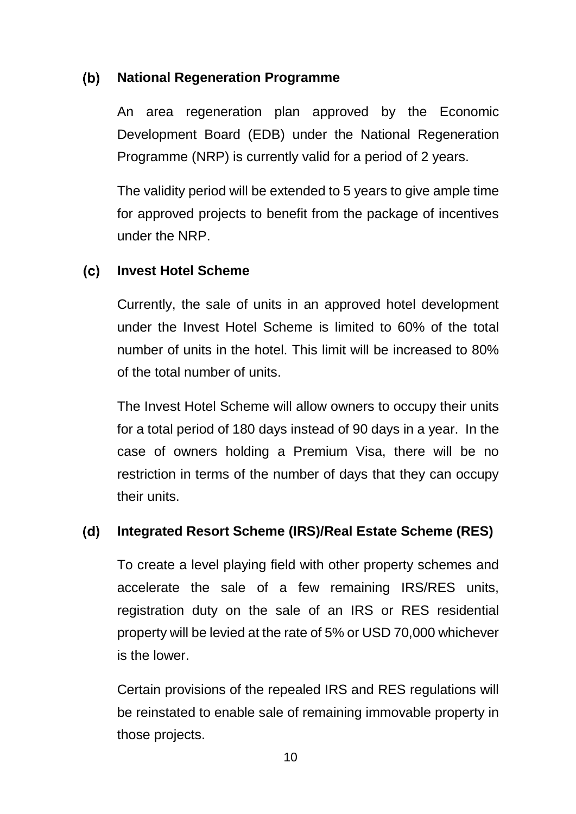### $(b)$ **National Regeneration Programme**

An area regeneration plan approved by the Economic Development Board (EDB) under the National Regeneration Programme (NRP) is currently valid for a period of 2 years.

The validity period will be extended to 5 years to give ample time for approved projects to benefit from the package of incentives under the NRP.

### $(c)$ **Invest Hotel Scheme**

Currently, the sale of units in an approved hotel development under the Invest Hotel Scheme is limited to 60% of the total number of units in the hotel. This limit will be increased to 80% of the total number of units.

The Invest Hotel Scheme will allow owners to occupy their units for a total period of 180 days instead of 90 days in a year. In the case of owners holding a Premium Visa, there will be no restriction in terms of the number of days that they can occupy their units.

### $(d)$ **Integrated Resort Scheme (IRS)/Real Estate Scheme (RES)**

To create a level playing field with other property schemes and accelerate the sale of a few remaining IRS/RES units, registration duty on the sale of an IRS or RES residential property will be levied at the rate of 5% or USD 70,000 whichever is the lower.

Certain provisions of the repealed IRS and RES regulations will be reinstated to enable sale of remaining immovable property in those projects.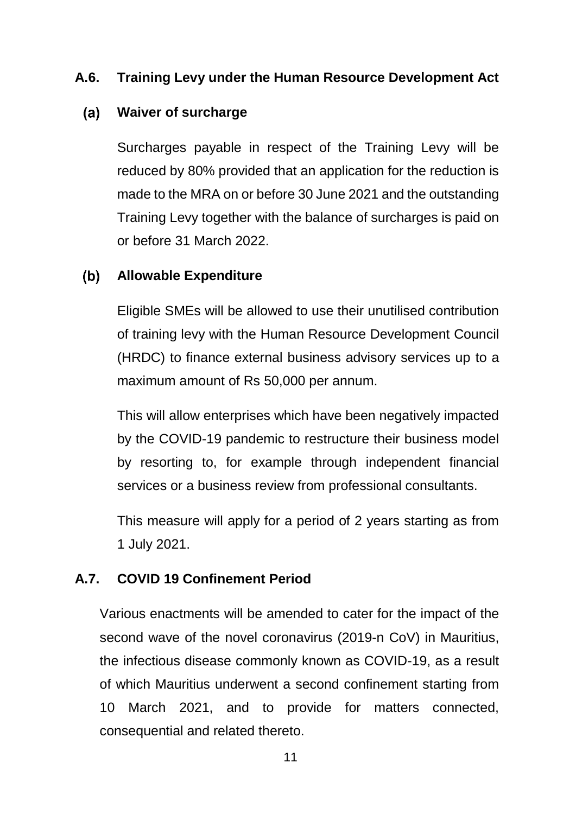## <span id="page-15-0"></span>**A.6. Training Levy under the Human Resource Development Act**

#### $(a)$ **Waiver of surcharge**

Surcharges payable in respect of the Training Levy will be reduced by 80% provided that an application for the reduction is made to the MRA on or before 30 June 2021 and the outstanding Training Levy together with the balance of surcharges is paid on or before 31 March 2022.

#### $(b)$ **Allowable Expenditure**

Eligible SMEs will be allowed to use their unutilised contribution of training levy with the Human Resource Development Council (HRDC) to finance external business advisory services up to a maximum amount of Rs 50,000 per annum.

This will allow enterprises which have been negatively impacted by the COVID-19 pandemic to restructure their business model by resorting to, for example through independent financial services or a business review from professional consultants.

This measure will apply for a period of 2 years starting as from 1 July 2021.

## <span id="page-15-1"></span>**A.7. COVID 19 Confinement Period**

Various enactments will be amended to cater for the impact of the second wave of the novel coronavirus (2019-n CoV) in Mauritius, the infectious disease commonly known as COVID-19, as a result of which Mauritius underwent a second confinement starting from 10 March 2021, and to provide for matters connected, consequential and related thereto.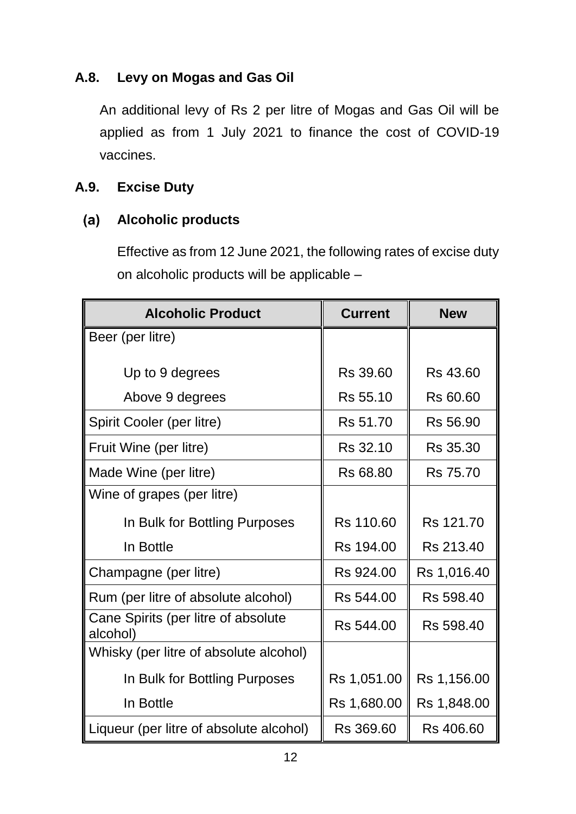## <span id="page-16-0"></span>**A.8. Levy on Mogas and Gas Oil**

An additional levy of Rs 2 per litre of Mogas and Gas Oil will be applied as from 1 July 2021 to finance the cost of COVID-19 vaccines.

## <span id="page-16-1"></span>**A.9. Excise Duty**

### $(a)$ **Alcoholic products**

Effective as from 12 June 2021, the following rates of excise duty on alcoholic products will be applicable –

| <b>Alcoholic Product</b>                        | <b>Current</b> | <b>New</b>  |
|-------------------------------------------------|----------------|-------------|
| Beer (per litre)                                |                |             |
| Up to 9 degrees                                 | Rs 39.60       | Rs 43.60    |
| Above 9 degrees                                 | Rs 55.10       | Rs 60.60    |
| Spirit Cooler (per litre)                       | Rs 51.70       | Rs 56.90    |
| Fruit Wine (per litre)                          | Rs 32.10       | Rs 35.30    |
| Made Wine (per litre)                           | Rs 68.80       | Rs 75.70    |
| Wine of grapes (per litre)                      |                |             |
| In Bulk for Bottling Purposes                   | Rs 110.60      | Rs 121.70   |
| In Bottle                                       | Rs 194.00      | Rs 213.40   |
| Champagne (per litre)                           | Rs 924.00      | Rs 1,016.40 |
| Rum (per litre of absolute alcohol)             | Rs 544.00      | Rs 598.40   |
| Cane Spirits (per litre of absolute<br>alcohol) | Rs 544.00      | Rs 598.40   |
| Whisky (per litre of absolute alcohol)          |                |             |
| In Bulk for Bottling Purposes                   | Rs 1,051.00    | Rs 1,156.00 |
| In Bottle                                       | Rs 1,680.00    | Rs 1,848.00 |
| Liqueur (per litre of absolute alcohol)         | Rs 369.60      | Rs 406.60   |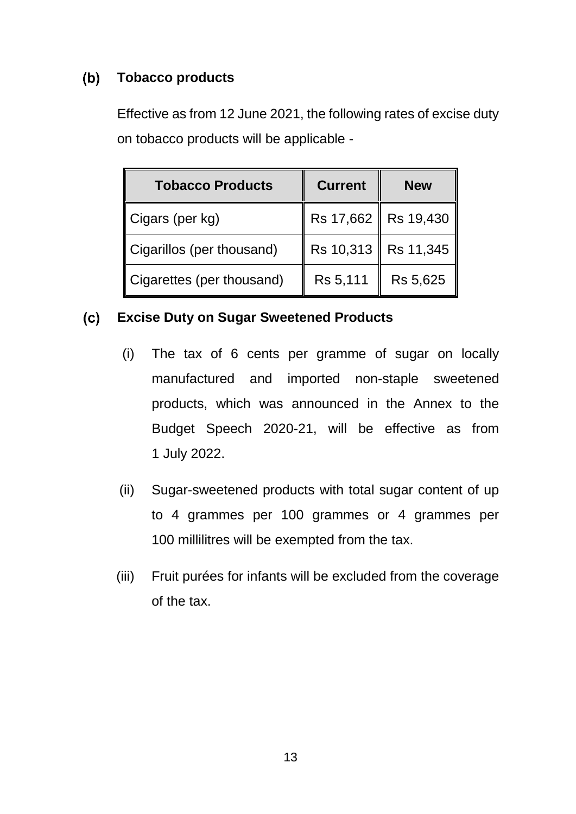### $(b)$ **Tobacco products**

Effective as from 12 June 2021, the following rates of excise duty on tobacco products will be applicable -

| <b>Tobacco Products</b>     | <b>Current</b> | <b>New</b> |  |
|-----------------------------|----------------|------------|--|
| $\parallel$ Cigars (per kg) | Rs 17,662<br>I | Rs 19,430  |  |
| Cigarillos (per thousand)   | Rs 10,313<br>I | Rs 11,345  |  |
| Cigarettes (per thousand)   | Rs 5,111       | Rs 5,625   |  |

#### **Excise Duty on Sugar Sweetened Products**   $(c)$

- (i) The tax of 6 cents per gramme of sugar on locally manufactured and imported non-staple sweetened products, which was announced in the Annex to the Budget Speech 2020-21, will be effective as from 1 July 2022.
- (ii) Sugar-sweetened products with total sugar content of up to 4 grammes per 100 grammes or 4 grammes per 100 millilitres will be exempted from the tax.
- (iii) Fruit purées for infants will be excluded from the coverage of the tax.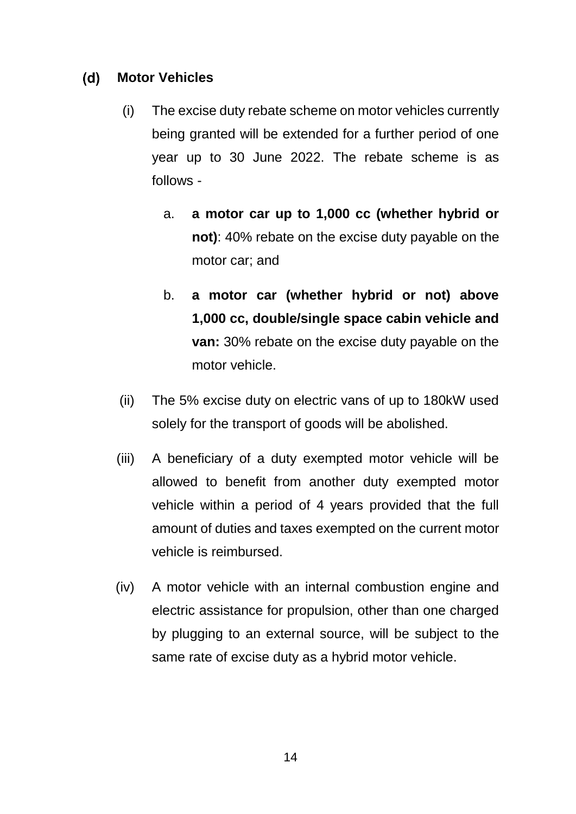### $(d)$ **Motor Vehicles**

- (i) The excise duty rebate scheme on motor vehicles currently being granted will be extended for a further period of one year up to 30 June 2022. The rebate scheme is as follows
	- a. **a motor car up to 1,000 cc (whether hybrid or not)**: 40% rebate on the excise duty payable on the motor car; and
	- b. **a motor car (whether hybrid or not) above 1,000 cc, double/single space cabin vehicle and van:** 30% rebate on the excise duty payable on the motor vehicle.
- (ii) The 5% excise duty on electric vans of up to 180kW used solely for the transport of goods will be abolished.
- (iii) A beneficiary of a duty exempted motor vehicle will be allowed to benefit from another duty exempted motor vehicle within a period of 4 years provided that the full amount of duties and taxes exempted on the current motor vehicle is reimbursed.
- (iv) A motor vehicle with an internal combustion engine and electric assistance for propulsion, other than one charged by plugging to an external source, will be subject to the same rate of excise duty as a hybrid motor vehicle.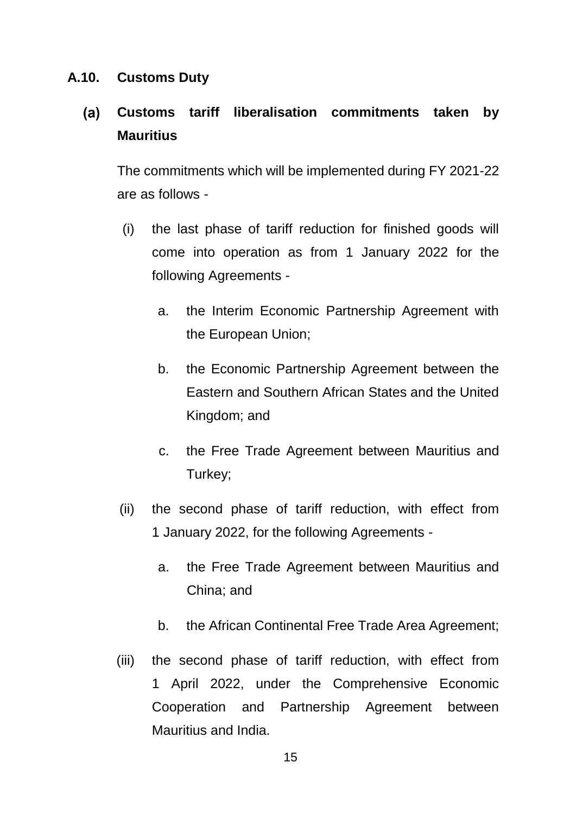## <span id="page-19-0"></span>**A.10. Customs Duty**

### $(a)$ **Customs tariff liberalisation commitments taken by Mauritius**

The commitments which will be implemented during FY 2021-22 are as follows -

- (i) the last phase of tariff reduction for finished goods will come into operation as from 1 January 2022 for the following Agreements
	- a. the Interim Economic Partnership Agreement with the European Union;
	- b. the Economic Partnership Agreement between the Eastern and Southern African States and the United Kingdom; and
	- c. the Free Trade Agreement between Mauritius and Turkey;
- (ii) the second phase of tariff reduction, with effect from 1 January 2022, for the following Agreements
	- a. the Free Trade Agreement between Mauritius and China; and
	- b. the African Continental Free Trade Area Agreement;
- (iii) the second phase of tariff reduction, with effect from 1 April 2022, under the Comprehensive Economic Cooperation and Partnership Agreement between Mauritius and India.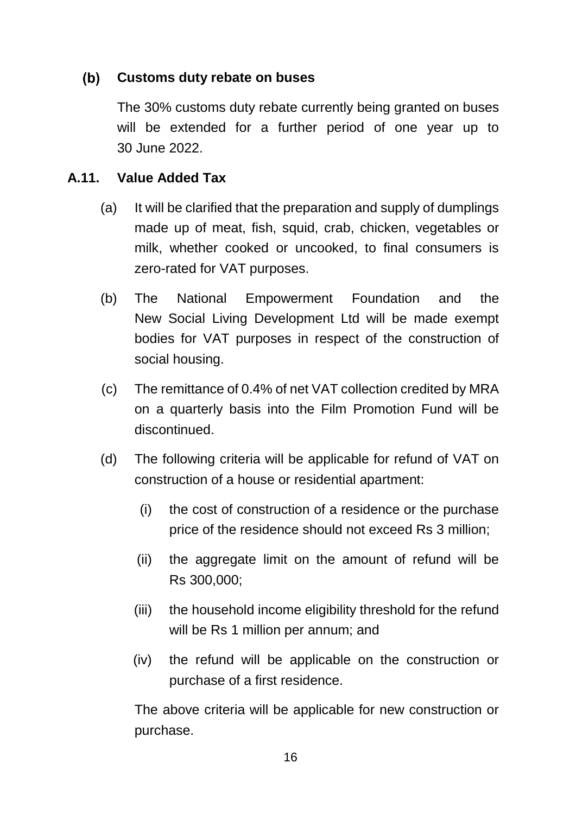### $(b)$ **Customs duty rebate on buses**

The 30% customs duty rebate currently being granted on buses will be extended for a further period of one year up to 30 June 2022.

## <span id="page-20-0"></span>**A.11. Value Added Tax**

- (a) It will be clarified that the preparation and supply of dumplings made up of meat, fish, squid, crab, chicken, vegetables or milk, whether cooked or uncooked, to final consumers is zero-rated for VAT purposes.
- (b) The National Empowerment Foundation and the New Social Living Development Ltd will be made exempt bodies for VAT purposes in respect of the construction of social housing.
- (c) The remittance of 0.4% of net VAT collection credited by MRA on a quarterly basis into the Film Promotion Fund will be discontinued.
- (d) The following criteria will be applicable for refund of VAT on construction of a house or residential apartment:
	- (i) the cost of construction of a residence or the purchase price of the residence should not exceed Rs 3 million;
	- (ii) the aggregate limit on the amount of refund will be Rs 300,000;
	- (iii) the household income eligibility threshold for the refund will be Rs 1 million per annum; and
	- (iv) the refund will be applicable on the construction or purchase of a first residence.

The above criteria will be applicable for new construction or purchase.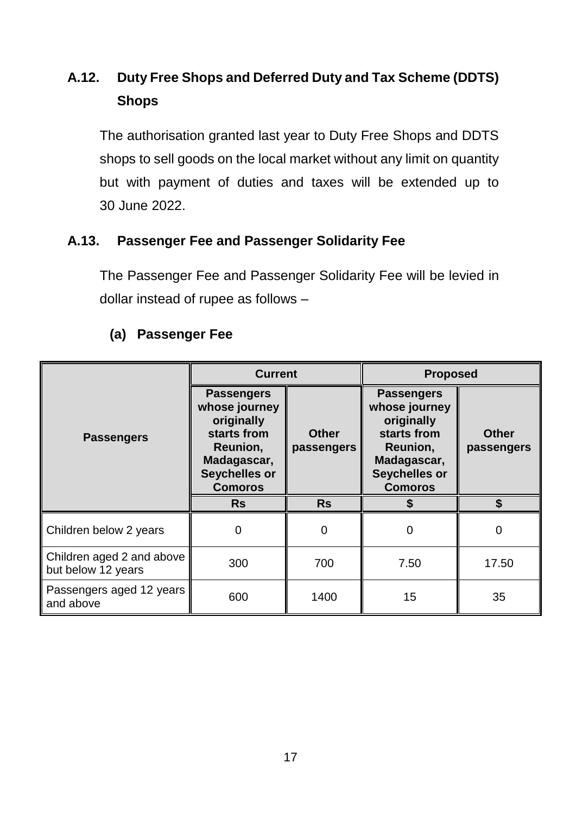# <span id="page-21-0"></span>**A.12. Duty Free Shops and Deferred Duty and Tax Scheme (DDTS) Shops**

The authorisation granted last year to Duty Free Shops and DDTS shops to sell goods on the local market without any limit on quantity but with payment of duties and taxes will be extended up to 30 June 2022.

## <span id="page-21-1"></span>**A.13. Passenger Fee and Passenger Solidarity Fee**

The Passenger Fee and Passenger Solidarity Fee will be levied in dollar instead of rupee as follows –

|                                                 | <b>Current</b>                                                                                                                |                            | <b>Proposed</b>                                                                                                                      |                            |
|-------------------------------------------------|-------------------------------------------------------------------------------------------------------------------------------|----------------------------|--------------------------------------------------------------------------------------------------------------------------------------|----------------------------|
| <b>Passengers</b>                               | <b>Passengers</b><br>whose journey<br>originally<br>starts from<br>Reunion,<br>Madagascar,<br>Seychelles or<br><b>Comoros</b> | <b>Other</b><br>passengers | <b>Passengers</b><br>whose journey<br>originally<br>starts from<br>Reunion,<br>Madagascar,<br><b>Seychelles or</b><br><b>Comoros</b> | <b>Other</b><br>passengers |
|                                                 | <b>Rs</b>                                                                                                                     | <b>Rs</b>                  |                                                                                                                                      |                            |
| Children below 2 years                          | 0                                                                                                                             | $\Omega$                   | 0                                                                                                                                    | 0                          |
| Children aged 2 and above<br>but below 12 years | 300                                                                                                                           | 700                        | 7.50                                                                                                                                 | 17.50                      |
| Passengers aged 12 years<br>and above           | 600                                                                                                                           | 1400                       | 15                                                                                                                                   | 35                         |

## **(a) Passenger Fee**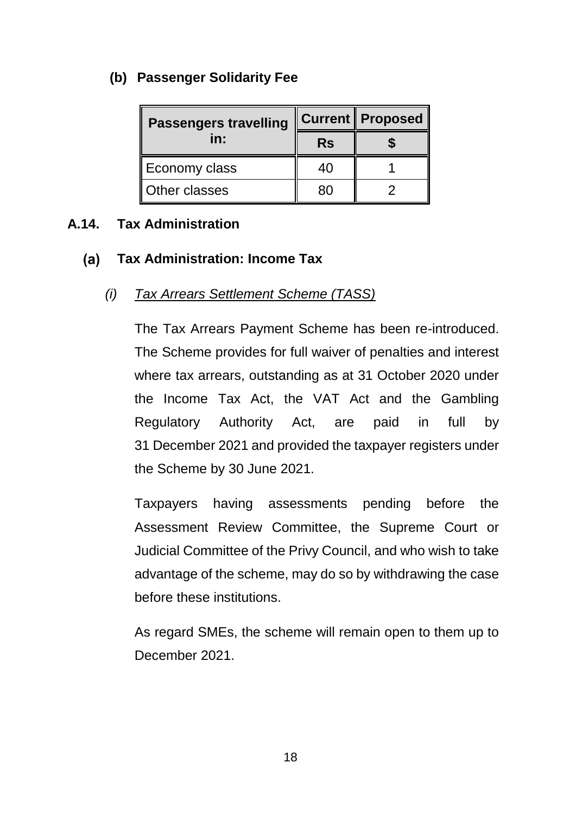## **(b) Passenger Solidarity Fee**

| <b>Passengers travelling</b> |           | Current    Proposed |  |
|------------------------------|-----------|---------------------|--|
| in:                          | <b>Rs</b> |                     |  |
| Economy class                | 40        |                     |  |
| Other classes                |           |                     |  |

## <span id="page-22-0"></span>**A.14. Tax Administration**

### $(a)$ **Tax Administration: Income Tax**

## *(i) Tax Arrears Settlement Scheme (TASS)*

The Tax Arrears Payment Scheme has been re-introduced. The Scheme provides for full waiver of penalties and interest where tax arrears, outstanding as at 31 October 2020 under the Income Tax Act, the VAT Act and the Gambling Regulatory Authority Act, are paid in full by 31 December 2021 and provided the taxpayer registers under the Scheme by 30 June 2021.

Taxpayers having assessments pending before the Assessment Review Committee, the Supreme Court or Judicial Committee of the Privy Council, and who wish to take advantage of the scheme, may do so by withdrawing the case before these institutions.

As regard SMEs, the scheme will remain open to them up to December 2021.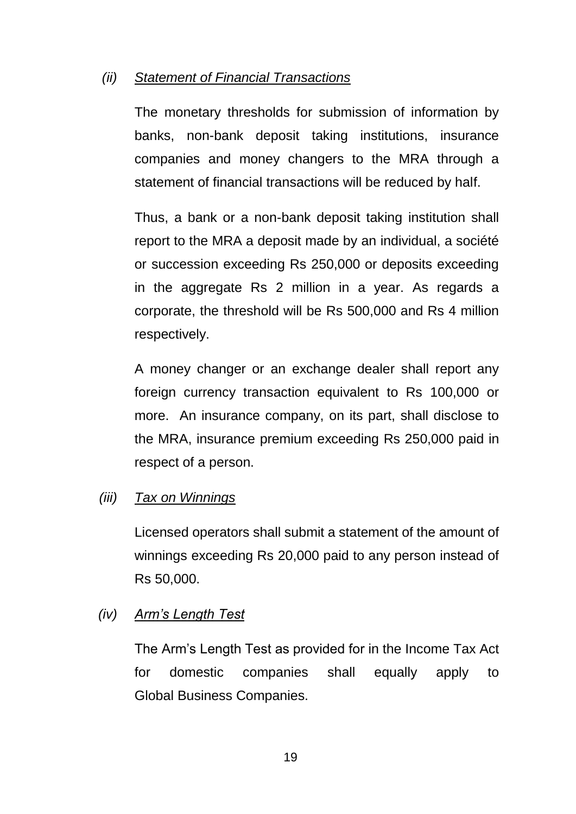## *(ii) Statement of Financial Transactions*

The monetary thresholds for submission of information by banks, non-bank deposit taking institutions, insurance companies and money changers to the MRA through a statement of financial transactions will be reduced by half.

Thus, a bank or a non-bank deposit taking institution shall report to the MRA a deposit made by an individual, a société or succession exceeding Rs 250,000 or deposits exceeding in the aggregate Rs 2 million in a year. As regards a corporate, the threshold will be Rs 500,000 and Rs 4 million respectively.

A money changer or an exchange dealer shall report any foreign currency transaction equivalent to Rs 100,000 or more. An insurance company, on its part, shall disclose to the MRA, insurance premium exceeding Rs 250,000 paid in respect of a person.

## *(iii) Tax on Winnings*

Licensed operators shall submit a statement of the amount of winnings exceeding Rs 20,000 paid to any person instead of Rs 50,000.

## *(iv) Arm's Length Test*

The Arm's Length Test as provided for in the Income Tax Act for domestic companies shall equally apply to Global Business Companies.

19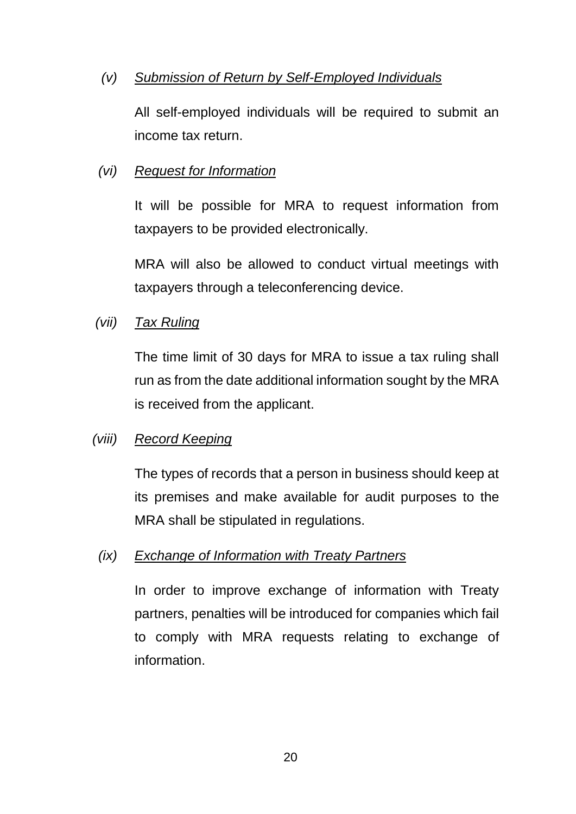## *(v) Submission of Return by Self-Employed Individuals*

All self-employed individuals will be required to submit an income tax return.

## *(vi) Request for Information*

It will be possible for MRA to request information from taxpayers to be provided electronically.

MRA will also be allowed to conduct virtual meetings with taxpayers through a teleconferencing device.

## *(vii) Tax Ruling*

The time limit of 30 days for MRA to issue a tax ruling shall run as from the date additional information sought by the MRA is received from the applicant.

## *(viii) Record Keeping*

The types of records that a person in business should keep at its premises and make available for audit purposes to the MRA shall be stipulated in regulations.

## *(ix) Exchange of Information with Treaty Partners*

In order to improve exchange of information with Treaty partners, penalties will be introduced for companies which fail to comply with MRA requests relating to exchange of information.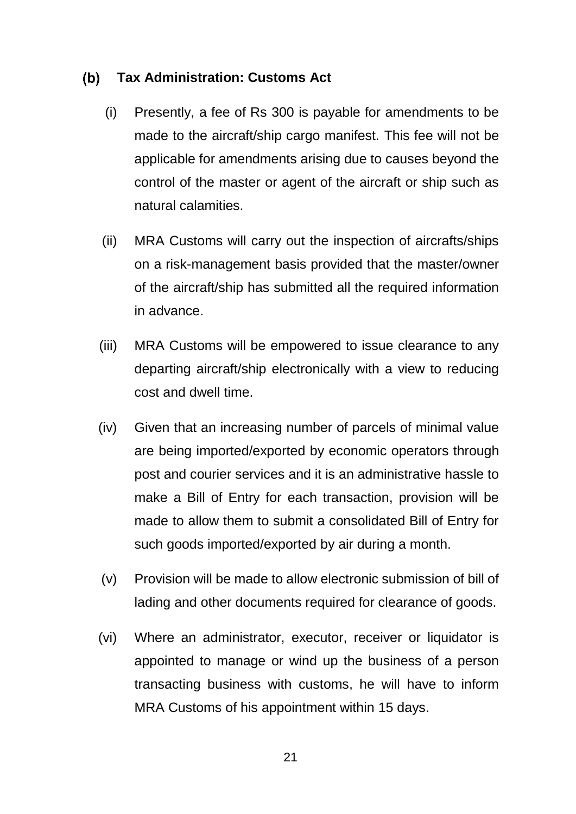#### $(b)$ **Tax Administration: Customs Act**

- (i) Presently, a fee of Rs 300 is payable for amendments to be made to the aircraft/ship cargo manifest. This fee will not be applicable for amendments arising due to causes beyond the control of the master or agent of the aircraft or ship such as natural calamities.
- (ii) MRA Customs will carry out the inspection of aircrafts/ships on a risk-management basis provided that the master/owner of the aircraft/ship has submitted all the required information in advance.
- (iii) MRA Customs will be empowered to issue clearance to any departing aircraft/ship electronically with a view to reducing cost and dwell time.
- (iv) Given that an increasing number of parcels of minimal value are being imported/exported by economic operators through post and courier services and it is an administrative hassle to make a Bill of Entry for each transaction, provision will be made to allow them to submit a consolidated Bill of Entry for such goods imported/exported by air during a month.
- (v) Provision will be made to allow electronic submission of bill of lading and other documents required for clearance of goods.
- (vi) Where an administrator, executor, receiver or liquidator is appointed to manage or wind up the business of a person transacting business with customs, he will have to inform MRA Customs of his appointment within 15 days.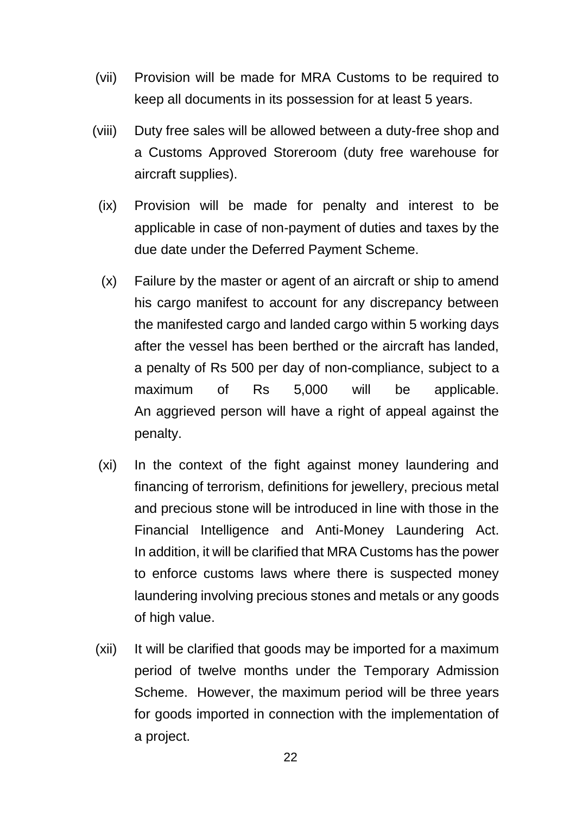- (vii) Provision will be made for MRA Customs to be required to keep all documents in its possession for at least 5 years.
- (viii) Duty free sales will be allowed between a duty-free shop and a Customs Approved Storeroom (duty free warehouse for aircraft supplies).
	- (ix) Provision will be made for penalty and interest to be applicable in case of non-payment of duties and taxes by the due date under the Deferred Payment Scheme.
	- (x) Failure by the master or agent of an aircraft or ship to amend his cargo manifest to account for any discrepancy between the manifested cargo and landed cargo within 5 working days after the vessel has been berthed or the aircraft has landed, a penalty of Rs 500 per day of non-compliance, subject to a maximum of Rs 5,000 will be applicable. An aggrieved person will have a right of appeal against the penalty.
	- (xi) In the context of the fight against money laundering and financing of terrorism, definitions for jewellery, precious metal and precious stone will be introduced in line with those in the Financial Intelligence and Anti-Money Laundering Act. In addition, it will be clarified that MRA Customs has the power to enforce customs laws where there is suspected money laundering involving precious stones and metals or any goods of high value.
- (xii) It will be clarified that goods may be imported for a maximum period of twelve months under the Temporary Admission Scheme. However, the maximum period will be three years for goods imported in connection with the implementation of a project.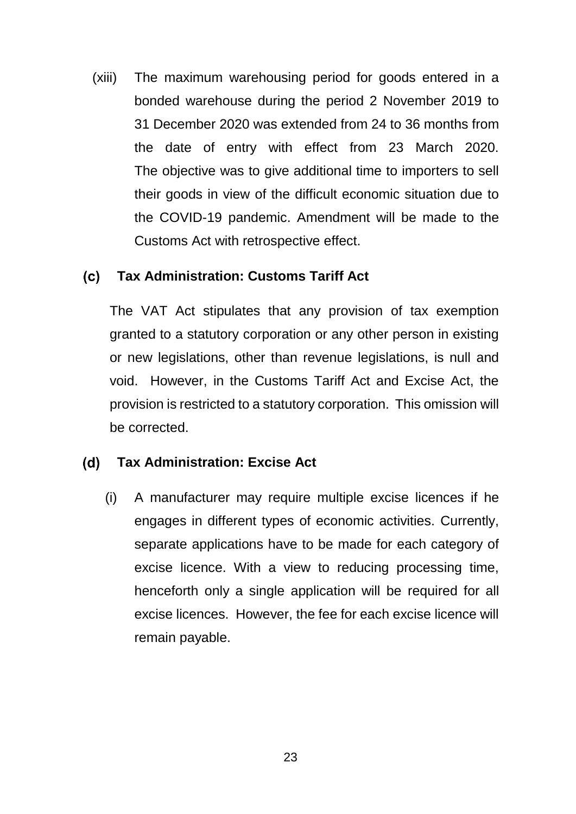(xiii) The maximum warehousing period for goods entered in a bonded warehouse during the period 2 November 2019 to 31 December 2020 was extended from 24 to 36 months from the date of entry with effect from 23 March 2020. The objective was to give additional time to importers to sell their goods in view of the difficult economic situation due to the COVID-19 pandemic. Amendment will be made to the Customs Act with retrospective effect.

### $(c)$ **Tax Administration: Customs Tariff Act**

The VAT Act stipulates that any provision of tax exemption granted to a statutory corporation or any other person in existing or new legislations, other than revenue legislations, is null and void. However, in the Customs Tariff Act and Excise Act, the provision is restricted to a statutory corporation. This omission will be corrected.

#### $(d)$ **Tax Administration: Excise Act**

(i) A manufacturer may require multiple excise licences if he engages in different types of economic activities. Currently, separate applications have to be made for each category of excise licence. With a view to reducing processing time, henceforth only a single application will be required for all excise licences. However, the fee for each excise licence will remain payable.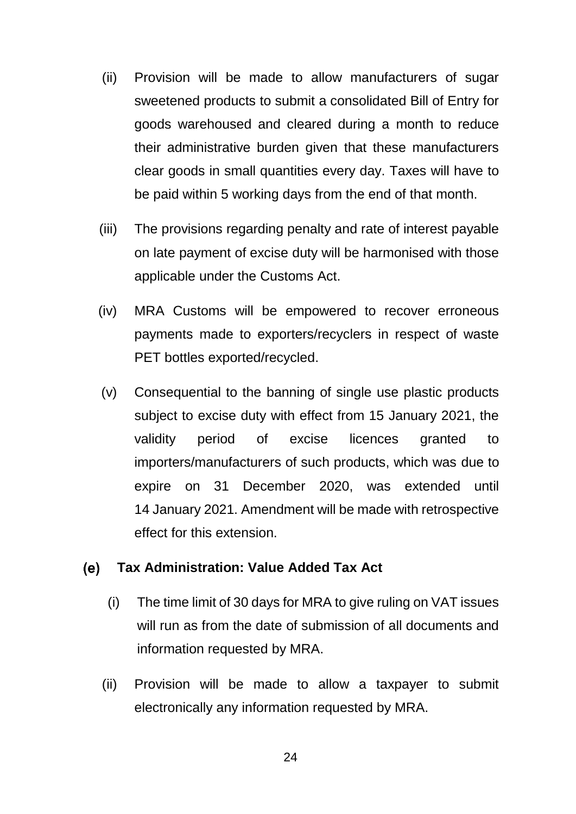- (ii) Provision will be made to allow manufacturers of sugar sweetened products to submit a consolidated Bill of Entry for goods warehoused and cleared during a month to reduce their administrative burden given that these manufacturers clear goods in small quantities every day. Taxes will have to be paid within 5 working days from the end of that month.
- (iii) The provisions regarding penalty and rate of interest payable on late payment of excise duty will be harmonised with those applicable under the Customs Act.
- (iv) MRA Customs will be empowered to recover erroneous payments made to exporters/recyclers in respect of waste PET bottles exported/recycled.
- (v) Consequential to the banning of single use plastic products subject to excise duty with effect from 15 January 2021, the validity period of excise licences granted to importers/manufacturers of such products, which was due to expire on 31 December 2020, was extended until 14 January 2021. Amendment will be made with retrospective effect for this extension.

#### **Tax Administration: Value Added Tax Act** (e)

- (i) The time limit of 30 days for MRA to give ruling on VAT issues will run as from the date of submission of all documents and information requested by MRA.
- (ii) Provision will be made to allow a taxpayer to submit electronically any information requested by MRA.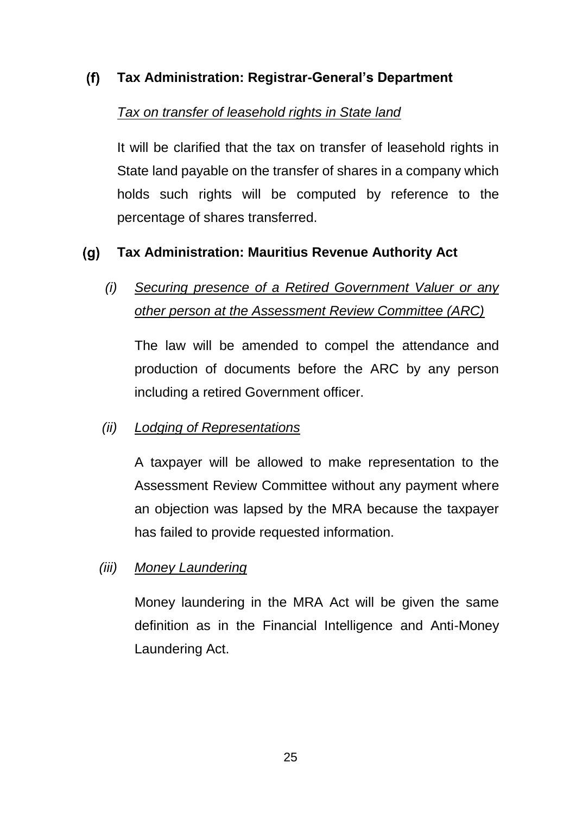### $(f)$ **Tax Administration: Registrar-General's Department**

## *Tax on transfer of leasehold rights in State land*

It will be clarified that the tax on transfer of leasehold rights in State land payable on the transfer of shares in a company which holds such rights will be computed by reference to the percentage of shares transferred.

### $(q)$ **Tax Administration: Mauritius Revenue Authority Act**

*(i) Securing presence of a Retired Government Valuer or any other person at the Assessment Review Committee (ARC)*

The law will be amended to compel the attendance and production of documents before the ARC by any person including a retired Government officer.

## *(ii) Lodging of Representations*

A taxpayer will be allowed to make representation to the Assessment Review Committee without any payment where an objection was lapsed by the MRA because the taxpayer has failed to provide requested information.

## *(iii) Money Laundering*

Money laundering in the MRA Act will be given the same definition as in the Financial Intelligence and Anti-Money Laundering Act.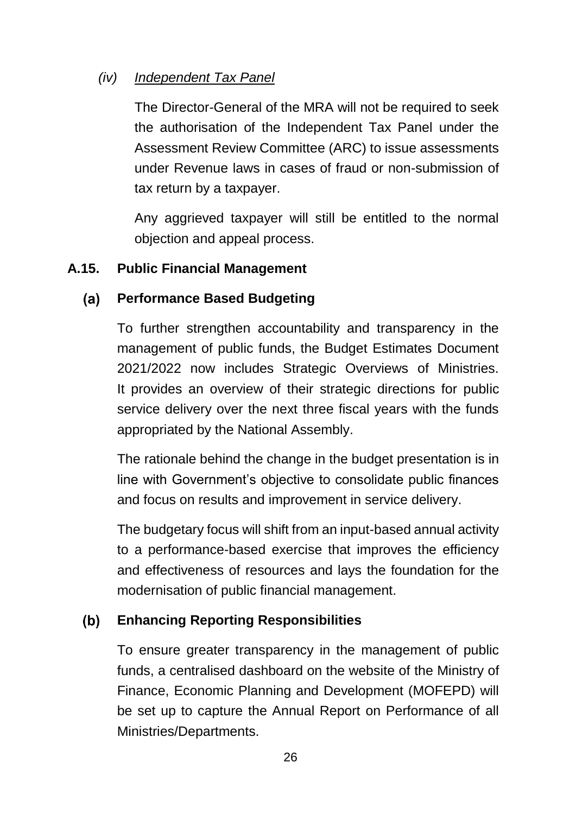## *(iv) Independent Tax Panel*

The Director-General of the MRA will not be required to seek the authorisation of the Independent Tax Panel under the Assessment Review Committee (ARC) to issue assessments under Revenue laws in cases of fraud or non-submission of tax return by a taxpayer.

Any aggrieved taxpayer will still be entitled to the normal objection and appeal process.

## <span id="page-30-0"></span>**A.15. Public Financial Management**

### $(a)$ **Performance Based Budgeting**

To further strengthen accountability and transparency in the management of public funds, the Budget Estimates Document 2021/2022 now includes Strategic Overviews of Ministries. It provides an overview of their strategic directions for public service delivery over the next three fiscal years with the funds appropriated by the National Assembly.

The rationale behind the change in the budget presentation is in line with Government's objective to consolidate public finances and focus on results and improvement in service delivery.

The budgetary focus will shift from an input-based annual activity to a performance-based exercise that improves the efficiency and effectiveness of resources and lays the foundation for the modernisation of public financial management.

### $(b)$ **Enhancing Reporting Responsibilities**

To ensure greater transparency in the management of public funds, a centralised dashboard on the website of the Ministry of Finance, Economic Planning and Development (MOFEPD) will be set up to capture the Annual Report on Performance of all Ministries/Departments.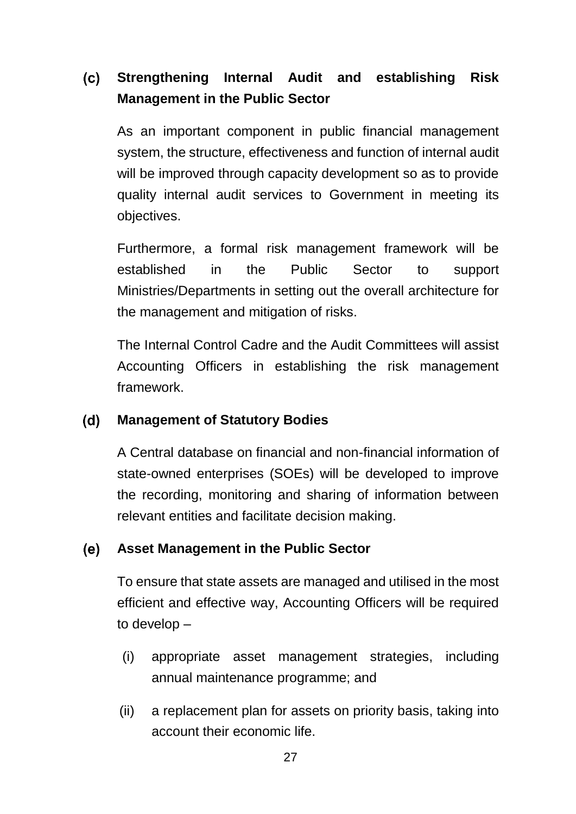### $(c)$ **Strengthening Internal Audit and establishing Risk Management in the Public Sector**

As an important component in public financial management system, the structure, effectiveness and function of internal audit will be improved through capacity development so as to provide quality internal audit services to Government in meeting its objectives.

Furthermore, a formal risk management framework will be established in the Public Sector to support Ministries/Departments in setting out the overall architecture for the management and mitigation of risks.

The Internal Control Cadre and the Audit Committees will assist Accounting Officers in establishing the risk management framework.

### $(d)$ **Management of Statutory Bodies**

A Central database on financial and non-financial information of state-owned enterprises (SOEs) will be developed to improve the recording, monitoring and sharing of information between relevant entities and facilitate decision making.

### (e) **Asset Management in the Public Sector**

To ensure that state assets are managed and utilised in the most efficient and effective way, Accounting Officers will be required to develop –

- (i) appropriate asset management strategies, including annual maintenance programme; and
- (ii) a replacement plan for assets on priority basis, taking into account their economic life.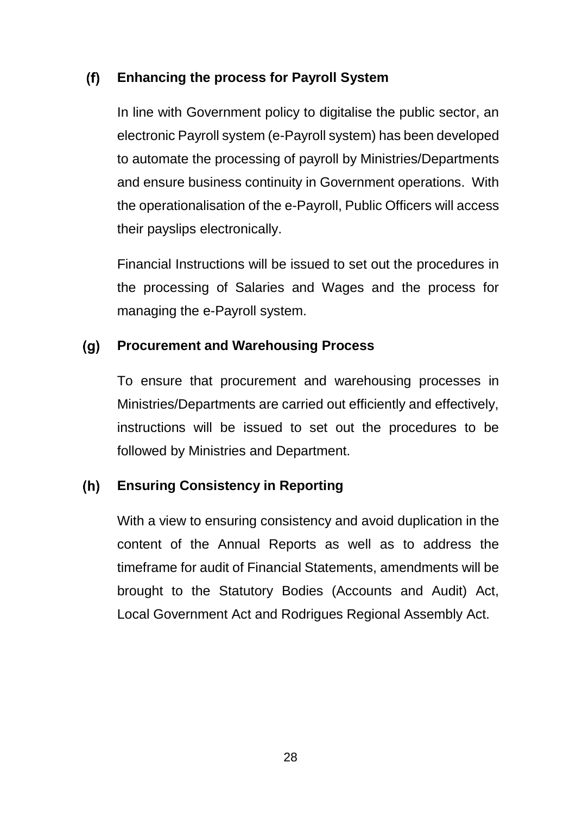### $(f)$ **Enhancing the process for Payroll System**

In line with Government policy to digitalise the public sector, an electronic Payroll system (e-Payroll system) has been developed to automate the processing of payroll by Ministries/Departments and ensure business continuity in Government operations. With the operationalisation of the e-Payroll, Public Officers will access their payslips electronically.

Financial Instructions will be issued to set out the procedures in the processing of Salaries and Wages and the process for managing the e-Payroll system.

### $(g)$ **Procurement and Warehousing Process**

To ensure that procurement and warehousing processes in Ministries/Departments are carried out efficiently and effectively, instructions will be issued to set out the procedures to be followed by Ministries and Department.

### $(h)$ **Ensuring Consistency in Reporting**

With a view to ensuring consistency and avoid duplication in the content of the Annual Reports as well as to address the timeframe for audit of Financial Statements, amendments will be brought to the Statutory Bodies (Accounts and Audit) Act, Local Government Act and Rodrigues Regional Assembly Act.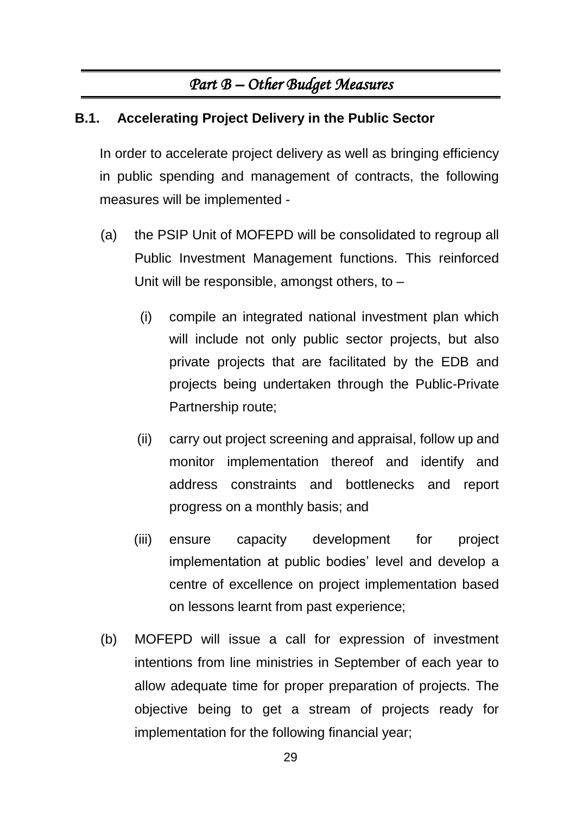# *Part B – Other Budget Measures*

## <span id="page-33-1"></span><span id="page-33-0"></span>**B.1. Accelerating Project Delivery in the Public Sector**

In order to accelerate project delivery as well as bringing efficiency in public spending and management of contracts, the following measures will be implemented -

- (a) the PSIP Unit of MOFEPD will be consolidated to regroup all Public Investment Management functions. This reinforced Unit will be responsible, amongst others, to –
	- (i) compile an integrated national investment plan which will include not only public sector projects, but also private projects that are facilitated by the EDB and projects being undertaken through the Public-Private Partnership route;
	- (ii) carry out project screening and appraisal, follow up and monitor implementation thereof and identify and address constraints and bottlenecks and report progress on a monthly basis; and
	- (iii) ensure capacity development for project implementation at public bodies' level and develop a centre of excellence on project implementation based on lessons learnt from past experience;
- (b) MOFEPD will issue a call for expression of investment intentions from line ministries in September of each year to allow adequate time for proper preparation of projects. The objective being to get a stream of projects ready for implementation for the following financial year;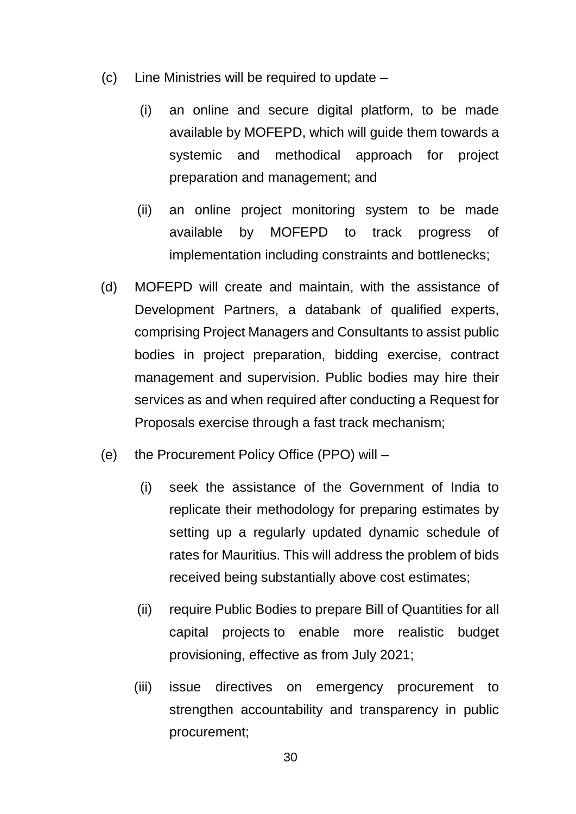- (c) Line Ministries will be required to update
	- (i) an online and secure digital platform, to be made available by MOFEPD, which will guide them towards a systemic and methodical approach for project preparation and management; and
	- (ii) an online project monitoring system to be made available by MOFEPD to track progress of implementation including constraints and bottlenecks;
- (d) MOFEPD will create and maintain, with the assistance of Development Partners, a databank of qualified experts, comprising Project Managers and Consultants to assist public bodies in project preparation, bidding exercise, contract management and supervision. Public bodies may hire their services as and when required after conducting a Request for Proposals exercise through a fast track mechanism;
- (e) the Procurement Policy Office (PPO) will
	- (i) seek the assistance of the Government of India to replicate their methodology for preparing estimates by setting up a regularly updated dynamic schedule of rates for Mauritius. This will address the problem of bids received being substantially above cost estimates;
	- (ii) require Public Bodies to prepare Bill of Quantities for all capital projects to enable more realistic budget provisioning, effective as from July 2021;
	- (iii) issue directives on emergency procurement to strengthen accountability and transparency in public procurement;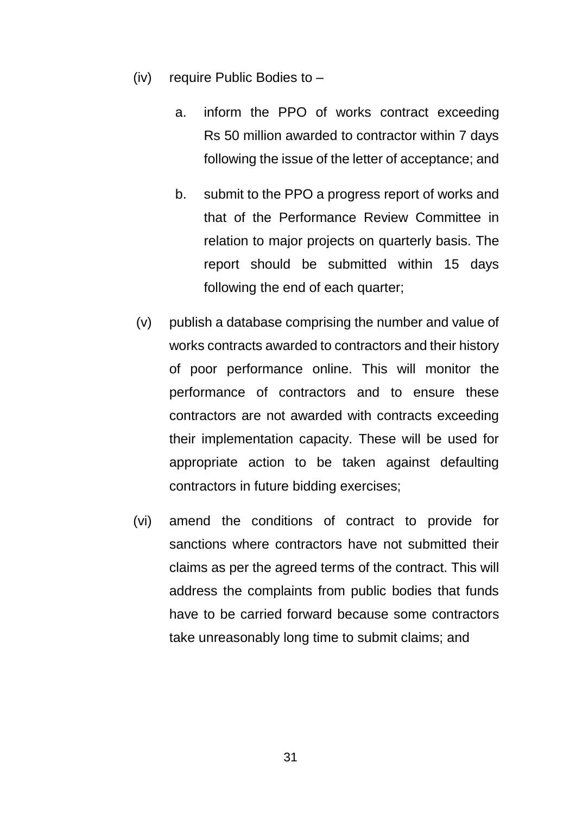- (iv) require Public Bodies to
	- a. inform the PPO of works contract exceeding Rs 50 million awarded to contractor within 7 days following the issue of the letter of acceptance; and
	- b. submit to the PPO a progress report of works and that of the Performance Review Committee in relation to major projects on quarterly basis. The report should be submitted within 15 days following the end of each quarter;
- (v) publish a database comprising the number and value of works contracts awarded to contractors and their history of poor performance online. This will monitor the performance of contractors and to ensure these contractors are not awarded with contracts exceeding their implementation capacity. These will be used for appropriate action to be taken against defaulting contractors in future bidding exercises;
- (vi) amend the conditions of contract to provide for sanctions where contractors have not submitted their claims as per the agreed terms of the contract. This will address the complaints from public bodies that funds have to be carried forward because some contractors take unreasonably long time to submit claims; and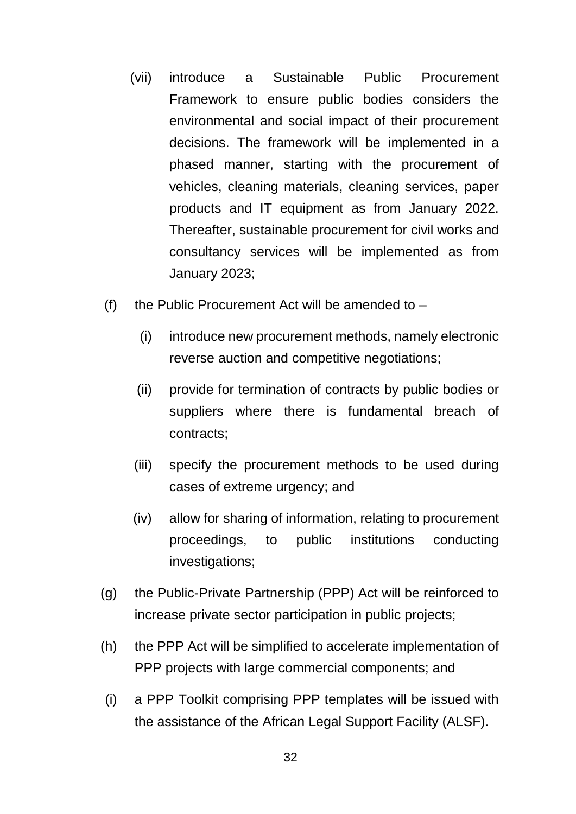- (vii) introduce a Sustainable Public Procurement Framework to ensure public bodies considers the environmental and social impact of their procurement decisions. The framework will be implemented in a phased manner, starting with the procurement of vehicles, cleaning materials, cleaning services, paper products and IT equipment as from January 2022. Thereafter, sustainable procurement for civil works and consultancy services will be implemented as from January 2023;
- (f) the Public Procurement Act will be amended to  $-$ 
	- (i) introduce new procurement methods, namely electronic reverse auction and competitive negotiations;
	- (ii) provide for termination of contracts by public bodies or suppliers where there is fundamental breach of contracts;
	- (iii) specify the procurement methods to be used during cases of extreme urgency; and
	- (iv) allow for sharing of information, relating to procurement proceedings, to public institutions conducting investigations;
- (g) the Public-Private Partnership (PPP) Act will be reinforced to increase private sector participation in public projects;
- (h) the PPP Act will be simplified to accelerate implementation of PPP projects with large commercial components; and
- (i) a PPP Toolkit comprising PPP templates will be issued with the assistance of the African Legal Support Facility (ALSF).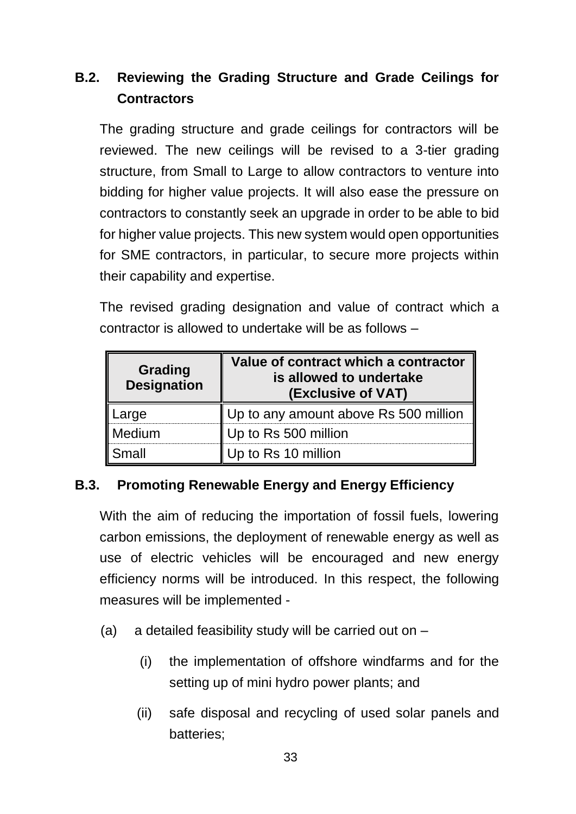# **B.2. Reviewing the Grading Structure and Grade Ceilings for Contractors**

The grading structure and grade ceilings for contractors will be reviewed. The new ceilings will be revised to a 3-tier grading structure, from Small to Large to allow contractors to venture into bidding for higher value projects. It will also ease the pressure on contractors to constantly seek an upgrade in order to be able to bid for higher value projects. This new system would open opportunities for SME contractors, in particular, to secure more projects within their capability and expertise.

The revised grading designation and value of contract which a contractor is allowed to undertake will be as follows –

| <b>Grading</b><br><b>Designation</b> | Value of contract which a contractor<br>is allowed to undertake<br>(Exclusive of VAT) |
|--------------------------------------|---------------------------------------------------------------------------------------|
| arge                                 | Up to any amount above Rs 500 million                                                 |
| Medium                               | Up to Rs 500 million                                                                  |
| Small                                | Up to Rs 10 million                                                                   |

# **B.3. Promoting Renewable Energy and Energy Efficiency**

With the aim of reducing the importation of fossil fuels, lowering carbon emissions, the deployment of renewable energy as well as use of electric vehicles will be encouraged and new energy efficiency norms will be introduced. In this respect, the following measures will be implemented -

- (a) a detailed feasibility study will be carried out on
	- (i) the implementation of offshore windfarms and for the setting up of mini hydro power plants; and
	- (ii) safe disposal and recycling of used solar panels and batteries;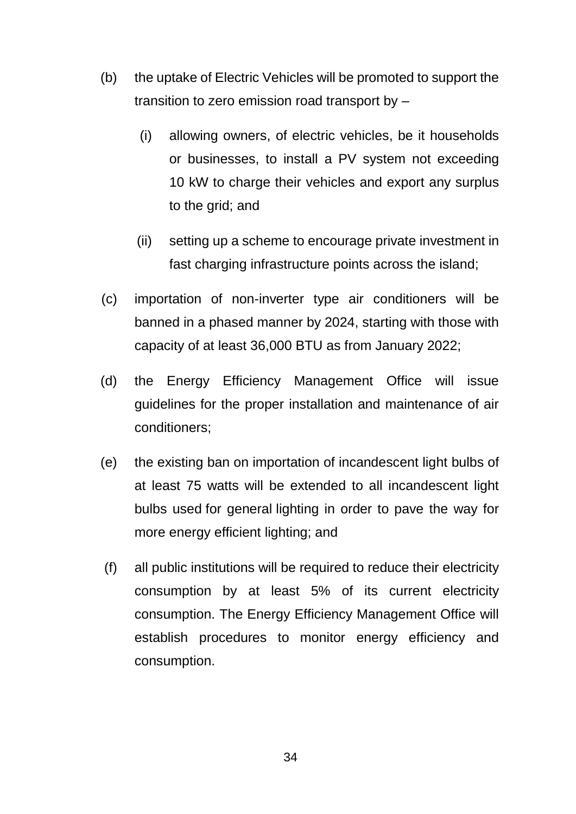- (b) the uptake of Electric Vehicles will be promoted to support the transition to zero emission road transport by –
	- (i) allowing owners, of electric vehicles, be it households or businesses, to install a PV system not exceeding 10 kW to charge their vehicles and export any surplus to the grid; and
	- (ii) setting up a scheme to encourage private investment in fast charging infrastructure points across the island;
- (c) importation of non-inverter type air conditioners will be banned in a phased manner by 2024, starting with those with capacity of at least 36,000 BTU as from January 2022;
- (d) the Energy Efficiency Management Office will issue guidelines for the proper installation and maintenance of air conditioners;
- (e) the existing ban on importation of incandescent light bulbs of at least 75 watts will be extended to all incandescent light bulbs used for general lighting in order to pave the way for more energy efficient lighting; and
- (f) all public institutions will be required to reduce their electricity consumption by at least 5% of its current electricity consumption. The Energy Efficiency Management Office will establish procedures to monitor energy efficiency and consumption.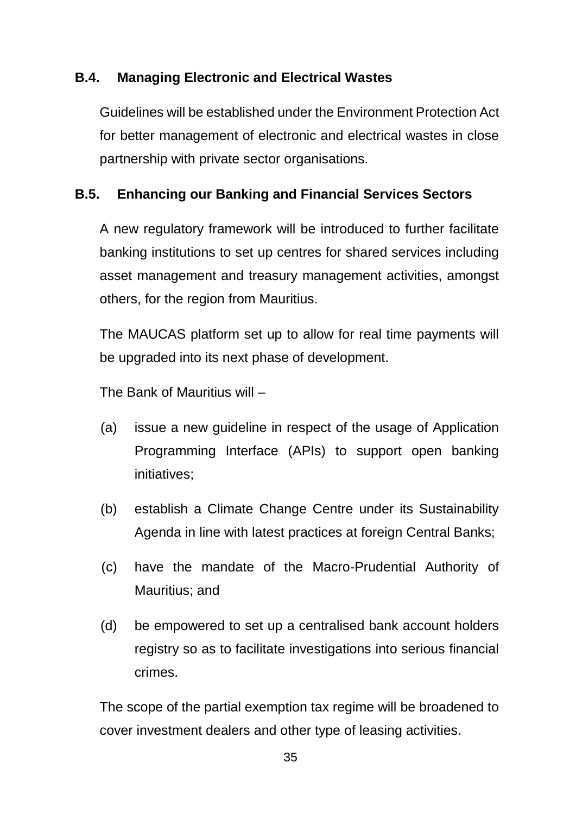# **B.4. Managing Electronic and Electrical Wastes**

Guidelines will be established under the Environment Protection Act for better management of electronic and electrical wastes in close partnership with private sector organisations.

# **B.5. Enhancing our Banking and Financial Services Sectors**

A new regulatory framework will be introduced to further facilitate banking institutions to set up centres for shared services including asset management and treasury management activities, amongst others, for the region from Mauritius.

The MAUCAS platform set up to allow for real time payments will be upgraded into its next phase of development.

The Bank of Mauritius will –

- (a) issue a new guideline in respect of the usage of Application Programming Interface (APIs) to support open banking initiatives;
- (b) establish a Climate Change Centre under its Sustainability Agenda in line with latest practices at foreign Central Banks;
- (c) have the mandate of the Macro-Prudential Authority of Mauritius; and
- (d) be empowered to set up a centralised bank account holders registry so as to facilitate investigations into serious financial crimes.

The scope of the partial exemption tax regime will be broadened to cover investment dealers and other type of leasing activities.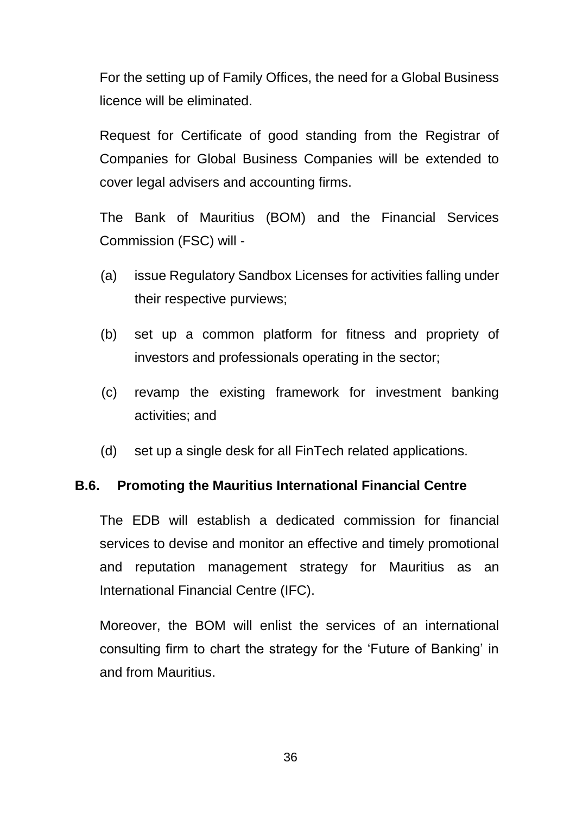For the setting up of Family Offices, the need for a Global Business licence will be eliminated.

Request for Certificate of good standing from the Registrar of Companies for Global Business Companies will be extended to cover legal advisers and accounting firms.

The Bank of Mauritius (BOM) and the Financial Services Commission (FSC) will -

- (a) issue Regulatory Sandbox Licenses for activities falling under their respective purviews;
- (b) set up a common platform for fitness and propriety of investors and professionals operating in the sector;
- (c) revamp the existing framework for investment banking activities; and
- (d) set up a single desk for all FinTech related applications.

#### **B.6. Promoting the Mauritius International Financial Centre**

The EDB will establish a dedicated commission for financial services to devise and monitor an effective and timely promotional and reputation management strategy for Mauritius as an International Financial Centre (IFC).

Moreover, the BOM will enlist the services of an international consulting firm to chart the strategy for the 'Future of Banking' in and from Mauritius.

36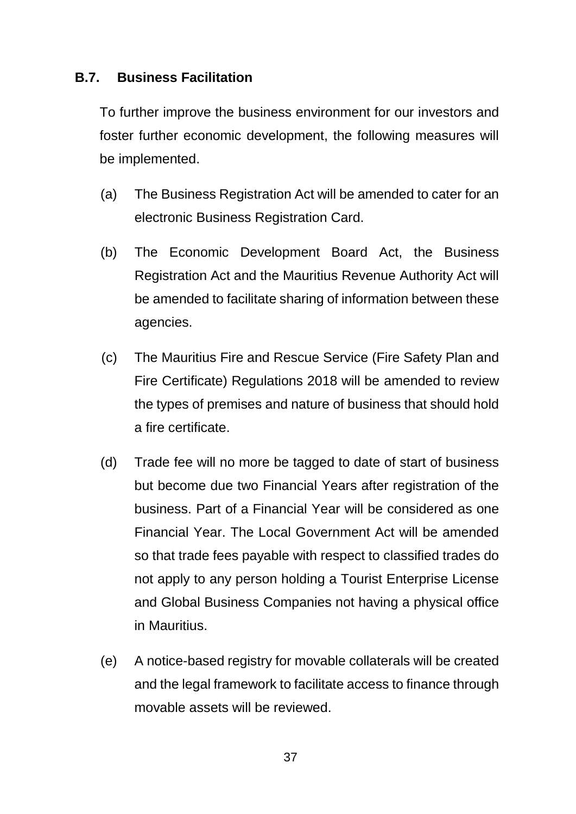#### **B.7. Business Facilitation**

To further improve the business environment for our investors and foster further economic development, the following measures will be implemented.

- (a) The Business Registration Act will be amended to cater for an electronic Business Registration Card.
- (b) The Economic Development Board Act, the Business Registration Act and the Mauritius Revenue Authority Act will be amended to facilitate sharing of information between these agencies.
- (c) The Mauritius Fire and Rescue Service (Fire Safety Plan and Fire Certificate) Regulations 2018 will be amended to review the types of premises and nature of business that should hold a fire certificate.
- (d) Trade fee will no more be tagged to date of start of business but become due two Financial Years after registration of the business. Part of a Financial Year will be considered as one Financial Year. The Local Government Act will be amended so that trade fees payable with respect to classified trades do not apply to any person holding a Tourist Enterprise License and Global Business Companies not having a physical office in Mauritius.
- (e) A notice-based registry for movable collaterals will be created and the legal framework to facilitate access to finance through movable assets will be reviewed.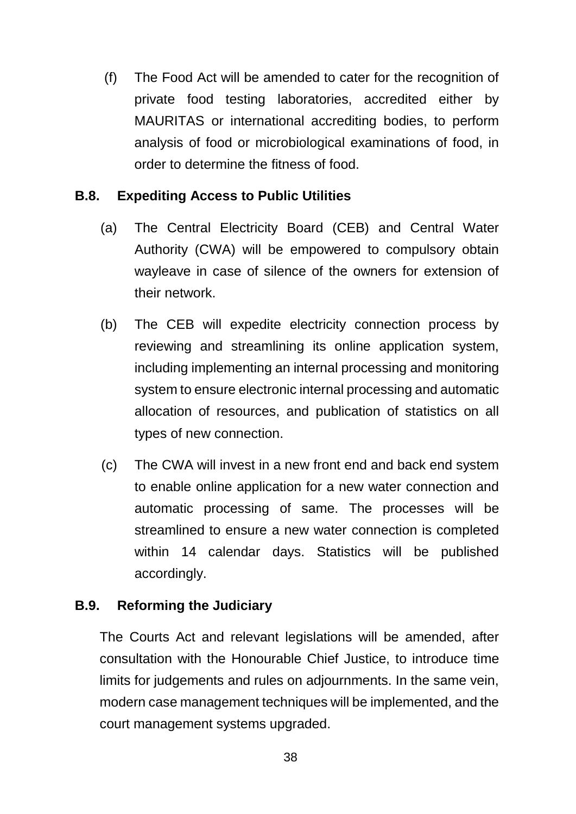(f) The Food Act will be amended to cater for the recognition of private food testing laboratories, accredited either by MAURITAS or international accrediting bodies, to perform analysis of food or microbiological examinations of food, in order to determine the fitness of food.

#### **B.8. Expediting Access to Public Utilities**

- (a) The Central Electricity Board (CEB) and Central Water Authority (CWA) will be empowered to compulsory obtain wayleave in case of silence of the owners for extension of their network.
- (b) The CEB will expedite electricity connection process by reviewing and streamlining its online application system, including implementing an internal processing and monitoring system to ensure electronic internal processing and automatic allocation of resources, and publication of statistics on all types of new connection.
- (c) The CWA will invest in a new front end and back end system to enable online application for a new water connection and automatic processing of same. The processes will be streamlined to ensure a new water connection is completed within 14 calendar days. Statistics will be published accordingly.

# **B.9. Reforming the Judiciary**

The Courts Act and relevant legislations will be amended, after consultation with the Honourable Chief Justice, to introduce time limits for judgements and rules on adjournments. In the same vein, modern case management techniques will be implemented, and the court management systems upgraded.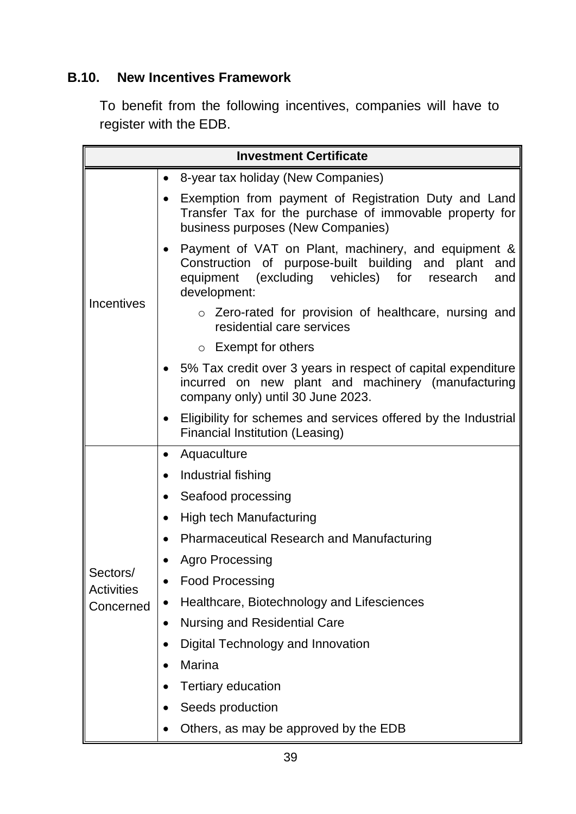# **B.10. New Incentives Framework**

To benefit from the following incentives, companies will have to register with the EDB.

| <b>Investment Certificate</b>              |                                                                                                                                                                                      |  |
|--------------------------------------------|--------------------------------------------------------------------------------------------------------------------------------------------------------------------------------------|--|
| <b>Incentives</b>                          | 8-year tax holiday (New Companies)<br>$\bullet$                                                                                                                                      |  |
|                                            | Exemption from payment of Registration Duty and Land<br>Transfer Tax for the purchase of immovable property for<br>business purposes (New Companies)                                 |  |
|                                            | Payment of VAT on Plant, machinery, and equipment &<br>Construction of purpose-built building and plant<br>and<br>equipment (excluding vehicles) for research<br>and<br>development: |  |
|                                            | o Zero-rated for provision of healthcare, nursing and<br>residential care services                                                                                                   |  |
|                                            | Exempt for others<br>$\circ$                                                                                                                                                         |  |
|                                            | 5% Tax credit over 3 years in respect of capital expenditure<br>incurred on new plant and machinery (manufacturing<br>company only) until 30 June 2023.                              |  |
|                                            | Eligibility for schemes and services offered by the Industrial<br>$\bullet$<br>Financial Institution (Leasing)                                                                       |  |
| Sectors/<br><b>Activities</b><br>Concerned | Aquaculture<br>$\bullet$                                                                                                                                                             |  |
|                                            | Industrial fishing                                                                                                                                                                   |  |
|                                            | Seafood processing<br>$\bullet$                                                                                                                                                      |  |
|                                            | <b>High tech Manufacturing</b><br>$\bullet$                                                                                                                                          |  |
|                                            | <b>Pharmaceutical Research and Manufacturing</b>                                                                                                                                     |  |
|                                            | <b>Agro Processing</b>                                                                                                                                                               |  |
|                                            | <b>Food Processing</b>                                                                                                                                                               |  |
|                                            | Healthcare, Biotechnology and Lifesciences                                                                                                                                           |  |
|                                            | <b>Nursing and Residential Care</b><br>$\bullet$                                                                                                                                     |  |
|                                            | Digital Technology and Innovation<br>$\bullet$                                                                                                                                       |  |
|                                            | Marina                                                                                                                                                                               |  |
|                                            | <b>Tertiary education</b>                                                                                                                                                            |  |
|                                            | Seeds production                                                                                                                                                                     |  |
|                                            | Others, as may be approved by the EDB                                                                                                                                                |  |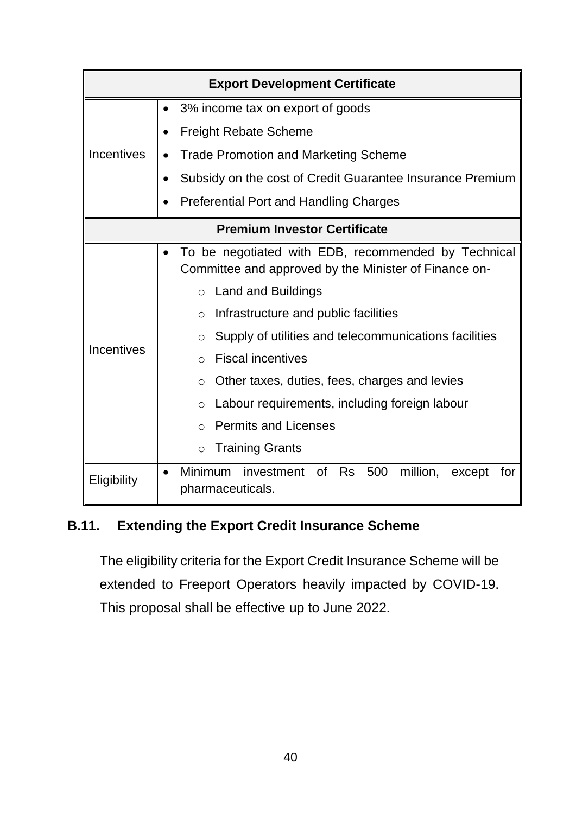| <b>Export Development Certificate</b> |                                                                                                                                                                                                                                                                                                                                                                                                                                                                                                                           |  |
|---------------------------------------|---------------------------------------------------------------------------------------------------------------------------------------------------------------------------------------------------------------------------------------------------------------------------------------------------------------------------------------------------------------------------------------------------------------------------------------------------------------------------------------------------------------------------|--|
| <b>Incentives</b>                     | 3% income tax on export of goods                                                                                                                                                                                                                                                                                                                                                                                                                                                                                          |  |
|                                       | <b>Freight Rebate Scheme</b>                                                                                                                                                                                                                                                                                                                                                                                                                                                                                              |  |
|                                       | <b>Trade Promotion and Marketing Scheme</b>                                                                                                                                                                                                                                                                                                                                                                                                                                                                               |  |
|                                       | Subsidy on the cost of Credit Guarantee Insurance Premium<br>$\bullet$                                                                                                                                                                                                                                                                                                                                                                                                                                                    |  |
|                                       | <b>Preferential Port and Handling Charges</b>                                                                                                                                                                                                                                                                                                                                                                                                                                                                             |  |
| <b>Premium Investor Certificate</b>   |                                                                                                                                                                                                                                                                                                                                                                                                                                                                                                                           |  |
| Incentives                            | To be negotiated with EDB, recommended by Technical<br>Committee and approved by the Minister of Finance on-<br><b>Land and Buildings</b><br>$\circ$<br>Infrastructure and public facilities<br>$\circ$<br>Supply of utilities and telecommunications facilities<br>O<br><b>Fiscal incentives</b><br>$\bigcirc$<br>Other taxes, duties, fees, charges and levies<br>$\circ$<br>Labour requirements, including foreign labour<br>$\circ$<br><b>Permits and Licenses</b><br>$\bigcirc$<br><b>Training Grants</b><br>$\circ$ |  |
| Eligibility                           | <b>Minimum</b><br><b>Rs</b><br>500<br>million,<br>investment<br>0f<br>for<br>except<br>pharmaceuticals.                                                                                                                                                                                                                                                                                                                                                                                                                   |  |

# **B.11. Extending the Export Credit Insurance Scheme**

The eligibility criteria for the Export Credit Insurance Scheme will be extended to Freeport Operators heavily impacted by COVID-19. This proposal shall be effective up to June 2022.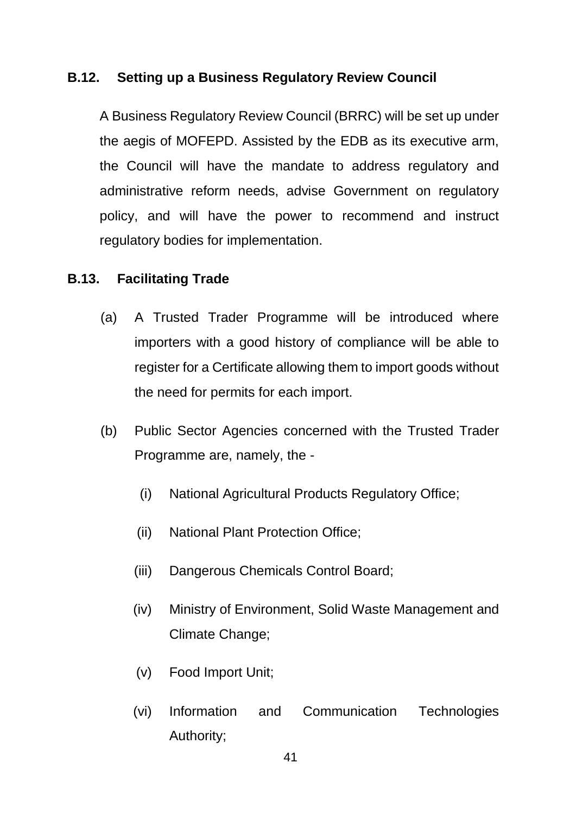#### **B.12. Setting up a Business Regulatory Review Council**

A Business Regulatory Review Council (BRRC) will be set up under the aegis of MOFEPD. Assisted by the EDB as its executive arm, the Council will have the mandate to address regulatory and administrative reform needs, advise Government on regulatory policy, and will have the power to recommend and instruct regulatory bodies for implementation.

#### **B.13. Facilitating Trade**

- (a) A Trusted Trader Programme will be introduced where importers with a good history of compliance will be able to register for a Certificate allowing them to import goods without the need for permits for each import.
- (b) Public Sector Agencies concerned with the Trusted Trader Programme are, namely, the -
	- (i) National Agricultural Products Regulatory Office;
	- (ii) National Plant Protection Office;
	- (iii) Dangerous Chemicals Control Board;
	- (iv) Ministry of Environment, Solid Waste Management and Climate Change;
	- (v) Food Import Unit;
	- (vi) Information and Communication Technologies Authority;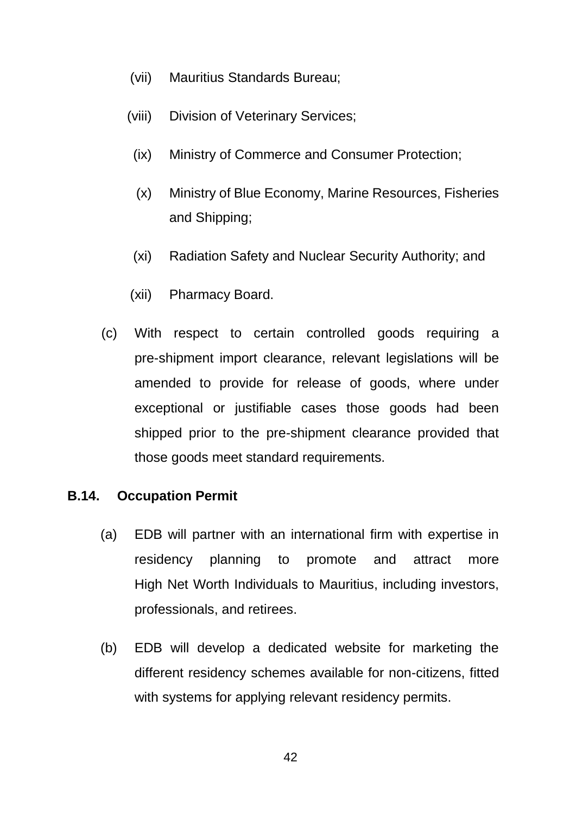- (vii) Mauritius Standards Bureau;
- (viii) Division of Veterinary Services;
- (ix) Ministry of Commerce and Consumer Protection;
- (x) Ministry of Blue Economy, Marine Resources, Fisheries and Shipping;
- (xi) Radiation Safety and Nuclear Security Authority; and
- (xii) Pharmacy Board.
- (c) With respect to certain controlled goods requiring a pre-shipment import clearance, relevant legislations will be amended to provide for release of goods, where under exceptional or justifiable cases those goods had been shipped prior to the pre-shipment clearance provided that those goods meet standard requirements.

#### **B.14. Occupation Permit**

- (a) EDB will partner with an international firm with expertise in residency planning to promote and attract more High Net Worth Individuals to Mauritius, including investors, professionals, and retirees.
- (b) EDB will develop a dedicated website for marketing the different residency schemes available for non-citizens, fitted with systems for applying relevant residency permits.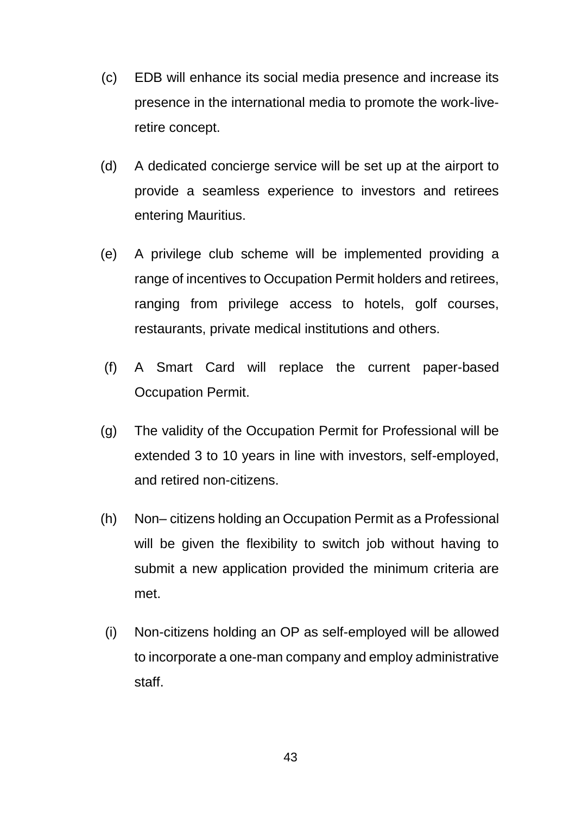- (c) EDB will enhance its social media presence and increase its presence in the international media to promote the work-liveretire concept.
- (d) A dedicated concierge service will be set up at the airport to provide a seamless experience to investors and retirees entering Mauritius.
- (e) A privilege club scheme will be implemented providing a range of incentives to Occupation Permit holders and retirees, ranging from privilege access to hotels, golf courses, restaurants, private medical institutions and others.
- (f) A Smart Card will replace the current paper-based Occupation Permit.
- (g) The validity of the Occupation Permit for Professional will be extended 3 to 10 years in line with investors, self-employed, and retired non-citizens.
- (h) Non– citizens holding an Occupation Permit as a Professional will be given the flexibility to switch job without having to submit a new application provided the minimum criteria are met.
- (i) Non-citizens holding an OP as self-employed will be allowed to incorporate a one-man company and employ administrative staff.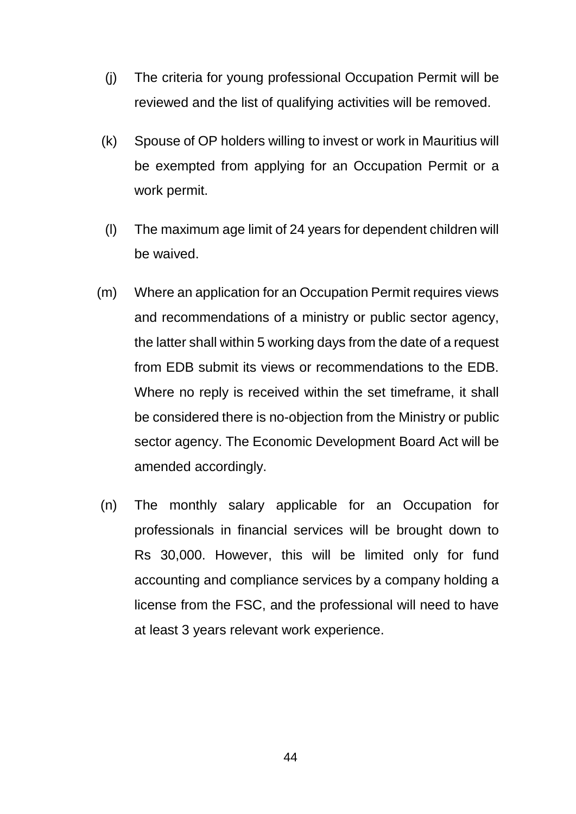- (j) The criteria for young professional Occupation Permit will be reviewed and the list of qualifying activities will be removed.
- (k) Spouse of OP holders willing to invest or work in Mauritius will be exempted from applying for an Occupation Permit or a work permit.
- (l) The maximum age limit of 24 years for dependent children will be waived.
- (m) Where an application for an Occupation Permit requires views and recommendations of a ministry or public sector agency, the latter shall within 5 working days from the date of a request from EDB submit its views or recommendations to the EDB. Where no reply is received within the set timeframe, it shall be considered there is no-objection from the Ministry or public sector agency. The Economic Development Board Act will be amended accordingly.
- (n) The monthly salary applicable for an Occupation for professionals in financial services will be brought down to Rs 30,000. However, this will be limited only for fund accounting and compliance services by a company holding a license from the FSC, and the professional will need to have at least 3 years relevant work experience.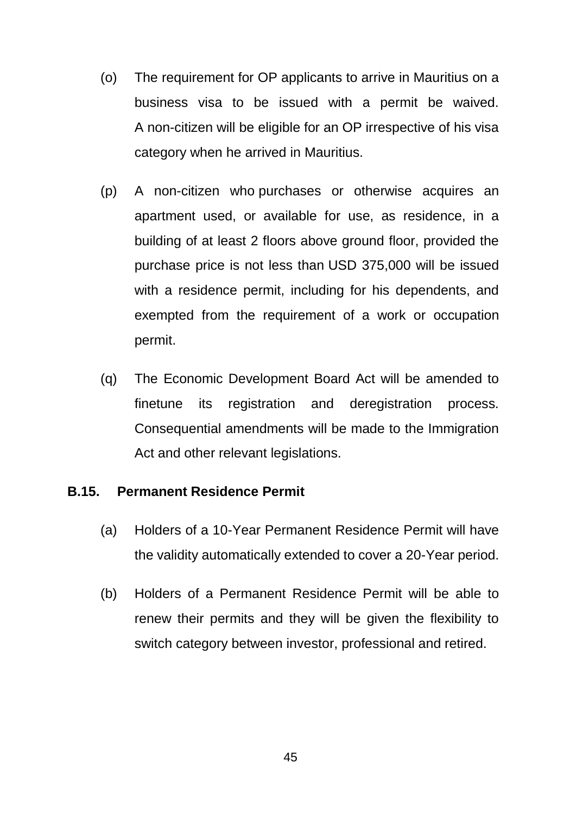- (o) The requirement for OP applicants to arrive in Mauritius on a business visa to be issued with a permit be waived. A non-citizen will be eligible for an OP irrespective of his visa category when he arrived in Mauritius.
- (p) A non-citizen who purchases or otherwise acquires an apartment used, or available for use, as residence, in a building of at least 2 floors above ground floor, provided the purchase price is not less than USD 375,000 will be issued with a residence permit, including for his dependents, and exempted from the requirement of a work or occupation permit.
- (q) The Economic Development Board Act will be amended to finetune its registration and deregistration process. Consequential amendments will be made to the Immigration Act and other relevant legislations.

#### **B.15. Permanent Residence Permit**

- (a) Holders of a 10-Year Permanent Residence Permit will have the validity automatically extended to cover a 20-Year period.
- (b) Holders of a Permanent Residence Permit will be able to renew their permits and they will be given the flexibility to switch category between investor, professional and retired.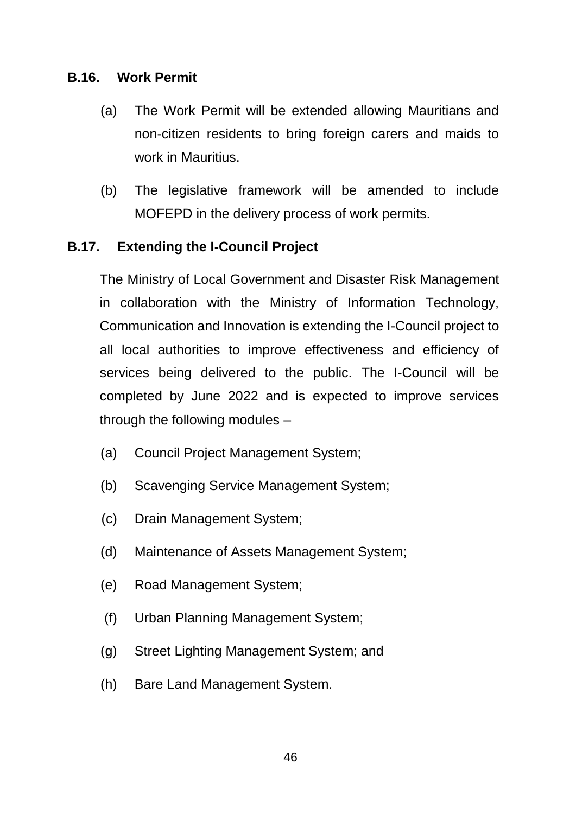#### **B.16. Work Permit**

- (a) The Work Permit will be extended allowing Mauritians and non-citizen residents to bring foreign carers and maids to work in Mauritius.
- (b) The legislative framework will be amended to include MOFEPD in the delivery process of work permits.

#### **B.17. Extending the I-Council Project**

The Ministry of Local Government and Disaster Risk Management in collaboration with the Ministry of Information Technology, Communication and Innovation is extending the I-Council project to all local authorities to improve effectiveness and efficiency of services being delivered to the public. The I-Council will be completed by June 2022 and is expected to improve services through the following modules –

- (a) Council Project Management System;
- (b) Scavenging Service Management System;
- (c) Drain Management System;
- (d) Maintenance of Assets Management System;
- (e) Road Management System;
- (f) Urban Planning Management System;
- (g) Street Lighting Management System; and
- (h) Bare Land Management System.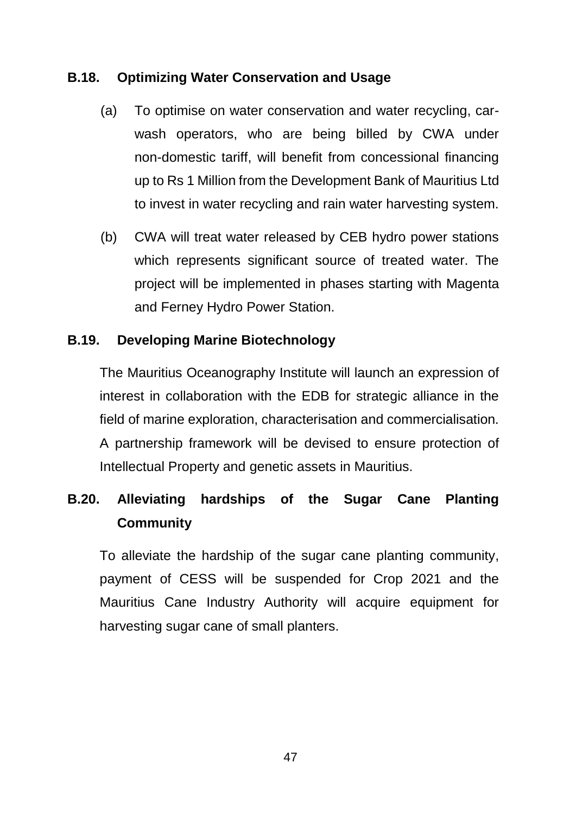#### **B.18. Optimizing Water Conservation and Usage**

- (a) To optimise on water conservation and water recycling, carwash operators, who are being billed by CWA under non-domestic tariff, will benefit from concessional financing up to Rs 1 Million from the Development Bank of Mauritius Ltd to invest in water recycling and rain water harvesting system.
- (b) CWA will treat water released by CEB hydro power stations which represents significant source of treated water. The project will be implemented in phases starting with Magenta and Ferney Hydro Power Station.

#### **B.19. Developing Marine Biotechnology**

The Mauritius Oceanography Institute will launch an expression of interest in collaboration with the EDB for strategic alliance in the field of marine exploration, characterisation and commercialisation. A partnership framework will be devised to ensure protection of Intellectual Property and genetic assets in Mauritius.

# **B.20. Alleviating hardships of the Sugar Cane Planting Community**

To alleviate the hardship of the sugar cane planting community, payment of CESS will be suspended for Crop 2021 and the Mauritius Cane Industry Authority will acquire equipment for harvesting sugar cane of small planters.

47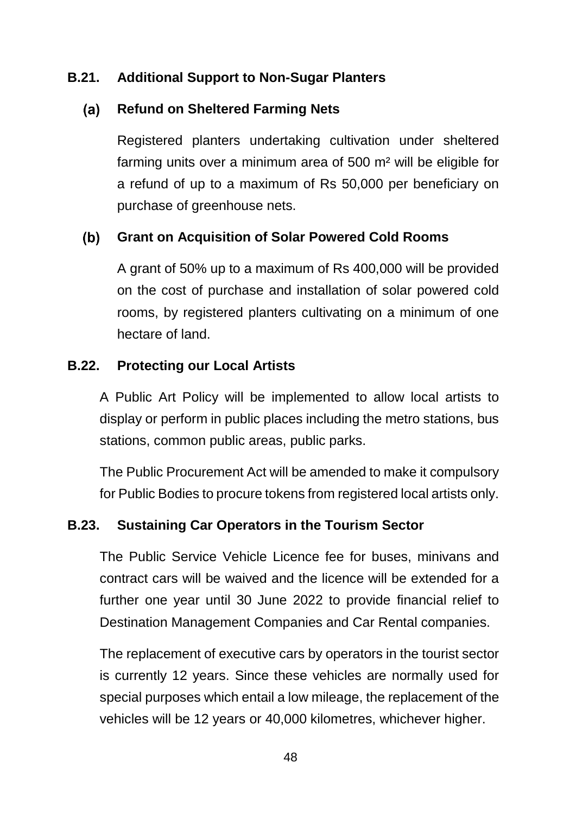## **B.21. Additional Support to Non-Sugar Planters**

#### $(a)$ **Refund on Sheltered Farming Nets**

Registered planters undertaking cultivation under sheltered farming units over a minimum area of 500 m² will be eligible for a refund of up to a maximum of Rs 50,000 per beneficiary on purchase of greenhouse nets.

#### $(b)$ **Grant on Acquisition of Solar Powered Cold Rooms**

A grant of 50% up to a maximum of Rs 400,000 will be provided on the cost of purchase and installation of solar powered cold rooms, by registered planters cultivating on a minimum of one hectare of land.

#### **B.22. Protecting our Local Artists**

A Public Art Policy will be implemented to allow local artists to display or perform in public places including the metro stations, bus stations, common public areas, public parks.

The Public Procurement Act will be amended to make it compulsory for Public Bodies to procure tokens from registered local artists only.

#### **B.23. Sustaining Car Operators in the Tourism Sector**

The Public Service Vehicle Licence fee for buses, minivans and contract cars will be waived and the licence will be extended for a further one year until 30 June 2022 to provide financial relief to Destination Management Companies and Car Rental companies.

The replacement of executive cars by operators in the tourist sector is currently 12 years. Since these vehicles are normally used for special purposes which entail a low mileage, the replacement of the vehicles will be 12 years or 40,000 kilometres, whichever higher.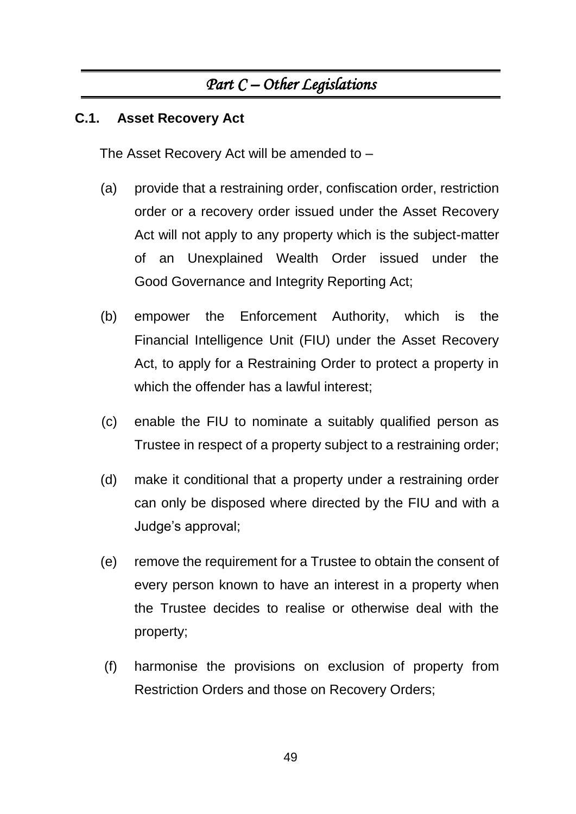# *Part C – Other Legislations*

## **C.1. Asset Recovery Act**

The Asset Recovery Act will be amended to –

- (a) provide that a restraining order, confiscation order, restriction order or a recovery order issued under the Asset Recovery Act will not apply to any property which is the subject-matter of an Unexplained Wealth Order issued under the Good Governance and Integrity Reporting Act;
- (b) empower the Enforcement Authority, which is the Financial Intelligence Unit (FIU) under the Asset Recovery Act, to apply for a Restraining Order to protect a property in which the offender has a lawful interest;
- (c) enable the FIU to nominate a suitably qualified person as Trustee in respect of a property subject to a restraining order;
- (d) make it conditional that a property under a restraining order can only be disposed where directed by the FIU and with a Judge's approval;
- (e) remove the requirement for a Trustee to obtain the consent of every person known to have an interest in a property when the Trustee decides to realise or otherwise deal with the property;
- (f) harmonise the provisions on exclusion of property from Restriction Orders and those on Recovery Orders;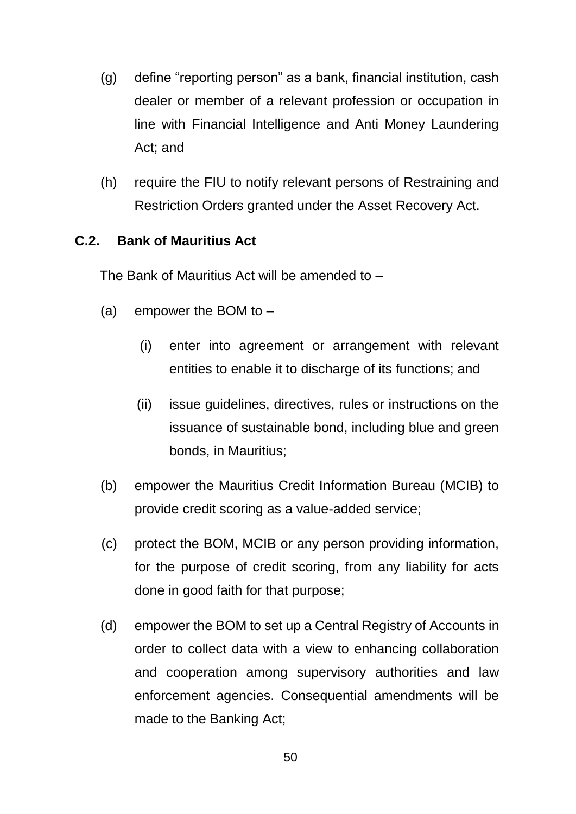- (g) define "reporting person" as a bank, financial institution, cash dealer or member of a relevant profession or occupation in line with Financial Intelligence and Anti Money Laundering Act; and
- (h) require the FIU to notify relevant persons of Restraining and Restriction Orders granted under the Asset Recovery Act.

## **C.2. Bank of Mauritius Act**

The Bank of Mauritius Act will be amended to –

- (a) empower the BOM to  $-$ 
	- (i) enter into agreement or arrangement with relevant entities to enable it to discharge of its functions; and
	- (ii) issue guidelines, directives, rules or instructions on the issuance of sustainable bond, including blue and green bonds, in Mauritius;
- (b) empower the Mauritius Credit Information Bureau (MCIB) to provide credit scoring as a value-added service;
- (c) protect the BOM, MCIB or any person providing information, for the purpose of credit scoring, from any liability for acts done in good faith for that purpose;
- (d) empower the BOM to set up a Central Registry of Accounts in order to collect data with a view to enhancing collaboration and cooperation among supervisory authorities and law enforcement agencies. Consequential amendments will be made to the Banking Act;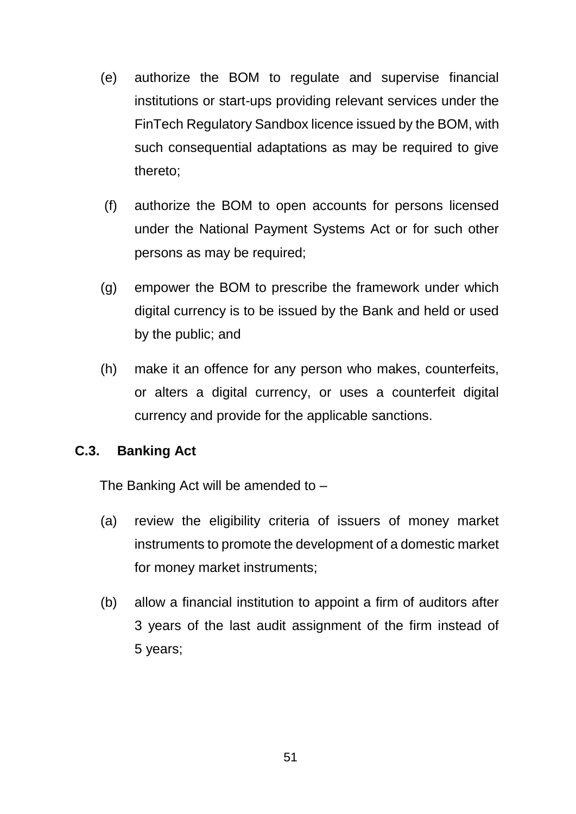- (e) authorize the BOM to regulate and supervise financial institutions or start-ups providing relevant services under the FinTech Regulatory Sandbox licence issued by the BOM, with such consequential adaptations as may be required to give thereto;
- (f) authorize the BOM to open accounts for persons licensed under the National Payment Systems Act or for such other persons as may be required;
- (g) empower the BOM to prescribe the framework under which digital currency is to be issued by the Bank and held or used by the public; and
- (h) make it an offence for any person who makes, counterfeits, or alters a digital currency, or uses a counterfeit digital currency and provide for the applicable sanctions.

#### **C.3. Banking Act**

The Banking Act will be amended to –

- (a) review the eligibility criteria of issuers of money market instruments to promote the development of a domestic market for money market instruments;
- (b) allow a financial institution to appoint a firm of auditors after 3 years of the last audit assignment of the firm instead of 5 years;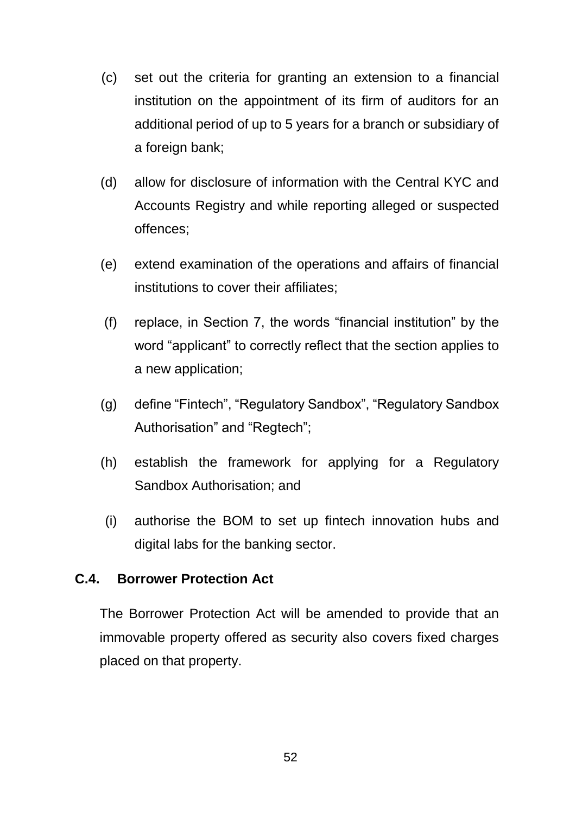- (c) set out the criteria for granting an extension to a financial institution on the appointment of its firm of auditors for an additional period of up to 5 years for a branch or subsidiary of a foreign bank;
- (d) allow for disclosure of information with the Central KYC and Accounts Registry and while reporting alleged or suspected offences;
- (e) extend examination of the operations and affairs of financial institutions to cover their affiliates;
- (f) replace, in Section 7, the words "financial institution" by the word "applicant" to correctly reflect that the section applies to a new application;
- (g) define "Fintech", "Regulatory Sandbox", "Regulatory Sandbox Authorisation" and "Regtech";
- (h) establish the framework for applying for a Regulatory Sandbox Authorisation; and
- (i) authorise the BOM to set up fintech innovation hubs and digital labs for the banking sector.

#### **C.4. Borrower Protection Act**

The Borrower Protection Act will be amended to provide that an immovable property offered as security also covers fixed charges placed on that property.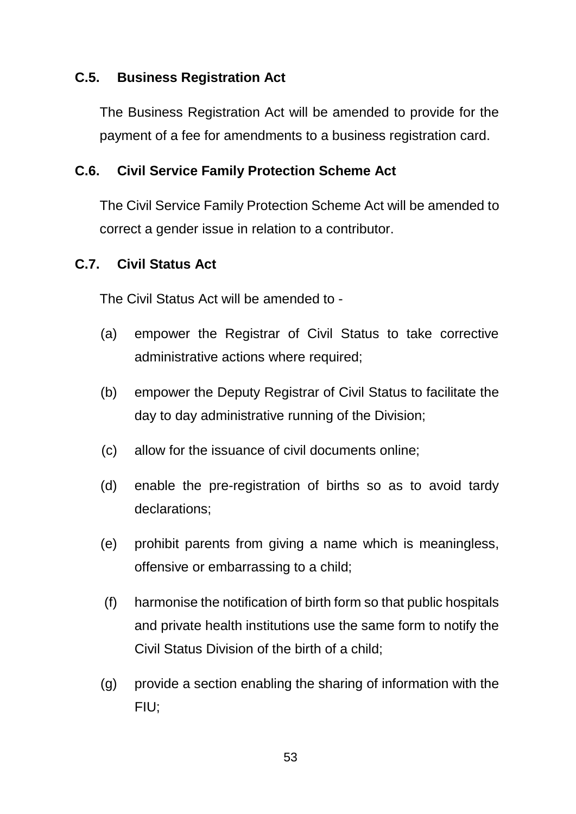#### **C.5. Business Registration Act**

The Business Registration Act will be amended to provide for the payment of a fee for amendments to a business registration card.

#### **C.6. Civil Service Family Protection Scheme Act**

The Civil Service Family Protection Scheme Act will be amended to correct a gender issue in relation to a contributor.

#### **C.7. Civil Status Act**

The Civil Status Act will be amended to -

- (a) empower the Registrar of Civil Status to take corrective administrative actions where required;
- (b) empower the Deputy Registrar of Civil Status to facilitate the day to day administrative running of the Division;
- (c) allow for the issuance of civil documents online;
- (d) enable the pre-registration of births so as to avoid tardy declarations;
- (e) prohibit parents from giving a name which is meaningless, offensive or embarrassing to a child;
- (f) harmonise the notification of birth form so that public hospitals and private health institutions use the same form to notify the Civil Status Division of the birth of a child;
- (g) provide a section enabling the sharing of information with the FIU;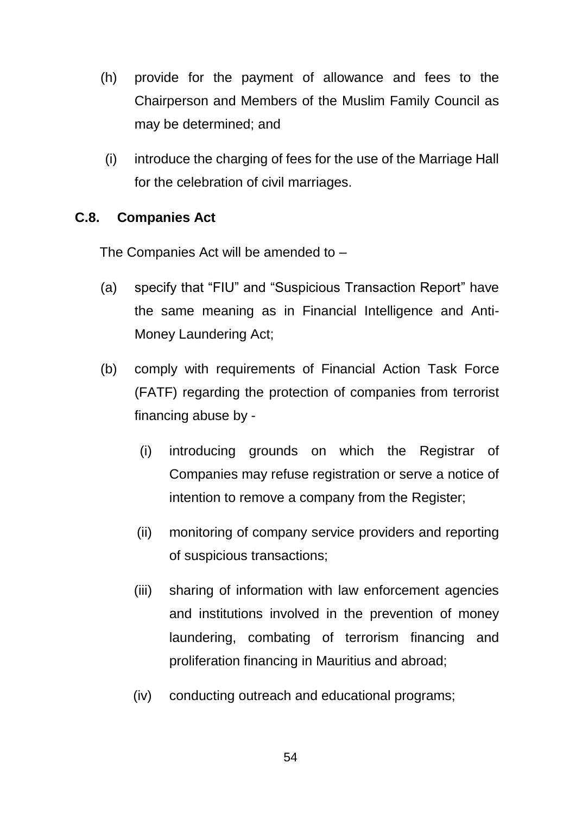- (h) provide for the payment of allowance and fees to the Chairperson and Members of the Muslim Family Council as may be determined; and
- (i) introduce the charging of fees for the use of the Marriage Hall for the celebration of civil marriages.

# **C.8. Companies Act**

The Companies Act will be amended to –

- (a) specify that "FIU" and "Suspicious Transaction Report" have the same meaning as in Financial Intelligence and Anti-Money Laundering Act;
- (b) comply with requirements of Financial Action Task Force (FATF) regarding the protection of companies from terrorist financing abuse by -
	- (i) introducing grounds on which the Registrar of Companies may refuse registration or serve a notice of intention to remove a company from the Register;
	- (ii) monitoring of company service providers and reporting of suspicious transactions;
	- (iii) sharing of information with law enforcement agencies and institutions involved in the prevention of money laundering, combating of terrorism financing and proliferation financing in Mauritius and abroad;
	- (iv) conducting outreach and educational programs;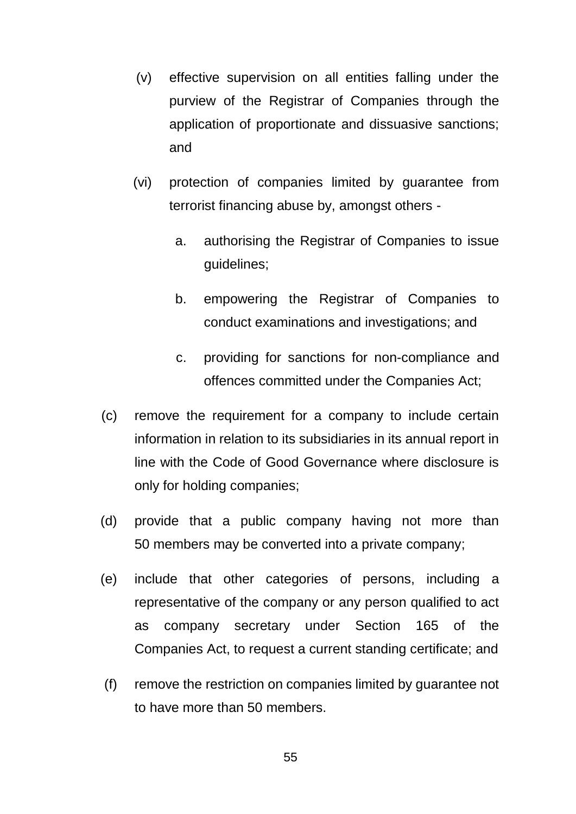- (v) effective supervision on all entities falling under the purview of the Registrar of Companies through the application of proportionate and dissuasive sanctions; and
- (vi) protection of companies limited by guarantee from terrorist financing abuse by, amongst others
	- a. authorising the Registrar of Companies to issue guidelines;
	- b. empowering the Registrar of Companies to conduct examinations and investigations; and
	- c. providing for sanctions for non-compliance and offences committed under the Companies Act;
- (c) remove the requirement for a company to include certain information in relation to its subsidiaries in its annual report in line with the Code of Good Governance where disclosure is only for holding companies;
- (d) provide that a public company having not more than 50 members may be converted into a private company;
- (e) include that other categories of persons, including a representative of the company or any person qualified to act as company secretary under Section 165 of the Companies Act, to request a current standing certificate; and
- (f) remove the restriction on companies limited by guarantee not to have more than 50 members.

55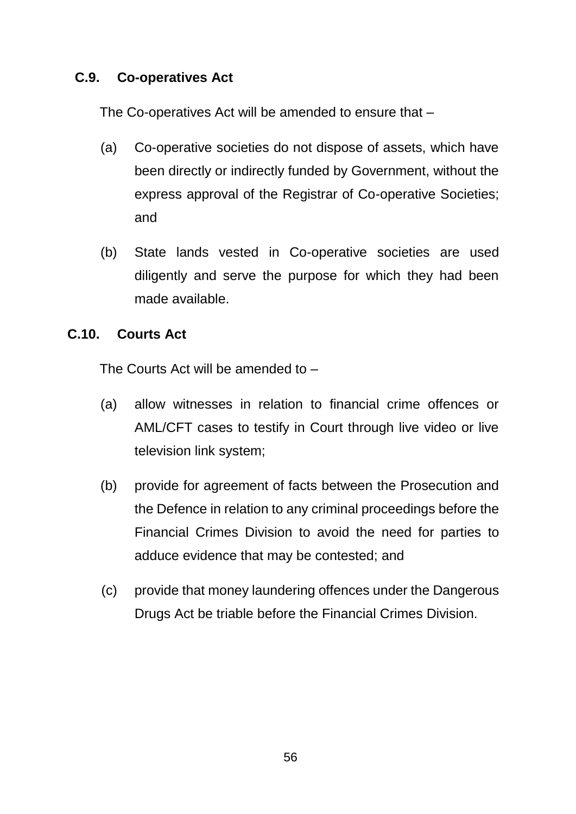### **C.9. Co-operatives Act**

The Co-operatives Act will be amended to ensure that –

- (a) Co-operative societies do not dispose of assets, which have been directly or indirectly funded by Government, without the express approval of the Registrar of Co-operative Societies; and
- (b) State lands vested in Co-operative societies are used diligently and serve the purpose for which they had been made available.

#### **C.10. Courts Act**

The Courts Act will be amended to –

- (a) allow witnesses in relation to financial crime offences or AML/CFT cases to testify in Court through live video or live television link system;
- (b) provide for agreement of facts between the Prosecution and the Defence in relation to any criminal proceedings before the Financial Crimes Division to avoid the need for parties to adduce evidence that may be contested; and
- (c) provide that money laundering offences under the Dangerous Drugs Act be triable before the Financial Crimes Division.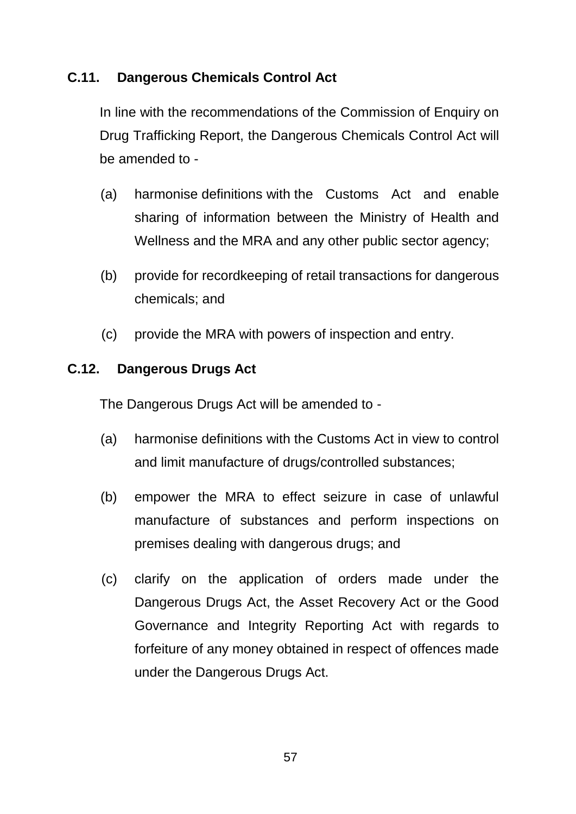## **C.11. Dangerous Chemicals Control Act**

In line with the recommendations of the Commission of Enquiry on Drug Trafficking Report, the Dangerous Chemicals Control Act will be amended to -

- (a) harmonise definitions with the Customs Act and enable sharing of information between the Ministry of Health and Wellness and the MRA and any other public sector agency;
- (b) provide for recordkeeping of retail transactions for dangerous chemicals; and
- (c) provide the MRA with powers of inspection and entry.

## **C.12. Dangerous Drugs Act**

The Dangerous Drugs Act will be amended to -

- (a) harmonise definitions with the Customs Act in view to control and limit manufacture of drugs/controlled substances;
- (b) empower the MRA to effect seizure in case of unlawful manufacture of substances and perform inspections on premises dealing with dangerous drugs; and
- (c) clarify on the application of orders made under the Dangerous Drugs Act, the Asset Recovery Act or the Good Governance and Integrity Reporting Act with regards to forfeiture of any money obtained in respect of offences made under the Dangerous Drugs Act.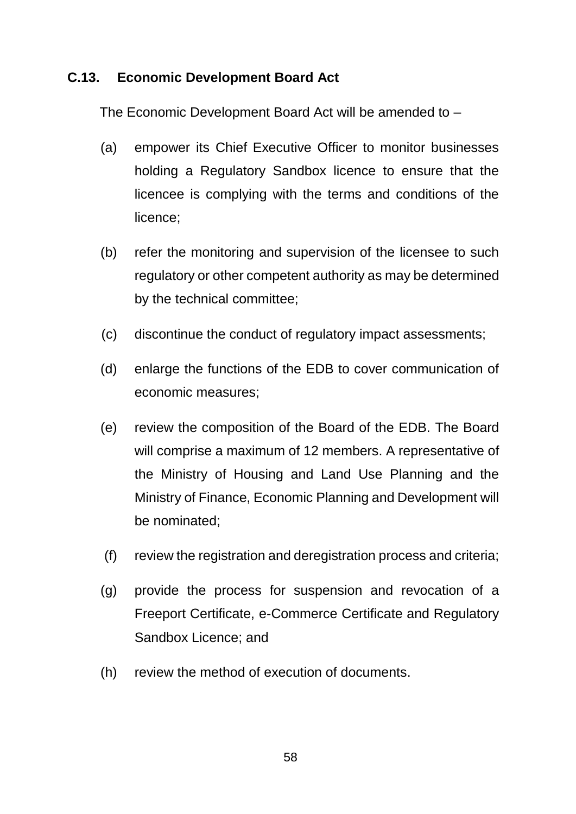#### **C.13. Economic Development Board Act**

The Economic Development Board Act will be amended to –

- (a) empower its Chief Executive Officer to monitor businesses holding a Regulatory Sandbox licence to ensure that the licencee is complying with the terms and conditions of the licence;
- (b) refer the monitoring and supervision of the licensee to such regulatory or other competent authority as may be determined by the technical committee;
- (c) discontinue the conduct of regulatory impact assessments;
- (d) enlarge the functions of the EDB to cover communication of economic measures;
- (e) review the composition of the Board of the EDB. The Board will comprise a maximum of 12 members. A representative of the Ministry of Housing and Land Use Planning and the Ministry of Finance, Economic Planning and Development will be nominated;
- (f) review the registration and deregistration process and criteria;
- (g) provide the process for suspension and revocation of a Freeport Certificate, e-Commerce Certificate and Regulatory Sandbox Licence; and
- (h) review the method of execution of documents.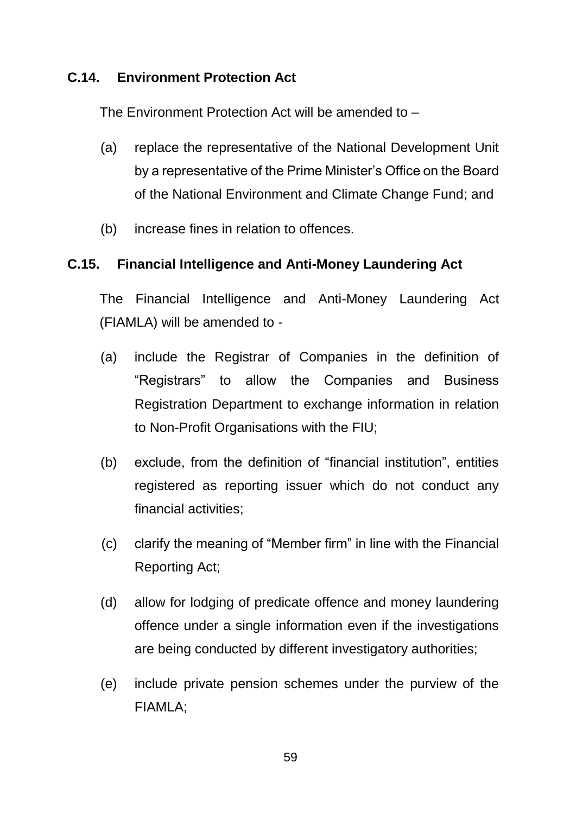#### **C.14. Environment Protection Act**

The Environment Protection Act will be amended to –

- (a) replace the representative of the National Development Unit by a representative of the Prime Minister's Office on the Board of the National Environment and Climate Change Fund; and
- (b) increase fines in relation to offences.

#### **C.15. Financial Intelligence and Anti-Money Laundering Act**

The Financial Intelligence and Anti-Money Laundering Act (FIAMLA) will be amended to -

- (a) include the Registrar of Companies in the definition of "Registrars" to allow the Companies and Business Registration Department to exchange information in relation to Non-Profit Organisations with the FIU;
- (b) exclude, from the definition of "financial institution", entities registered as reporting issuer which do not conduct any financial activities;
- (c) clarify the meaning of "Member firm" in line with the Financial Reporting Act;
- (d) allow for lodging of predicate offence and money laundering offence under a single information even if the investigations are being conducted by different investigatory authorities;
- (e) include private pension schemes under the purview of the FIAMLA;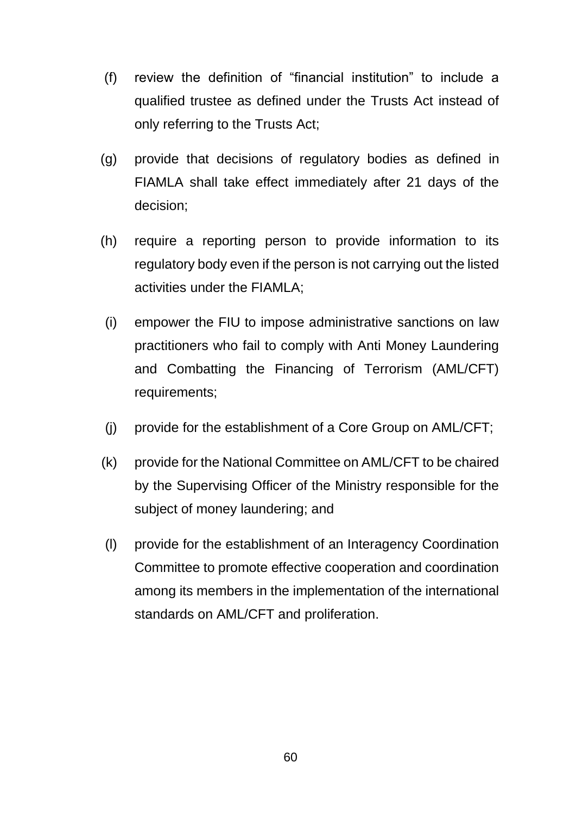- (f) review the definition of "financial institution" to include a qualified trustee as defined under the Trusts Act instead of only referring to the Trusts Act;
- (g) provide that decisions of regulatory bodies as defined in FIAMLA shall take effect immediately after 21 days of the decision;
- (h) require a reporting person to provide information to its regulatory body even if the person is not carrying out the listed activities under the FIAMLA;
- (i) empower the FIU to impose administrative sanctions on law practitioners who fail to comply with Anti Money Laundering and Combatting the Financing of Terrorism (AML/CFT) requirements;
- (j) provide for the establishment of a Core Group on AML/CFT;
- (k) provide for the National Committee on AML/CFT to be chaired by the Supervising Officer of the Ministry responsible for the subject of money laundering; and
- (l) provide for the establishment of an Interagency Coordination Committee to promote effective cooperation and coordination among its members in the implementation of the international standards on AML/CFT and proliferation.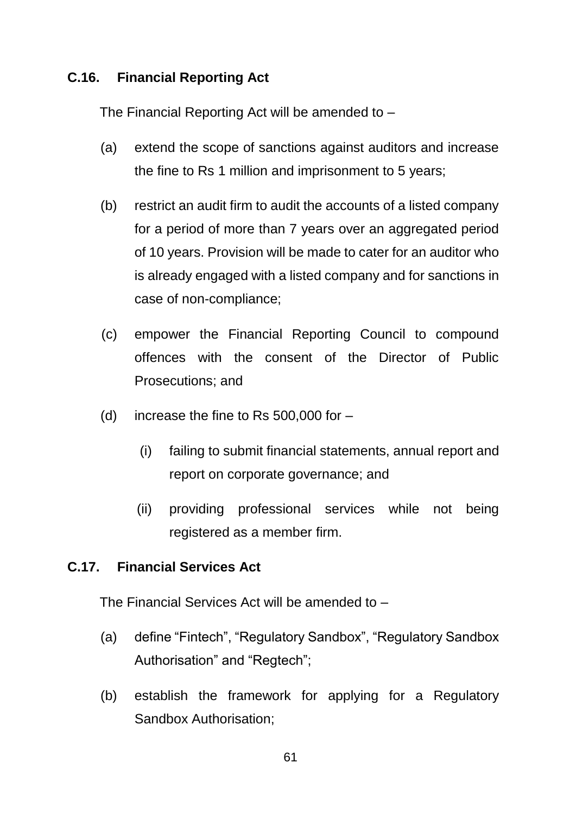## **C.16. Financial Reporting Act**

The Financial Reporting Act will be amended to –

- (a) extend the scope of sanctions against auditors and increase the fine to Rs 1 million and imprisonment to 5 years;
- (b) restrict an audit firm to audit the accounts of a listed company for a period of more than 7 years over an aggregated period of 10 years. Provision will be made to cater for an auditor who is already engaged with a listed company and for sanctions in case of non-compliance;
- (c) empower the Financial Reporting Council to compound offences with the consent of the Director of Public Prosecutions; and
- (d) increase the fine to Rs  $500,000$  for  $-$ 
	- (i) failing to submit financial statements, annual report and report on corporate governance; and
	- (ii) providing professional services while not being registered as a member firm.

#### **C.17. Financial Services Act**

The Financial Services Act will be amended to –

- (a) define "Fintech", "Regulatory Sandbox", "Regulatory Sandbox Authorisation" and "Regtech";
- (b) establish the framework for applying for a Regulatory Sandbox Authorisation;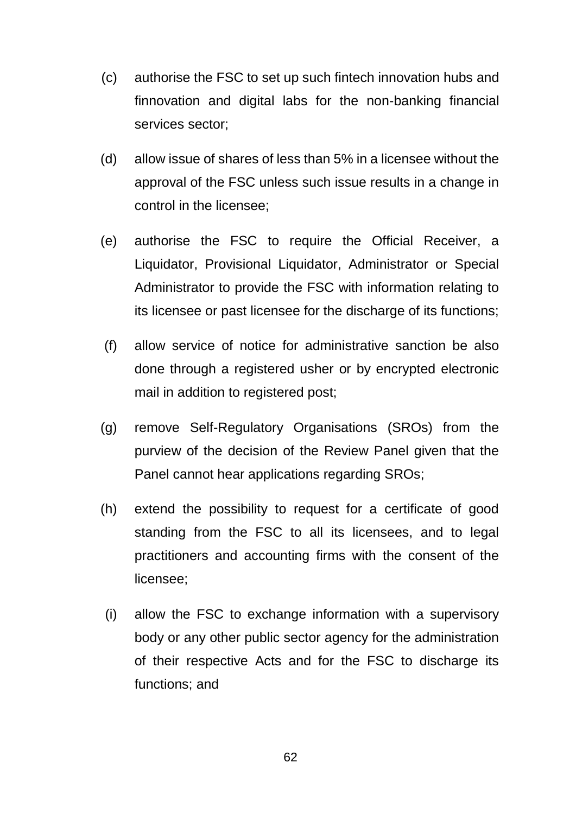- (c) authorise the FSC to set up such fintech innovation hubs and finnovation and digital labs for the non-banking financial services sector;
- (d) allow issue of shares of less than 5% in a licensee without the approval of the FSC unless such issue results in a change in control in the licensee;
- (e) authorise the FSC to require the Official Receiver, a Liquidator, Provisional Liquidator, Administrator or Special Administrator to provide the FSC with information relating to its licensee or past licensee for the discharge of its functions;
- (f) allow service of notice for administrative sanction be also done through a registered usher or by encrypted electronic mail in addition to registered post;
- (g) remove Self-Regulatory Organisations (SROs) from the purview of the decision of the Review Panel given that the Panel cannot hear applications regarding SROs;
- (h) extend the possibility to request for a certificate of good standing from the FSC to all its licensees, and to legal practitioners and accounting firms with the consent of the licensee;
- (i) allow the FSC to exchange information with a supervisory body or any other public sector agency for the administration of their respective Acts and for the FSC to discharge its functions; and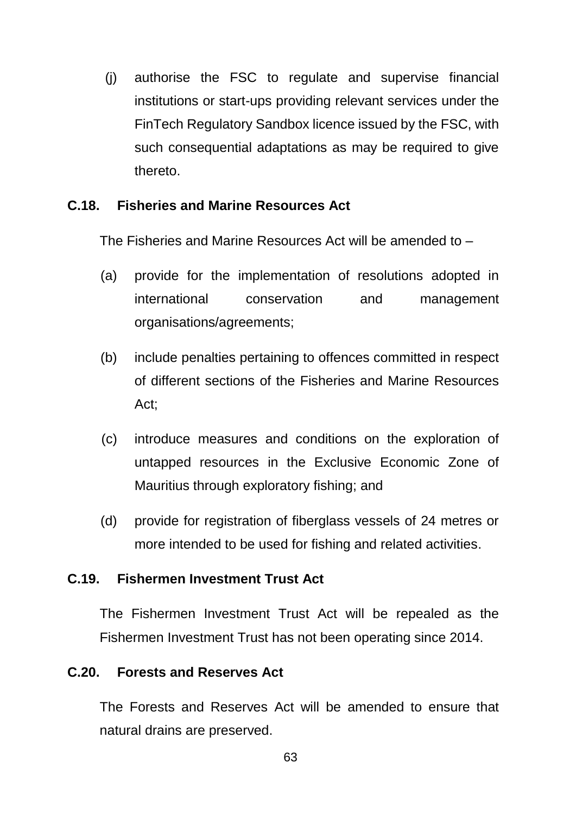(j) authorise the FSC to regulate and supervise financial institutions or start-ups providing relevant services under the FinTech Regulatory Sandbox licence issued by the FSC, with such consequential adaptations as may be required to give thereto.

#### **C.18. Fisheries and Marine Resources Act**

The Fisheries and Marine Resources Act will be amended to –

- (a) provide for the implementation of resolutions adopted in international conservation and management organisations/agreements;
- (b) include penalties pertaining to offences committed in respect of different sections of the Fisheries and Marine Resources Act;
- (c) introduce measures and conditions on the exploration of untapped resources in the Exclusive Economic Zone of Mauritius through exploratory fishing; and
- (d) provide for registration of fiberglass vessels of 24 metres or more intended to be used for fishing and related activities.

#### **C.19. Fishermen Investment Trust Act**

The Fishermen Investment Trust Act will be repealed as the Fishermen Investment Trust has not been operating since 2014.

#### **C.20. Forests and Reserves Act**

The Forests and Reserves Act will be amended to ensure that natural drains are preserved.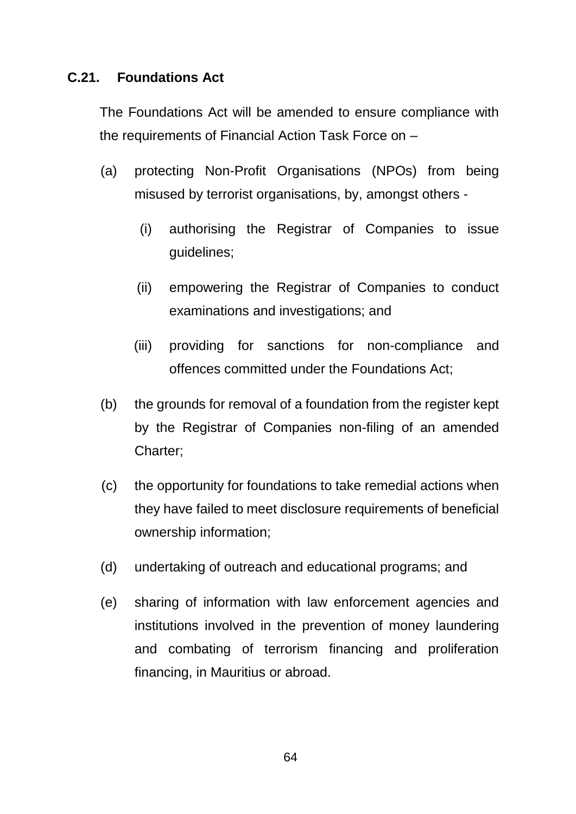#### **C.21. Foundations Act**

The Foundations Act will be amended to ensure compliance with the requirements of Financial Action Task Force on –

- (a) protecting Non-Profit Organisations (NPOs) from being misused by terrorist organisations, by, amongst others -
	- (i) authorising the Registrar of Companies to issue guidelines;
	- (ii) empowering the Registrar of Companies to conduct examinations and investigations; and
	- (iii) providing for sanctions for non-compliance and offences committed under the Foundations Act;
- (b) the grounds for removal of a foundation from the register kept by the Registrar of Companies non-filing of an amended Charter;
- (c) the opportunity for foundations to take remedial actions when they have failed to meet disclosure requirements of beneficial ownership information;
- (d) undertaking of outreach and educational programs; and
- (e) sharing of information with law enforcement agencies and institutions involved in the prevention of money laundering and combating of terrorism financing and proliferation financing, in Mauritius or abroad.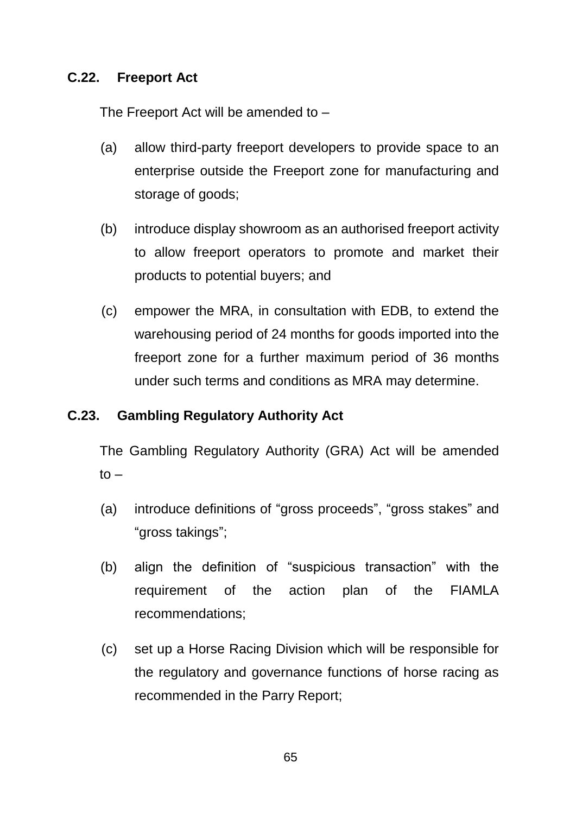#### **C.22. Freeport Act**

The Freeport Act will be amended to –

- (a) allow third-party freeport developers to provide space to an enterprise outside the Freeport zone for manufacturing and storage of goods;
- (b) introduce display showroom as an authorised freeport activity to allow freeport operators to promote and market their products to potential buyers; and
- (c) empower the MRA, in consultation with EDB, to extend the warehousing period of 24 months for goods imported into the freeport zone for a further maximum period of 36 months under such terms and conditions as MRA may determine.

#### **C.23. Gambling Regulatory Authority Act**

The Gambling Regulatory Authority (GRA) Act will be amended  $t \circ -$ 

- (a) introduce definitions of "gross proceeds", "gross stakes" and "gross takings";
- (b) align the definition of "suspicious transaction" with the requirement of the action plan of the FIAMLA recommendations;
- (c) set up a Horse Racing Division which will be responsible for the regulatory and governance functions of horse racing as recommended in the Parry Report;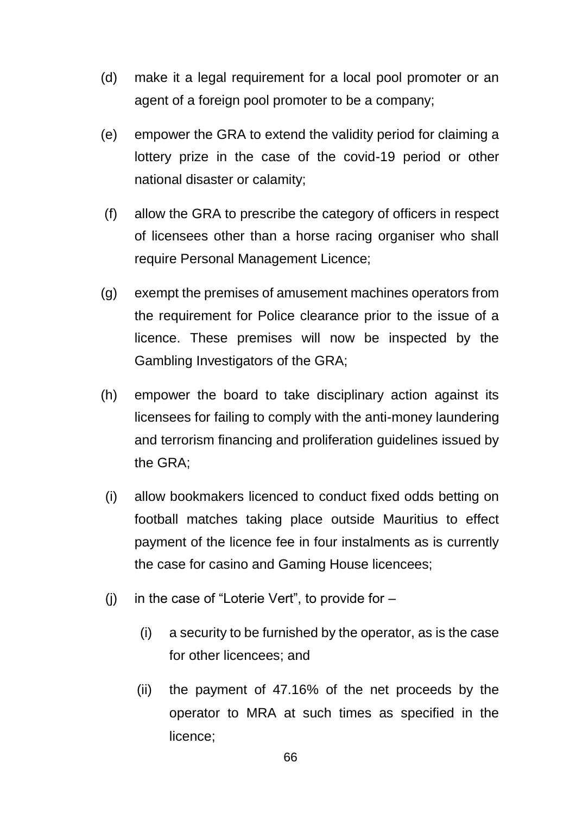- (d) make it a legal requirement for a local pool promoter or an agent of a foreign pool promoter to be a company;
- (e) empower the GRA to extend the validity period for claiming a lottery prize in the case of the covid-19 period or other national disaster or calamity;
- (f) allow the GRA to prescribe the category of officers in respect of licensees other than a horse racing organiser who shall require Personal Management Licence;
- (g) exempt the premises of amusement machines operators from the requirement for Police clearance prior to the issue of a licence. These premises will now be inspected by the Gambling Investigators of the GRA;
- (h) empower the board to take disciplinary action against its licensees for failing to comply with the anti-money laundering and terrorism financing and proliferation guidelines issued by the GRA;
- (i) allow bookmakers licenced to conduct fixed odds betting on football matches taking place outside Mauritius to effect payment of the licence fee in four instalments as is currently the case for casino and Gaming House licencees;
- (i) in the case of "Loterie Vert", to provide for  $-$ 
	- (i) a security to be furnished by the operator, as is the case for other licencees; and
	- (ii) the payment of 47.16% of the net proceeds by the operator to MRA at such times as specified in the licence;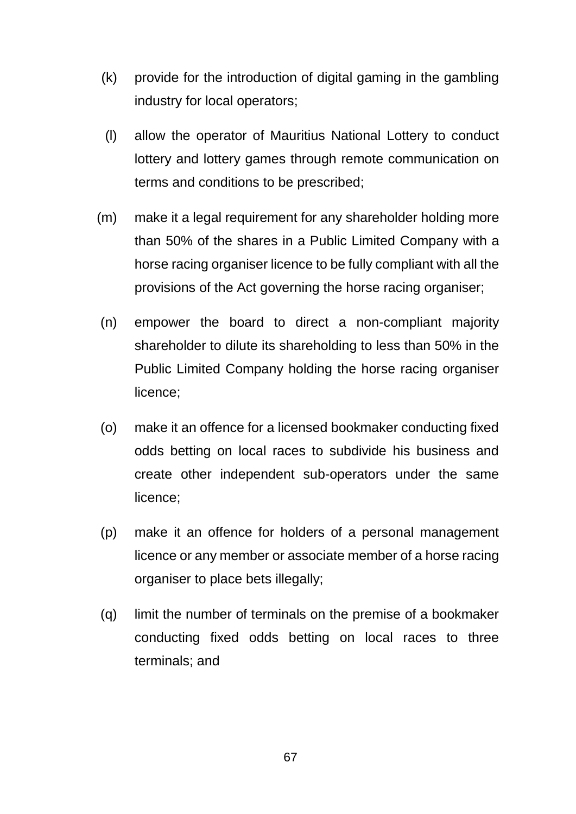- (k) provide for the introduction of digital gaming in the gambling industry for local operators;
- (l) allow the operator of Mauritius National Lottery to conduct lottery and lottery games through remote communication on terms and conditions to be prescribed;
- (m) make it a legal requirement for any shareholder holding more than 50% of the shares in a Public Limited Company with a horse racing organiser licence to be fully compliant with all the provisions of the Act governing the horse racing organiser;
- (n) empower the board to direct a non-compliant majority shareholder to dilute its shareholding to less than 50% in the Public Limited Company holding the horse racing organiser licence;
- (o) make it an offence for a licensed bookmaker conducting fixed odds betting on local races to subdivide his business and create other independent sub-operators under the same licence;
- (p) make it an offence for holders of a personal management licence or any member or associate member of a horse racing organiser to place bets illegally;
- (q) limit the number of terminals on the premise of a bookmaker conducting fixed odds betting on local races to three terminals; and

67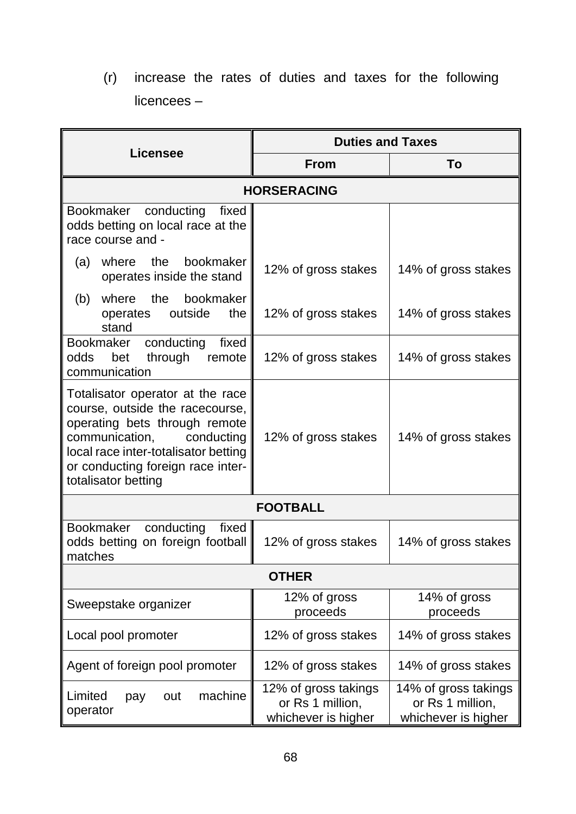(r) increase the rates of duties and taxes for the following licencees –

| <b>Licensee</b>                                                                                                                                                                                                                          | <b>Duties and Taxes</b>                                         |                                                                 |
|------------------------------------------------------------------------------------------------------------------------------------------------------------------------------------------------------------------------------------------|-----------------------------------------------------------------|-----------------------------------------------------------------|
|                                                                                                                                                                                                                                          | <b>From</b>                                                     | To                                                              |
| <b>HORSERACING</b>                                                                                                                                                                                                                       |                                                                 |                                                                 |
| Bookmaker<br>conducting<br>fixed<br>odds betting on local race at the<br>race course and -                                                                                                                                               |                                                                 |                                                                 |
| bookmaker<br>where the<br>(a)<br>operates inside the stand                                                                                                                                                                               | 12% of gross stakes                                             | 14% of gross stakes                                             |
| bookmaker<br>where the<br>(b)<br>outside<br>the<br>operates<br>stand                                                                                                                                                                     | 12% of gross stakes                                             | 14% of gross stakes                                             |
| Bookmaker conducting<br>fixed<br>bet through<br>odds<br>remote<br>communication                                                                                                                                                          | 12% of gross stakes                                             | 14% of gross stakes                                             |
| Totalisator operator at the race<br>course, outside the racecourse,<br>operating bets through remote<br>communication,<br>conducting<br>local race inter-totalisator betting<br>or conducting foreign race inter-<br>totalisator betting | 12% of gross stakes                                             | 14% of gross stakes                                             |
| <b>FOOTBALL</b>                                                                                                                                                                                                                          |                                                                 |                                                                 |
| conducting<br><b>Bookmaker</b><br>fixed<br>odds betting on foreign football<br>matches                                                                                                                                                   | 12% of gross stakes                                             | 14% of gross stakes                                             |
| <b>OTHER</b>                                                                                                                                                                                                                             |                                                                 |                                                                 |
| Sweepstake organizer                                                                                                                                                                                                                     | 12% of gross<br>proceeds                                        | 14% of gross<br>proceeds                                        |
| Local pool promoter                                                                                                                                                                                                                      | 12% of gross stakes                                             | 14% of gross stakes                                             |
| Agent of foreign pool promoter                                                                                                                                                                                                           | 12% of gross stakes                                             | 14% of gross stakes                                             |
| machine<br>Limited<br>out<br>pay<br>operator                                                                                                                                                                                             | 12% of gross takings<br>or Rs 1 million,<br>whichever is higher | 14% of gross takings<br>or Rs 1 million,<br>whichever is higher |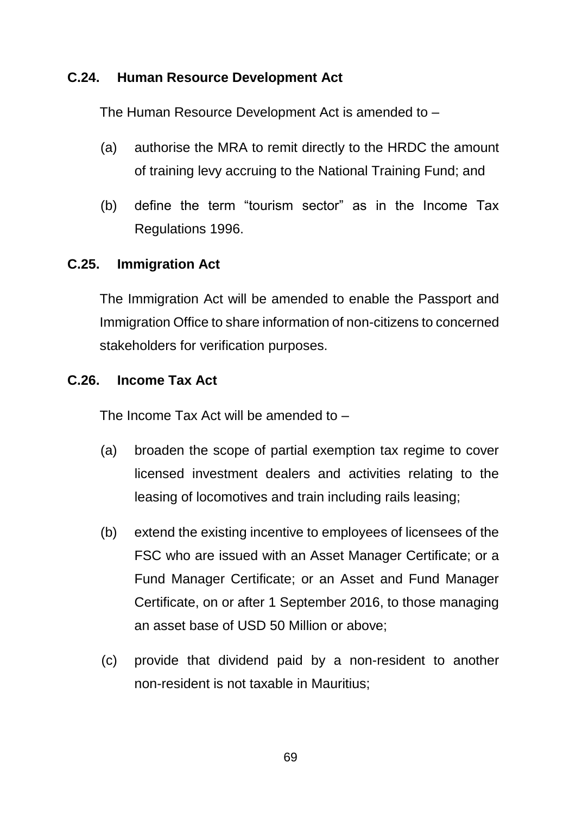#### **C.24. Human Resource Development Act**

The Human Resource Development Act is amended to –

- (a) authorise the MRA to remit directly to the HRDC the amount of training levy accruing to the National Training Fund; and
- (b) define the term "tourism sector" as in the Income Tax Regulations 1996.

#### **C.25. Immigration Act**

The Immigration Act will be amended to enable the Passport and Immigration Office to share information of non-citizens to concerned stakeholders for verification purposes.

#### **C.26. Income Tax Act**

The Income Tax Act will be amended to –

- (a) broaden the scope of partial exemption tax regime to cover licensed investment dealers and activities relating to the leasing of locomotives and train including rails leasing;
- (b) extend the existing incentive to employees of licensees of the FSC who are issued with an Asset Manager Certificate; or a Fund Manager Certificate; or an Asset and Fund Manager Certificate, on or after 1 September 2016, to those managing an asset base of USD 50 Million or above;
- (c) provide that dividend paid by a non-resident to another non-resident is not taxable in Mauritius;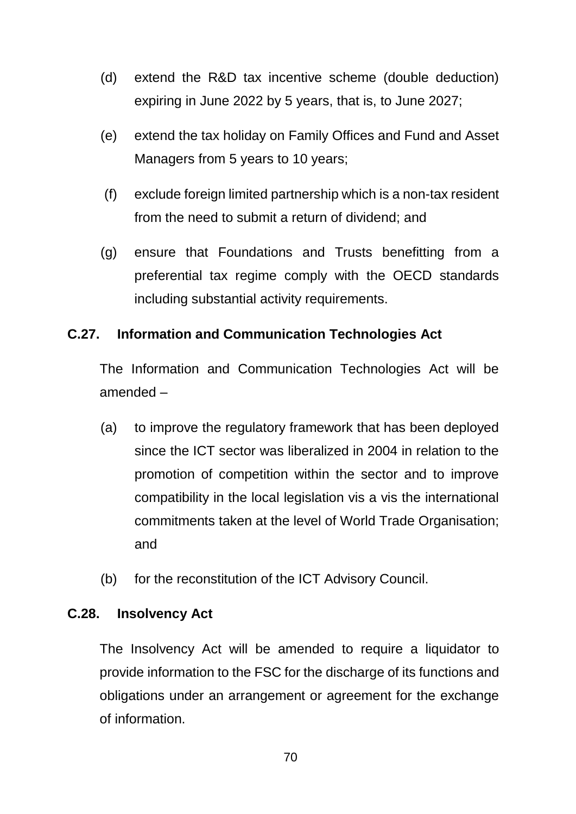- (d) extend the R&D tax incentive scheme (double deduction) expiring in June 2022 by 5 years, that is, to June 2027;
- (e) extend the tax holiday on Family Offices and Fund and Asset Managers from 5 years to 10 years;
- (f) exclude foreign limited partnership which is a non-tax resident from the need to submit a return of dividend; and
- (g) ensure that Foundations and Trusts benefitting from a preferential tax regime comply with the OECD standards including substantial activity requirements.

## **C.27. Information and Communication Technologies Act**

The Information and Communication Technologies Act will be amended –

- (a) to improve the regulatory framework that has been deployed since the ICT sector was liberalized in 2004 in relation to the promotion of competition within the sector and to improve compatibility in the local legislation vis a vis the international commitments taken at the level of World Trade Organisation; and
- (b) for the reconstitution of the ICT Advisory Council.

#### **C.28. Insolvency Act**

The Insolvency Act will be amended to require a liquidator to provide information to the FSC for the discharge of its functions and obligations under an arrangement or agreement for the exchange of information.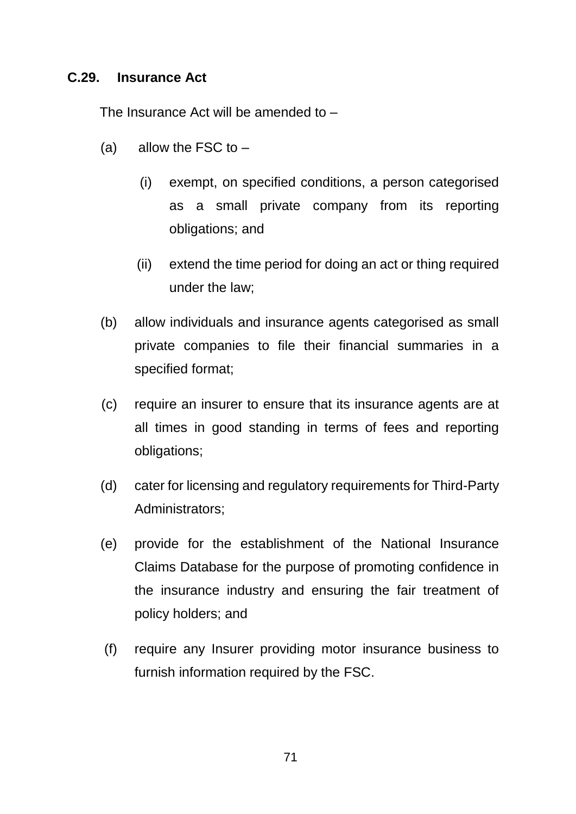#### **C.29. Insurance Act**

The Insurance Act will be amended to –

- (a) allow the FSC to  $-$ 
	- (i) exempt, on specified conditions, a person categorised as a small private company from its reporting obligations; and
	- (ii) extend the time period for doing an act or thing required under the law;
- (b) allow individuals and insurance agents categorised as small private companies to file their financial summaries in a specified format;
- (c) require an insurer to ensure that its insurance agents are at all times in good standing in terms of fees and reporting obligations;
- (d) cater for licensing and regulatory requirements for Third-Party Administrators;
- (e) provide for the establishment of the National Insurance Claims Database for the purpose of promoting confidence in the insurance industry and ensuring the fair treatment of policy holders; and
- (f) require any Insurer providing motor insurance business to furnish information required by the FSC.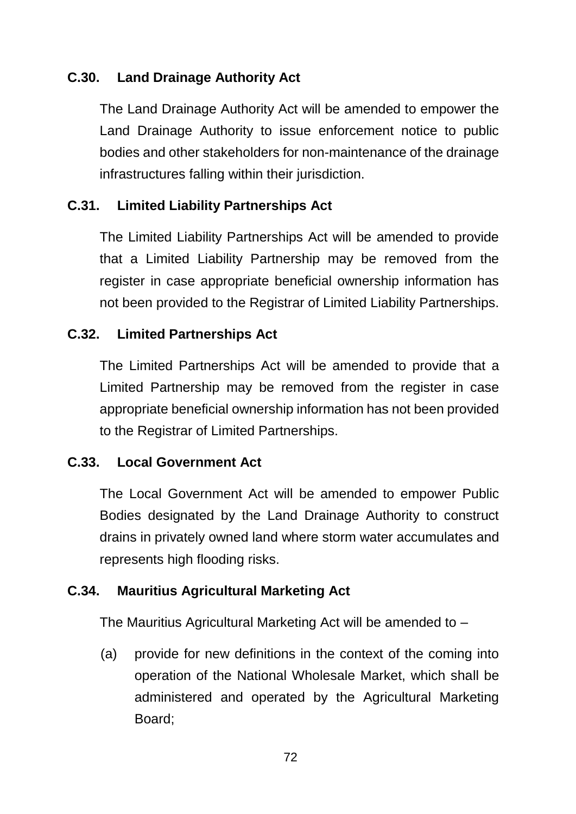# **C.30. Land Drainage Authority Act**

The Land Drainage Authority Act will be amended to empower the Land Drainage Authority to issue enforcement notice to public bodies and other stakeholders for non-maintenance of the drainage infrastructures falling within their jurisdiction.

## **C.31. Limited Liability Partnerships Act**

The Limited Liability Partnerships Act will be amended to provide that a Limited Liability Partnership may be removed from the register in case appropriate beneficial ownership information has not been provided to the Registrar of Limited Liability Partnerships.

#### **C.32. Limited Partnerships Act**

The Limited Partnerships Act will be amended to provide that a Limited Partnership may be removed from the register in case appropriate beneficial ownership information has not been provided to the Registrar of Limited Partnerships.

#### **C.33. Local Government Act**

The Local Government Act will be amended to empower Public Bodies designated by the Land Drainage Authority to construct drains in privately owned land where storm water accumulates and represents high flooding risks.

#### **C.34. Mauritius Agricultural Marketing Act**

The Mauritius Agricultural Marketing Act will be amended to –

(a) provide for new definitions in the context of the coming into operation of the National Wholesale Market, which shall be administered and operated by the Agricultural Marketing Board;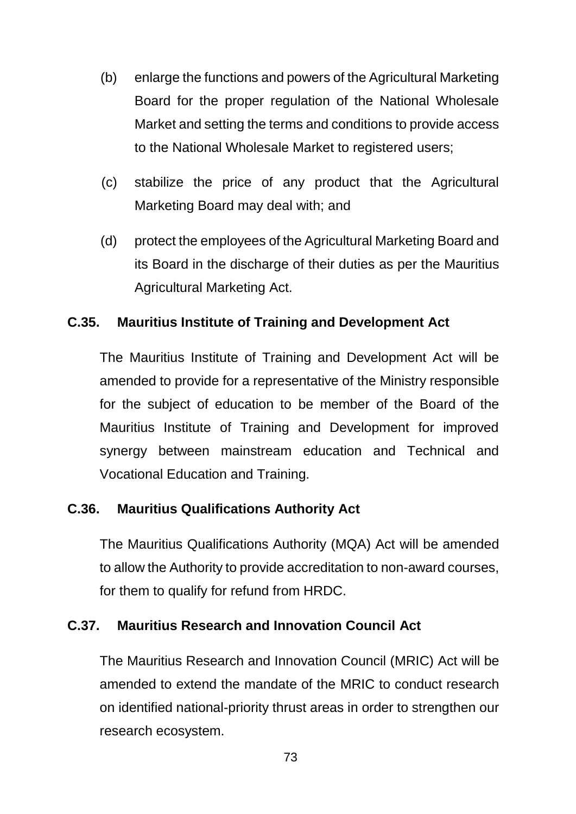- (b) enlarge the functions and powers of the Agricultural Marketing Board for the proper regulation of the National Wholesale Market and setting the terms and conditions to provide access to the National Wholesale Market to registered users;
- (c) stabilize the price of any product that the Agricultural Marketing Board may deal with; and
- (d) protect the employees of the Agricultural Marketing Board and its Board in the discharge of their duties as per the Mauritius Agricultural Marketing Act.

# **C.35. Mauritius Institute of Training and Development Act**

The Mauritius Institute of Training and Development Act will be amended to provide for a representative of the Ministry responsible for the subject of education to be member of the Board of the Mauritius Institute of Training and Development for improved synergy between mainstream education and Technical and Vocational Education and Training.

# **C.36. Mauritius Qualifications Authority Act**

The Mauritius Qualifications Authority (MQA) Act will be amended to allow the Authority to provide accreditation to non-award courses, for them to qualify for refund from HRDC.

#### **C.37. Mauritius Research and Innovation Council Act**

The Mauritius Research and Innovation Council (MRIC) Act will be amended to extend the mandate of the MRIC to conduct research on identified national-priority thrust areas in order to strengthen our research ecosystem.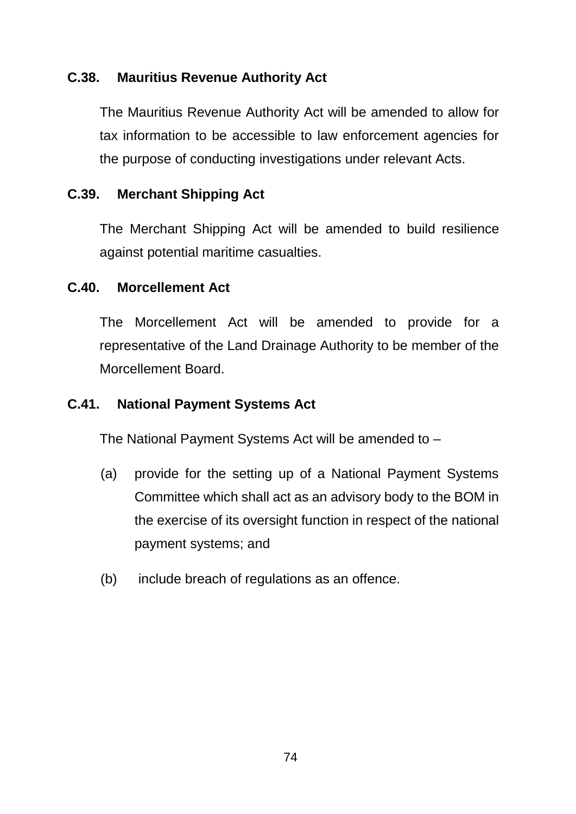## **C.38. Mauritius Revenue Authority Act**

The Mauritius Revenue Authority Act will be amended to allow for tax information to be accessible to law enforcement agencies for the purpose of conducting investigations under relevant Acts.

## **C.39. Merchant Shipping Act**

The Merchant Shipping Act will be amended to build resilience against potential maritime casualties.

#### **C.40. Morcellement Act**

The Morcellement Act will be amended to provide for a representative of the Land Drainage Authority to be member of the Morcellement Board.

#### **C.41. National Payment Systems Act**

The National Payment Systems Act will be amended to –

- (a) provide for the setting up of a National Payment Systems Committee which shall act as an advisory body to the BOM in the exercise of its oversight function in respect of the national payment systems; and
- (b) include breach of regulations as an offence.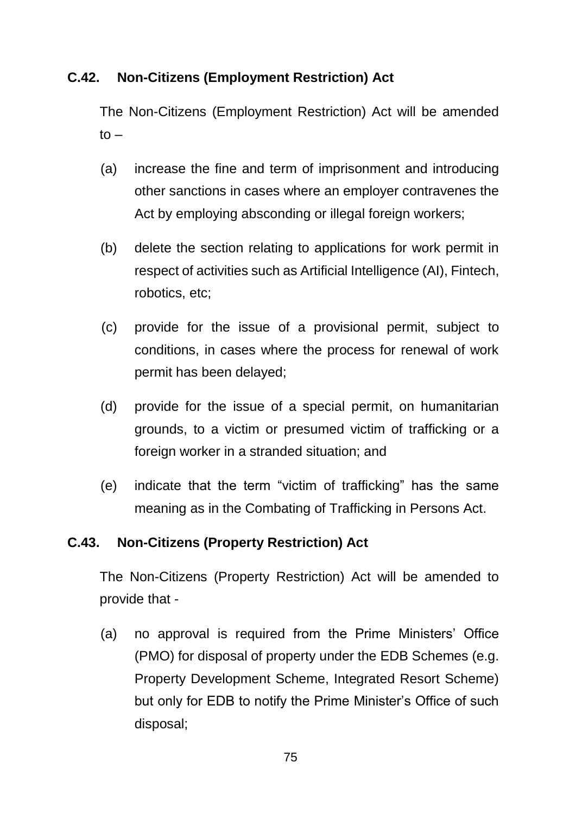## **C.42. Non-Citizens (Employment Restriction) Act**

The Non-Citizens (Employment Restriction) Act will be amended  $to -$ 

- (a) increase the fine and term of imprisonment and introducing other sanctions in cases where an employer contravenes the Act by employing absconding or illegal foreign workers;
- (b) delete the section relating to applications for work permit in respect of activities such as Artificial Intelligence (AI), Fintech, robotics, etc;
- (c) provide for the issue of a provisional permit, subject to conditions, in cases where the process for renewal of work permit has been delayed;
- (d) provide for the issue of a special permit, on humanitarian grounds, to a victim or presumed victim of trafficking or a foreign worker in a stranded situation; and
- (e) indicate that the term "victim of trafficking" has the same meaning as in the Combating of Trafficking in Persons Act.

# **C.43. Non-Citizens (Property Restriction) Act**

The Non-Citizens (Property Restriction) Act will be amended to provide that -

(a) no approval is required from the Prime Ministers' Office (PMO) for disposal of property under the EDB Schemes (e.g. Property Development Scheme, Integrated Resort Scheme) but only for EDB to notify the Prime Minister's Office of such disposal;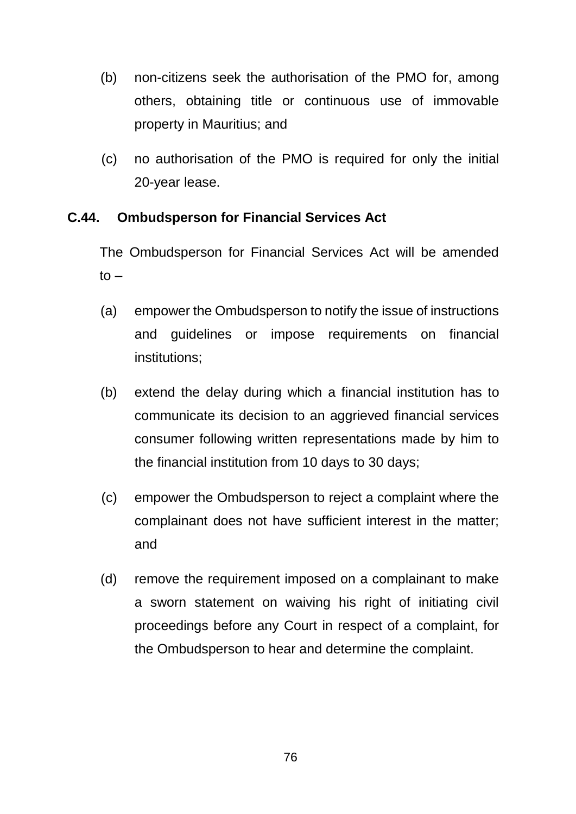- (b) non-citizens seek the authorisation of the PMO for, among others, obtaining title or continuous use of immovable property in Mauritius; and
- (c) no authorisation of the PMO is required for only the initial 20-year lease.

## **C.44. Ombudsperson for Financial Services Act**

The Ombudsperson for Financial Services Act will be amended  $to -$ 

- (a) empower the Ombudsperson to notify the issue of instructions and guidelines or impose requirements on financial institutions;
- (b) extend the delay during which a financial institution has to communicate its decision to an aggrieved financial services consumer following written representations made by him to the financial institution from 10 days to 30 days;
- (c) empower the Ombudsperson to reject a complaint where the complainant does not have sufficient interest in the matter; and
- (d) remove the requirement imposed on a complainant to make a sworn statement on waiving his right of initiating civil proceedings before any Court in respect of a complaint, for the Ombudsperson to hear and determine the complaint.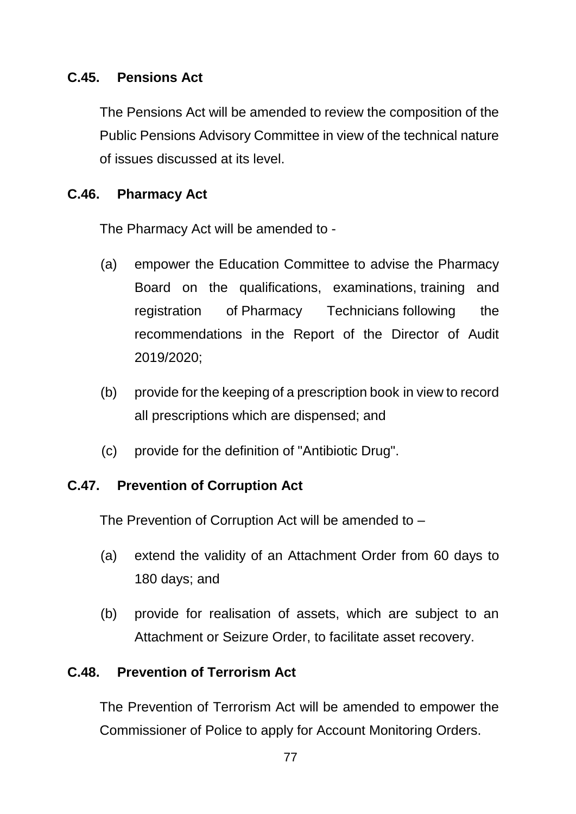## **C.45. Pensions Act**

The Pensions Act will be amended to review the composition of the Public Pensions Advisory Committee in view of the technical nature of issues discussed at its level.

## **C.46. Pharmacy Act**

The Pharmacy Act will be amended to -

- (a) empower the Education Committee to advise the Pharmacy Board on the qualifications, examinations, training and registration of Pharmacy Technicians following the recommendations in the Report of the Director of Audit 2019/2020;
- (b) provide for the keeping of a prescription book in view to record all prescriptions which are dispensed; and
- (c) provide for the definition of "Antibiotic Drug".

#### **C.47. Prevention of Corruption Act**

The Prevention of Corruption Act will be amended to –

- (a) extend the validity of an Attachment Order from 60 days to 180 days; and
- (b) provide for realisation of assets, which are subject to an Attachment or Seizure Order, to facilitate asset recovery.

#### **C.48. Prevention of Terrorism Act**

The Prevention of Terrorism Act will be amended to empower the Commissioner of Police to apply for Account Monitoring Orders.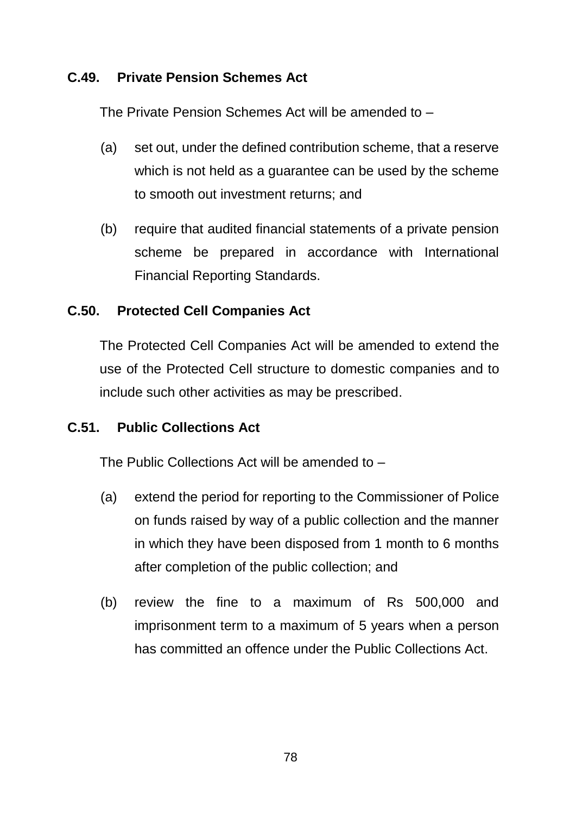## **C.49. Private Pension Schemes Act**

The Private Pension Schemes Act will be amended to –

- (a) set out, under the defined contribution scheme, that a reserve which is not held as a guarantee can be used by the scheme to smooth out investment returns; and
- (b) require that audited financial statements of a private pension scheme be prepared in accordance with International Financial Reporting Standards.

## **C.50. Protected Cell Companies Act**

The Protected Cell Companies Act will be amended to extend the use of the Protected Cell structure to domestic companies and to include such other activities as may be prescribed.

# **C.51. Public Collections Act**

The Public Collections Act will be amended to –

- (a) extend the period for reporting to the Commissioner of Police on funds raised by way of a public collection and the manner in which they have been disposed from 1 month to 6 months after completion of the public collection; and
- (b) review the fine to a maximum of Rs 500,000 and imprisonment term to a maximum of 5 years when a person has committed an offence under the Public Collections Act.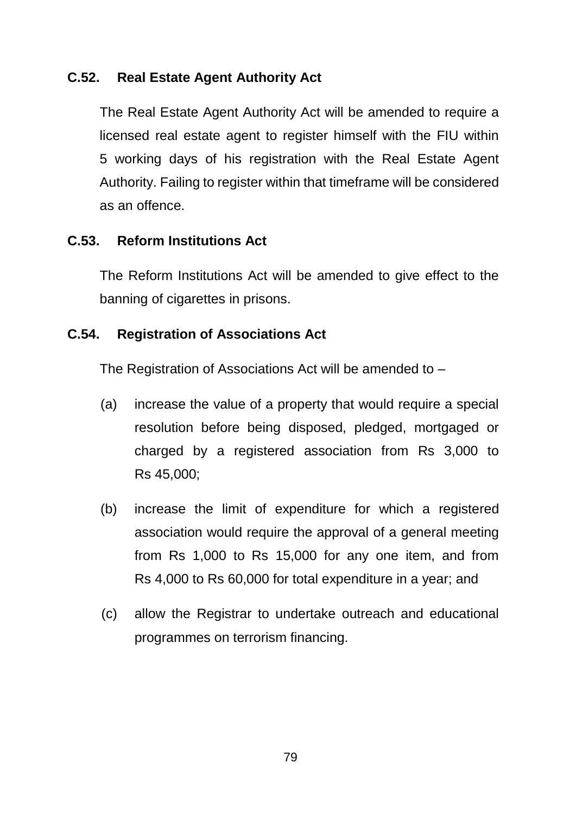### **C.52. Real Estate Agent Authority Act**

The Real Estate Agent Authority Act will be amended to require a licensed real estate agent to register himself with the FIU within 5 working days of his registration with the Real Estate Agent Authority. Failing to register within that timeframe will be considered as an offence.

# **C.53. Reform Institutions Act**

The Reform Institutions Act will be amended to give effect to the banning of cigarettes in prisons.

## **C.54. Registration of Associations Act**

The Registration of Associations Act will be amended to –

- (a) increase the value of a property that would require a special resolution before being disposed, pledged, mortgaged or charged by a registered association from Rs 3,000 to Rs 45,000;
- (b) increase the limit of expenditure for which a registered association would require the approval of a general meeting from Rs 1,000 to Rs 15,000 for any one item, and from Rs 4,000 to Rs 60,000 for total expenditure in a year; and
- (c) allow the Registrar to undertake outreach and educational programmes on terrorism financing.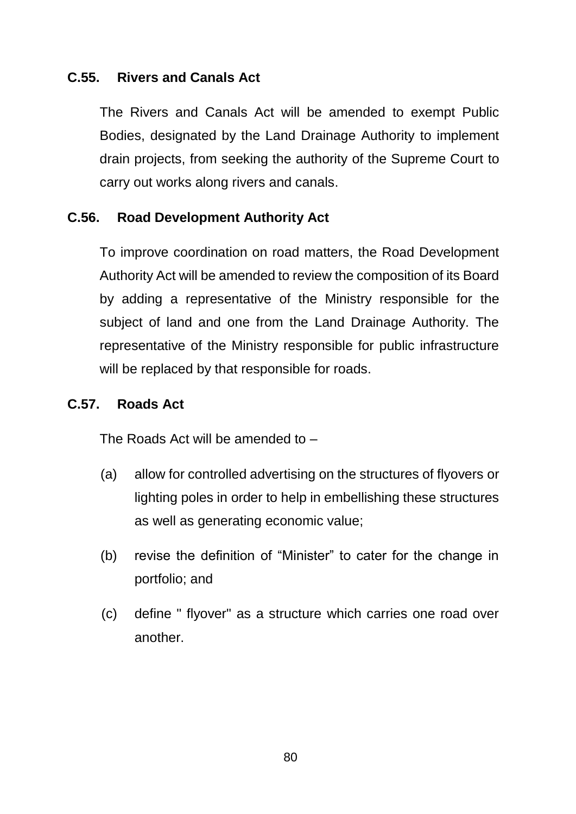#### **C.55. Rivers and Canals Act**

The Rivers and Canals Act will be amended to exempt Public Bodies, designated by the Land Drainage Authority to implement drain projects, from seeking the authority of the Supreme Court to carry out works along rivers and canals.

#### **C.56. Road Development Authority Act**

To improve coordination on road matters, the Road Development Authority Act will be amended to review the composition of its Board by adding a representative of the Ministry responsible for the subject of land and one from the Land Drainage Authority. The representative of the Ministry responsible for public infrastructure will be replaced by that responsible for roads.

#### **C.57. Roads Act**

The Roads Act will be amended to –

- (a) allow for controlled advertising on the structures of flyovers or lighting poles in order to help in embellishing these structures as well as generating economic value;
- (b) revise the definition of "Minister" to cater for the change in portfolio; and
- (c) define " flyover" as a structure which carries one road over another.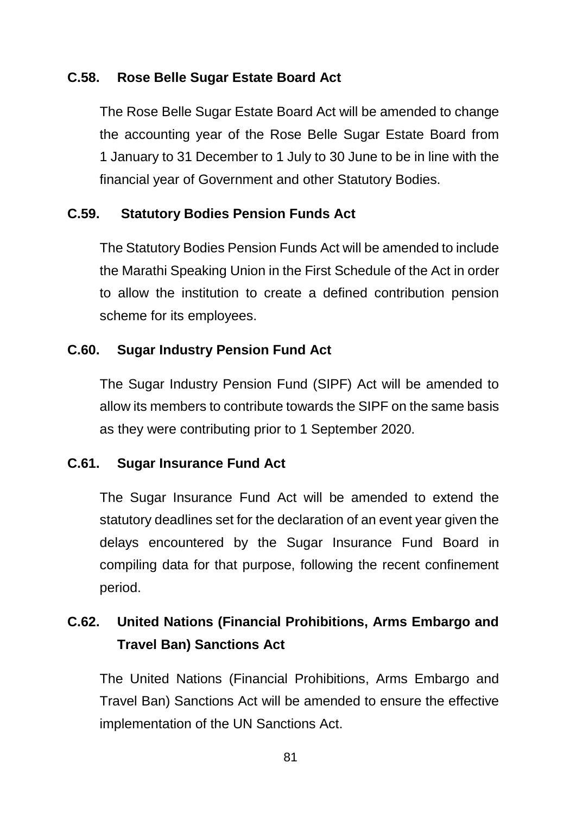## **C.58. Rose Belle Sugar Estate Board Act**

The Rose Belle Sugar Estate Board Act will be amended to change the accounting year of the Rose Belle Sugar Estate Board from 1 January to 31 December to 1 July to 30 June to be in line with the financial year of Government and other Statutory Bodies.

## **C.59. Statutory Bodies Pension Funds Act**

The Statutory Bodies Pension Funds Act will be amended to include the Marathi Speaking Union in the First Schedule of the Act in order to allow the institution to create a defined contribution pension scheme for its employees.

## **C.60. Sugar Industry Pension Fund Act**

The Sugar Industry Pension Fund (SIPF) Act will be amended to allow its members to contribute towards the SIPF on the same basis as they were contributing prior to 1 September 2020.

#### **C.61. Sugar Insurance Fund Act**

The Sugar Insurance Fund Act will be amended to extend the statutory deadlines set for the declaration of an event year given the delays encountered by the Sugar Insurance Fund Board in compiling data for that purpose, following the recent confinement period.

# **C.62. United Nations (Financial Prohibitions, Arms Embargo and Travel Ban) Sanctions Act**

The United Nations (Financial Prohibitions, Arms Embargo and Travel Ban) Sanctions Act will be amended to ensure the effective implementation of the UN Sanctions Act.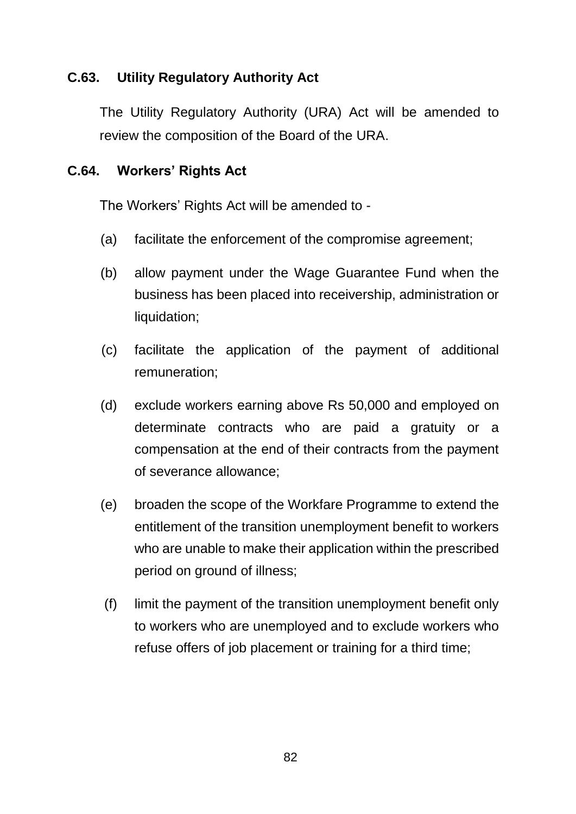## **C.63. Utility Regulatory Authority Act**

The Utility Regulatory Authority (URA) Act will be amended to review the composition of the Board of the URA.

#### **C.64. Workers' Rights Act**

The Workers' Rights Act will be amended to -

- (a) facilitate the enforcement of the compromise agreement;
- (b) allow payment under the Wage Guarantee Fund when the business has been placed into receivership, administration or liquidation;
- (c) facilitate the application of the payment of additional remuneration;
- (d) exclude workers earning above Rs 50,000 and employed on determinate contracts who are paid a gratuity or a compensation at the end of their contracts from the payment of severance allowance;
- (e) broaden the scope of the Workfare Programme to extend the entitlement of the transition unemployment benefit to workers who are unable to make their application within the prescribed period on ground of illness;
- (f) limit the payment of the transition unemployment benefit only to workers who are unemployed and to exclude workers who refuse offers of job placement or training for a third time;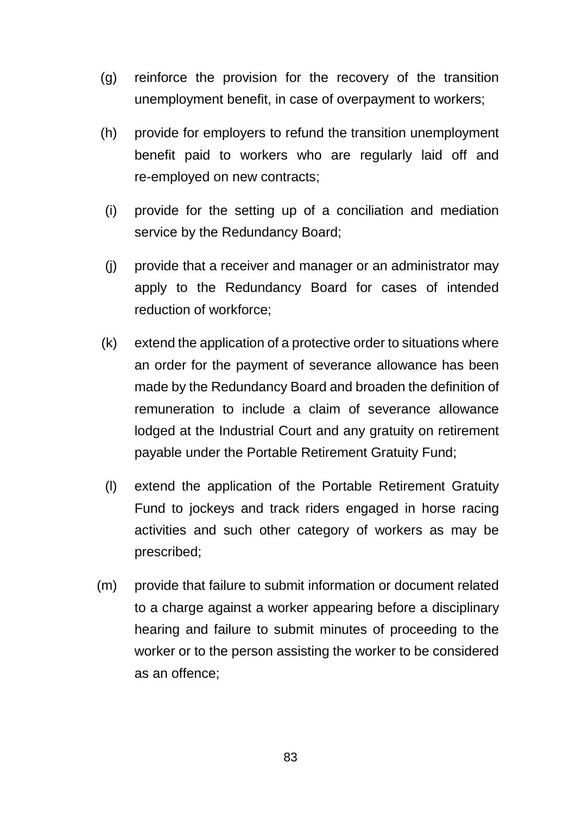- (g) reinforce the provision for the recovery of the transition unemployment benefit, in case of overpayment to workers;
- (h) provide for employers to refund the transition unemployment benefit paid to workers who are regularly laid off and re-employed on new contracts;
- (i) provide for the setting up of a conciliation and mediation service by the Redundancy Board;
- (j) provide that a receiver and manager or an administrator may apply to the Redundancy Board for cases of intended reduction of workforce;
- (k) extend the application of a protective order to situations where an order for the payment of severance allowance has been made by the Redundancy Board and broaden the definition of remuneration to include a claim of severance allowance lodged at the Industrial Court and any gratuity on retirement payable under the Portable Retirement Gratuity Fund;
- (l) extend the application of the Portable Retirement Gratuity Fund to jockeys and track riders engaged in horse racing activities and such other category of workers as may be prescribed;
- (m) provide that failure to submit information or document related to a charge against a worker appearing before a disciplinary hearing and failure to submit minutes of proceeding to the worker or to the person assisting the worker to be considered as an offence;